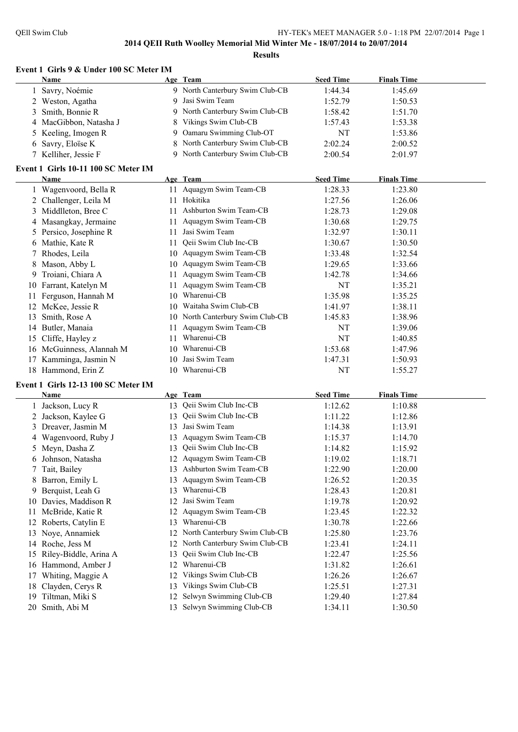$\overline{a}$ 

#### **2014 QEII Ruth Woolley Memorial Mid Winter Me - 18/07/2014 to 20/07/2014 Results**

#### **Event 1 Girls 9 & Under 100 SC Meter IM**

| <b>Name</b>            | Age Team                        | <b>Seed Time</b> | <b>Finals Time</b> |  |
|------------------------|---------------------------------|------------------|--------------------|--|
| 1 Savry, Noémie        | 9 North Canterbury Swim Club-CB | 1:44.34          | 1:45.69            |  |
| 2 Weston, Agatha       | 9 Jasi Swim Team                | 1:52.79          | 1:50.53            |  |
| 3 Smith, Bonnie R      | 9 North Canterbury Swim Club-CB | 1:58.42          | 1:51.70            |  |
| 4 MacGibbon, Natasha J | 8 Vikings Swim Club-CB          | 1:57.43          | 1:53.38            |  |
| 5 Keeling, Imogen R    | 9 Oamaru Swimming Club-OT       | NT               | 1:53.86            |  |
| 6 Savry, Eloïse K      | 8 North Canterbury Swim Club-CB | 2:02.24          | 2:00.52            |  |
| 7 Kelliher, Jessie F   | 9 North Canterbury Swim Club-CB | 2:00.54          | 2:01.97            |  |

#### **Event 1 Girls 10-11 100 SC Meter IM**

|    | Name                     |    | Age Team                      | <b>Seed Time</b> | <b>Finals Time</b> |  |
|----|--------------------------|----|-------------------------------|------------------|--------------------|--|
|    | Wagenvoord, Bella R      |    | 11 Aquagym Swim Team-CB       | 1:28.33          | 1:23.80            |  |
|    | 2 Challenger, Leila M    | 11 | Hokitika                      | 1:27.56          | 1:26.06            |  |
|    | 3 Middlleton, Bree C     | 11 | Ashburton Swim Team-CB        | 1:28.73          | 1:29.08            |  |
|    | 4 Masangkay, Jermaine    | 11 | Aquagym Swim Team-CB          | 1:30.68          | 1:29.75            |  |
|    | 5 Persico, Josephine R   | 11 | Jasi Swim Team                | 1:32.97          | 1:30.11            |  |
|    | 6 Mathie, Kate R         | 11 | Qeii Swim Club Inc-CB         | 1:30.67          | 1:30.50            |  |
|    | Rhodes, Leila            | 10 | Aquagym Swim Team-CB          | 1:33.48          | 1:32.54            |  |
| 8  | Mason, Abby L            | 10 | Aquagym Swim Team-CB          | 1:29.65          | 1:33.66            |  |
| 9  | Troiani, Chiara A        | 11 | Aquagym Swim Team-CB          | 1:42.78          | 1:34.66            |  |
|    | 10 Farrant, Katelyn M    | 11 | Aquagym Swim Team-CB          | NT               | 1:35.21            |  |
|    | Ferguson, Hannah M       | 10 | Wharenui-CB                   | 1:35.98          | 1:35.25            |  |
|    | 12 McKee, Jessie R       | 10 | Waitaha Swim Club-CB          | 1:41.97          | 1:38.11            |  |
| 13 | Smith, Rose A            | 10 | North Canterbury Swim Club-CB | 1:45.83          | 1:38.96            |  |
|    | 14 Butler, Manaia        | 11 | Aquagym Swim Team-CB          | NT               | 1:39.06            |  |
|    | 15 Cliffe, Hayley z      | 11 | Wharenui-CB                   | NT               | 1:40.85            |  |
|    | 16 McGuinness, Alannah M | 10 | Wharenui-CB                   | 1:53.68          | 1:47.96            |  |
|    | 17 Kamminga, Jasmin N    | 10 | Jasi Swim Team                | 1:47.31          | 1:50.93            |  |
|    | 18 Hammond, Erin Z       | 10 | Wharenui-CB                   | NT               | 1:55.27            |  |

#### **Event 1 Girls 12-13 100 SC Meter IM**

|    | Name                  |     | Age Team                      | <b>Seed Time</b> | <b>Finals Time</b> |
|----|-----------------------|-----|-------------------------------|------------------|--------------------|
|    | Jackson, Lucy R       |     | 13 Qeii Swim Club Inc-CB      | 1:12.62          | 1:10.88            |
|    | 2 Jackson, Kaylee G   | 13  | Qeii Swim Club Inc-CB         | 1:11.22          | 1:12.86            |
|    | 3 Dreaver, Jasmin M   | 13  | Jasi Swim Team                | 1:14.38          | 1:13.91            |
|    | 4 Wagenvoord, Ruby J  | 13  | Aquagym Swim Team-CB          | 1:15.37          | 1:14.70            |
|    | 5 Meyn, Dasha Z       | 13  | Qeii Swim Club Inc-CB         | 1:14.82          | 1:15.92            |
|    | 6 Johnson, Natasha    | 12  | Aquagym Swim Team-CB          | 1:19.02          | 1:18.71            |
|    | Tait, Bailey          | 13  | Ashburton Swim Team-CB        | 1:22.90          | 1:20.00            |
| 8  | Barron, Emily L       | 13  | Aquagym Swim Team-CB          | 1:26.52          | 1:20.35            |
|    | 9 Berquist, Leah G    | 13  | Wharenui-CB                   | 1:28.43          | 1:20.81            |
| 10 | Davies, Maddison R    | 12  | Jasi Swim Team                | 1:19.78          | 1:20.92            |
| 11 | McBride, Katie R      | 12. | Aquagym Swim Team-CB          | 1:23.45          | 1:22.32            |
|    | Roberts, Catylin E    | 13  | Wharenui-CB                   | 1:30.78          | 1:22.66            |
| 13 | Noye, Annamiek        | 12  | North Canterbury Swim Club-CB | 1:25.80          | 1:23.76            |
|    | 14 Roche, Jess M      | 12  | North Canterbury Swim Club-CB | 1:23.41          | 1:24.11            |
| 15 | Riley-Biddle, Arina A | 13  | Qeii Swim Club Inc-CB         | 1:22.47          | 1:25.56            |
|    | 16 Hammond, Amber J   | 12  | Wharenui-CB                   | 1:31.82          | 1:26.61            |
| 17 | Whiting, Maggie A     | 12  | Vikings Swim Club-CB          | 1:26.26          | 1:26.67            |
| 18 | Clayden, Cerys R      | 13  | Vikings Swim Club-CB          | 1:25.51          | 1:27.31            |
| 19 | Tiltman, Miki S       | 12  | Selwyn Swimming Club-CB       | 1:29.40          | 1:27.84            |
|    | 20 Smith, Abi M       | 13  | Selwyn Swimming Club-CB       | 1:34.11          | 1:30.50            |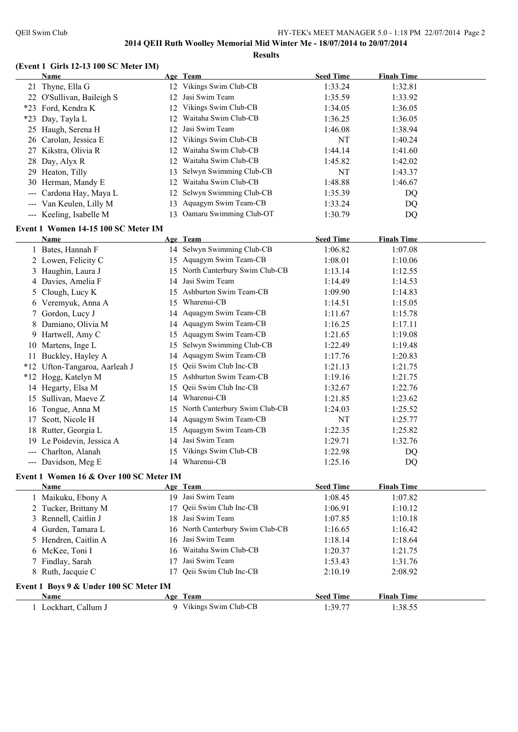#### **(Event 1 Girls 12-13 100 SC Meter IM)**

**Results**

|                 | Name                                    |    | Age Team                         | <b>Seed Time</b> | <b>Finals Time</b> |  |
|-----------------|-----------------------------------------|----|----------------------------------|------------------|--------------------|--|
|                 | 21 Thyne, Ella G                        |    | 12 Vikings Swim Club-CB          | 1:33.24          | 1:32.81            |  |
|                 | 22 O'Sullivan, Baileigh S               |    | 12 Jasi Swim Team                | 1:35.59          | 1:33.92            |  |
|                 | *23 Ford, Kendra K                      |    | 12 Vikings Swim Club-CB          | 1:34.05          | 1:36.05            |  |
|                 | *23 Day, Tayla L                        | 12 | Waitaha Swim Club-CB             | 1:36.25          | 1:36.05            |  |
|                 | 25 Haugh, Serena H                      |    | 12 Jasi Swim Team                | 1:46.08          | 1:38.94            |  |
|                 | 26 Carolan, Jessica E                   | 12 | Vikings Swim Club-CB             | NT               | 1:40.24            |  |
|                 | 27 Kikstra, Olivia R                    | 12 | Waitaha Swim Club-CB             | 1:44.14          | 1:41.60            |  |
|                 | 28 Day, Alyx R                          | 12 | Waitaha Swim Club-CB             | 1:45.82          | 1:42.02            |  |
|                 | 29 Heaton, Tilly                        | 13 | Selwyn Swimming Club-CB          | NT               | 1:43.37            |  |
|                 | 30 Herman, Mandy E                      | 12 | Waitaha Swim Club-CB             | 1:48.88          | 1:46.67            |  |
|                 | Cardona Hay, Maya L                     | 12 | Selwyn Swimming Club-CB          | 1:35.39          | DQ                 |  |
|                 | --- Van Keulen, Lilly M                 | 13 | Aquagym Swim Team-CB             | 1:33.24          | DQ                 |  |
|                 | --- Keeling, Isabelle M                 |    | 13 Oamaru Swimming Club-OT       | 1:30.79          | DQ                 |  |
|                 |                                         |    |                                  |                  |                    |  |
|                 | Event 1 Women 14-15 100 SC Meter IM     |    |                                  |                  |                    |  |
|                 | Name                                    |    | Age Team                         | <b>Seed Time</b> | <b>Finals Time</b> |  |
|                 | 1 Bates, Hannah F                       |    | 14 Selwyn Swimming Club-CB       | 1:06.82          | 1:07.08            |  |
|                 | 2 Lowen, Felicity C                     |    | 15 Aquagym Swim Team-CB          | 1:08.01          | 1:10.06            |  |
|                 | 3 Haughin, Laura J                      |    | 15 North Canterbury Swim Club-CB | 1:13.14          | 1:12.55            |  |
|                 | 4 Davies, Amelia F                      |    | 14 Jasi Swim Team                | 1:14.49          | 1:14.53            |  |
|                 | 5 Clough, Lucy K                        |    | 15 Ashburton Swim Team-CB        | 1:09.90          | 1:14.83            |  |
|                 | 6 Veremyuk, Anna A                      |    | 15 Wharenui-CB                   | 1:14.51          | 1:15.05            |  |
| $7\phantom{.0}$ | Gordon, Lucy J                          |    | 14 Aquagym Swim Team-CB          | 1:11.67          | 1:15.78            |  |
|                 | Damiano, Olivia M                       |    | 14 Aquagym Swim Team-CB          | 1:16.25          | 1:17.11            |  |
|                 | 9 Hartwell, Amy C                       |    | 15 Aquagym Swim Team-CB          | 1:21.65          | 1:19.08            |  |
|                 | 10 Martens, Inge L                      |    | 15 Selwyn Swimming Club-CB       | 1:22.49          | 1:19.48            |  |
| 11              | Buckley, Hayley A                       |    | 14 Aquagym Swim Team-CB          | 1:17.76          | 1:20.83            |  |
|                 | *12 Ufton-Tangaroa, Aarleah J           | 15 | Qeii Swim Club Inc-CB            | 1:21.13          | 1:21.75            |  |
|                 | *12 Hogg, Katelyn M                     |    | 15 Ashburton Swim Team-CB        | 1:19.16          | 1:21.75            |  |
|                 | 14 Hegarty, Elsa M                      | 15 | Qeii Swim Club Inc-CB            | 1:32.67          | 1:22.76            |  |
|                 | 15 Sullivan, Maeve Z                    |    | 14 Wharenui-CB                   | 1:21.85          | 1:23.62            |  |
|                 | 16 Tongue, Anna M                       |    | 15 North Canterbury Swim Club-CB | 1:24.03          | 1:25.52            |  |
| 17              | Scott, Nicole H                         |    | 14 Aquagym Swim Team-CB          | NT               | 1:25.77            |  |
|                 | 18 Rutter, Georgia L                    |    | 15 Aquagym Swim Team-CB          | 1:22.35          | 1:25.82            |  |
|                 | 19 Le Poidevin, Jessica A               |    | 14 Jasi Swim Team                | 1:29.71          | 1:32.76            |  |
|                 | --- Charlton, Alanah                    |    | 15 Vikings Swim Club-CB          | 1:22.98          | DQ                 |  |
|                 | --- Davidson, Meg E                     |    | 14 Wharenui-CB                   | 1:25.16          | DQ                 |  |
|                 | Event 1 Women 16 & Over 100 SC Meter IM |    |                                  |                  |                    |  |
|                 | Name                                    |    | Age Team                         | <b>Seed Time</b> | <b>Finals Time</b> |  |
|                 | 1 Maikuku, Ebony A                      |    | 19 Jasi Swim Team                | 1:08.45          | 1:07.82            |  |
|                 | 2 Tucker, Brittany M                    | 17 | Qeii Swim Club Inc-CB            | 1:06.91          | 1:10.12            |  |
|                 | 3 Rennell, Caitlin J                    |    | 18 Jasi Swim Team                | 1:07.85          | 1:10.18            |  |
|                 | 4 Gurden, Tamara L                      |    | 16 North Canterbury Swim Club-CB | 1:16.65          | 1:16.42            |  |
|                 | 5 Hendren, Caitlin A                    |    | 16 Jasi Swim Team                | 1:18.14          | 1:18.64            |  |
| 6               | McKee, Toni I                           | 16 | Waitaha Swim Club-CB             | 1:20.37          | 1:21.75            |  |
| 7               | Findlay, Sarah                          | 17 | Jasi Swim Team                   | 1:53.43          | 1:31.76            |  |
| 8               | Ruth, Jacquie C                         | 17 | Qeii Swim Club Inc-CB            | 2:10.19          | 2:08.92            |  |
|                 |                                         |    |                                  |                  |                    |  |
|                 | Event 1 Boys 9 & Under 100 SC Meter IM  |    |                                  |                  |                    |  |
|                 | Name                                    |    | Age Team                         | <b>Seed Time</b> | <b>Finals Time</b> |  |
|                 | 1 Lockhart, Callum J                    |    | 9 Vikings Swim Club-CB           | 1:39.77          | 1:38.55            |  |
|                 |                                         |    |                                  |                  |                    |  |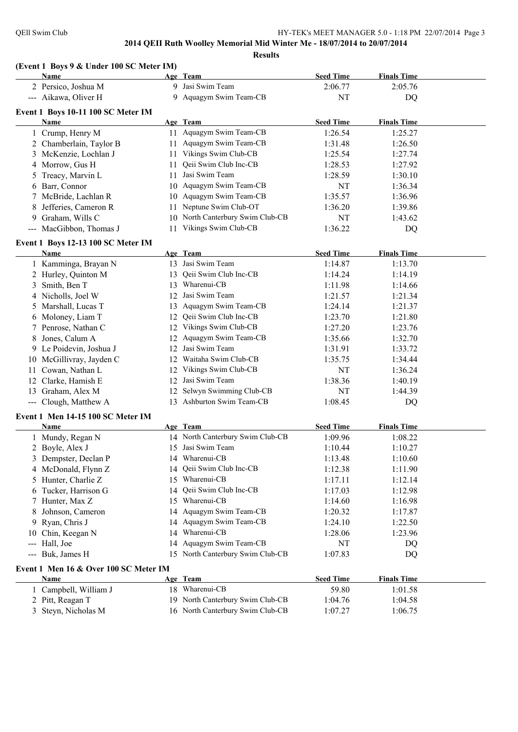**Results**

|                | (Event 1 Boys 9 & Under 100 SC Meter IM) |    |                                  |                  |                    |  |
|----------------|------------------------------------------|----|----------------------------------|------------------|--------------------|--|
|                | Name                                     |    | Age Team                         | <b>Seed Time</b> | <b>Finals Time</b> |  |
|                | 2 Persico, Joshua M                      |    | 9 Jasi Swim Team                 | 2:06.77          | 2:05.76            |  |
|                | --- Aikawa, Oliver H                     |    | 9 Aquagym Swim Team-CB           | <b>NT</b>        | DQ                 |  |
|                | Event 1 Boys 10-11 100 SC Meter IM       |    |                                  |                  |                    |  |
|                | Name                                     |    | Age Team                         | <b>Seed Time</b> | <b>Finals Time</b> |  |
|                | 1 Crump, Henry M                         |    | 11 Aquagym Swim Team-CB          | 1:26.54          | 1:25.27            |  |
|                | 2 Chamberlain, Taylor B                  |    | 11 Aquagym Swim Team-CB          | 1:31.48          | 1:26.50            |  |
|                | 3 McKenzie, Lochlan J                    |    | 11 Vikings Swim Club-CB          | 1:25.54          | 1:27.74            |  |
|                | 4 Morrow, Gus H                          | 11 | Qeii Swim Club Inc-CB            | 1:28.53          | 1:27.92            |  |
|                | 5 Treacy, Marvin L                       | 11 | Jasi Swim Team                   | 1:28.59          | 1:30.10            |  |
|                | 6 Barr, Connor                           |    | 10 Aquagym Swim Team-CB          | NT               | 1:36.34            |  |
|                | 7 McBride, Lachlan R                     |    | 10 Aquagym Swim Team-CB          | 1:35.57          | 1:36.96            |  |
| 8              | Jefferies, Cameron R                     | 11 | Neptune Swim Club-OT             | 1:36.20          | 1:39.86            |  |
|                | 9 Graham, Wills C                        |    | 10 North Canterbury Swim Club-CB | <b>NT</b>        | 1:43.62            |  |
|                | --- MacGibbon, Thomas J                  |    | 11 Vikings Swim Club-CB          | 1:36.22          | DQ                 |  |
|                | Event 1 Boys 12-13 100 SC Meter IM       |    |                                  |                  |                    |  |
|                | <b>Name</b>                              |    | Age Team                         | <b>Seed Time</b> | <b>Finals Time</b> |  |
|                | 1 Kamminga, Brayan N                     |    | 13 Jasi Swim Team                | 1:14.87          | 1:13.70            |  |
|                | 2 Hurley, Quinton M                      | 13 | Qeii Swim Club Inc-CB            | 1:14.24          | 1:14.19            |  |
| $\mathfrak{Z}$ | Smith, Ben T                             | 13 | Wharenui-CB                      | 1:11.98          | 1:14.66            |  |
|                | 4 Nicholls, Joel W                       | 12 | Jasi Swim Team                   | 1:21.57          | 1:21.34            |  |
|                | 5 Marshall, Lucas T                      | 13 | Aquagym Swim Team-CB             | 1:24.14          | 1:21.37            |  |
|                | 6 Moloney, Liam T                        | 12 | Qeii Swim Club Inc-CB            | 1:23.70          | 1:21.80            |  |
|                | 7 Penrose, Nathan C                      | 12 | Vikings Swim Club-CB             | 1:27.20          | 1:23.76            |  |
| 8              | Jones, Calum A                           | 12 | Aquagym Swim Team-CB             | 1:35.66          | 1:32.70            |  |
|                | 9 Le Poidevin, Joshua J                  | 12 | Jasi Swim Team                   | 1:31.91          | 1:33.72            |  |
|                | 10 McGillivray, Jayden C                 | 12 | Waitaha Swim Club-CB             | 1:35.75          | 1:34.44            |  |
| 11             | Cowan, Nathan L                          |    | 12 Vikings Swim Club-CB          | <b>NT</b>        | 1:36.24            |  |
| 12             | Clarke, Hamish E                         |    | 12 Jasi Swim Team                | 1:38.36          | 1:40.19            |  |
|                | 13 Graham, Alex M                        | 12 | Selwyn Swimming Club-CB          | NT               | 1:44.39            |  |
|                | --- Clough, Matthew A                    |    | 13 Ashburton Swim Team-CB        | 1:08.45          | DQ                 |  |
|                | Event 1 Men 14-15 100 SC Meter IM        |    |                                  |                  |                    |  |
|                | Name                                     |    | Age Team                         | <b>Seed Time</b> | <b>Finals Time</b> |  |
|                | 1 Mundy, Regan N                         |    | 14 North Canterbury Swim Club-CB | 1:09.96          | 1:08.22            |  |
|                | 2 Boyle, Alex J                          |    | 15 Jasi Swim Team                | 1:10.44          | 1:10.27            |  |
|                | 3 Dempster, Declan P                     |    | 14 Wharenui-CB                   | 1:13.48          | 1:10.60            |  |
|                | 4 McDonald, Flynn Z                      | 14 | Qeii Swim Club Inc-CB            | 1:12.38          | 1:11.90            |  |
|                | 5 Hunter, Charlie Z                      | 15 | Wharenui-CB                      | 1:17.11          | 1:12.14            |  |
| 6              | Tucker, Harrison G                       | 14 | Qeii Swim Club Inc-CB            | 1:17.03          | 1:12.98            |  |
|                | 7 Hunter, Max Z                          |    | 15 Wharenui-CB                   | 1:14.60          | 1:16.98            |  |
| 8              | Johnson, Cameron                         |    | 14 Aquagym Swim Team-CB          | 1:20.32          | 1:17.87            |  |
|                | 9 Ryan, Chris J                          |    | 14 Aquagym Swim Team-CB          | 1:24.10          | 1:22.50            |  |
| 10             | Chin, Keegan N                           |    | 14 Wharenui-CB                   | 1:28.06          | 1:23.96            |  |
|                | Hall, Joe                                | 14 | Aquagym Swim Team-CB             | NT               |                    |  |
| ---            | --- Buk, James H                         |    | 15 North Canterbury Swim Club-CB | 1:07.83          | DQ<br>DQ           |  |
|                |                                          |    |                                  |                  |                    |  |
|                | Event 1 Men 16 & Over 100 SC Meter IM    |    |                                  |                  |                    |  |
|                | Name                                     |    | Age Team<br>18 Wharenui-CB       | <b>Seed Time</b> | <b>Finals Time</b> |  |
|                | 1 Campbell, William J                    |    |                                  | 59.80            | 1:01.58            |  |
|                | 2 Pitt, Reagan T                         |    | 19 North Canterbury Swim Club-CB | 1:04.76          | 1:04.58            |  |
|                | 3 Steyn, Nicholas M                      |    | 16 North Canterbury Swim Club-CB | 1:07.27          | 1:06.75            |  |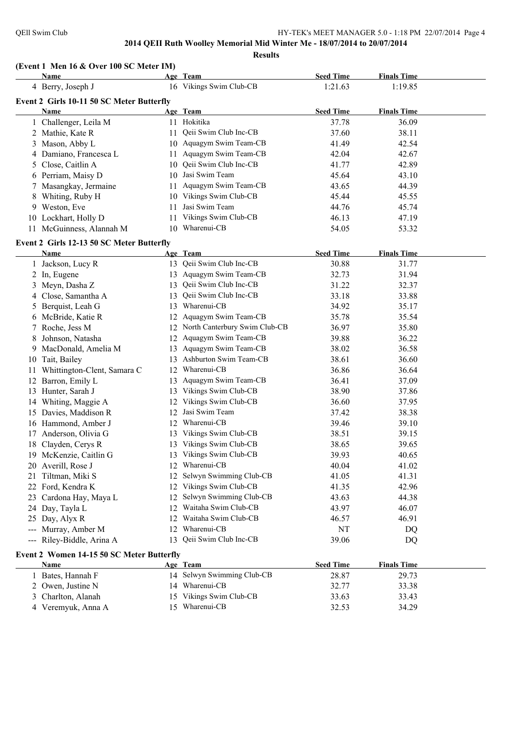**Results**

#### **(Event 1 Men 16 & Over 100 SC Meter IM)**

|                              | <b>Name</b>                               |    | Age Team                         | <b>Seed Time</b> | <b>Finals Time</b> |  |
|------------------------------|-------------------------------------------|----|----------------------------------|------------------|--------------------|--|
|                              | 4 Berry, Joseph J                         |    | 16 Vikings Swim Club-CB          | 1:21.63          | 1:19.85            |  |
|                              | Event 2 Girls 10-11 50 SC Meter Butterfly |    |                                  |                  |                    |  |
|                              | Name                                      |    | Age Team                         | <b>Seed Time</b> | <b>Finals Time</b> |  |
|                              | 1 Challenger, Leila M                     |    | 11 Hokitika                      | 37.78            | 36.09              |  |
|                              | 2 Mathie, Kate R                          | 11 | Qeii Swim Club Inc-CB            | 37.60            | 38.11              |  |
|                              | 3 Mason, Abby L                           |    | 10 Aquagym Swim Team-CB          | 41.49            | 42.54              |  |
| 4                            | Damiano, Francesca L                      |    | 11 Aquagym Swim Team-CB          | 42.04            | 42.67              |  |
| 5                            | Close, Caitlin A                          |    | 10 Qeii Swim Club Inc-CB         | 41.77            | 42.89              |  |
|                              | 6 Perriam, Maisy D                        |    | 10 Jasi Swim Team                | 45.64            | 43.10              |  |
| 7                            | Masangkay, Jermaine                       |    | 11 Aquagym Swim Team-CB          | 43.65            | 44.39              |  |
| 8                            | Whiting, Ruby H                           |    | 10 Vikings Swim Club-CB          | 45.44            | 45.55              |  |
| 9                            | Weston, Eve                               | 11 | Jasi Swim Team                   | 44.76            | 45.74              |  |
|                              | 10 Lockhart, Holly D                      | 11 | Vikings Swim Club-CB             | 46.13            | 47.19              |  |
| 11                           | McGuinness, Alannah M                     |    | 10 Wharenui-CB                   | 54.05            | 53.32              |  |
|                              | Event 2 Girls 12-13 50 SC Meter Butterfly |    |                                  |                  |                    |  |
|                              | Name                                      |    | Age Team                         | <b>Seed Time</b> | <b>Finals Time</b> |  |
|                              | 1 Jackson, Lucy R                         |    | 13 Qeii Swim Club Inc-CB         | 30.88            | 31.77              |  |
|                              | 2 In, Eugene                              |    | 13 Aquagym Swim Team-CB          | 32.73            | 31.94              |  |
| 3                            | Meyn, Dasha Z                             | 13 | Qeii Swim Club Inc-CB            | 31.22            | 32.37              |  |
| 4                            | Close, Samantha A                         | 13 | Qeii Swim Club Inc-CB            | 33.18            | 33.88              |  |
| 5                            | Berquist, Leah G                          | 13 | Wharenui-CB                      | 34.92            | 35.17              |  |
| 6                            | McBride, Katie R                          |    | 12 Aquagym Swim Team-CB          | 35.78            | 35.54              |  |
| 7                            | Roche, Jess M                             |    | 12 North Canterbury Swim Club-CB | 36.97            | 35.80              |  |
| 8                            | Johnson, Natasha                          | 12 | Aquagym Swim Team-CB             | 39.88            | 36.22              |  |
| 9                            | MacDonald, Amelia M                       | 13 | Aquagym Swim Team-CB             | 38.02            | 36.58              |  |
| 10                           | Tait, Bailey                              | 13 | Ashburton Swim Team-CB           | 38.61            | 36.60              |  |
| 11                           | Whittington-Clent, Samara C               | 12 | Wharenui-CB                      | 36.86            | 36.64              |  |
| 12                           | Barron, Emily L                           | 13 | Aquagym Swim Team-CB             | 36.41            | 37.09              |  |
| 13                           | Hunter, Sarah J                           |    | 13 Vikings Swim Club-CB          | 38.90            | 37.86              |  |
| 14                           | Whiting, Maggie A                         |    | 12 Vikings Swim Club-CB          | 36.60            | 37.95              |  |
|                              | 15 Davies, Maddison R                     | 12 | Jasi Swim Team                   | 37.42            | 38.38              |  |
|                              | 16 Hammond, Amber J                       |    | 12 Wharenui-CB                   | 39.46            | 39.10              |  |
| 17                           | Anderson, Olivia G                        |    | 13 Vikings Swim Club-CB          | 38.51            | 39.15              |  |
| 18                           | Clayden, Cerys R                          |    | 13 Vikings Swim Club-CB          | 38.65            | 39.65              |  |
|                              | 19 McKenzie, Caitlin G                    |    | 13 Vikings Swim Club-CB          | 39.93            | 40.65              |  |
|                              | 20 Averill, Rose J                        |    | 12 Wharenui-CB                   | 40.04            | 41.02              |  |
|                              | 21 Tiltman, Miki S                        |    | 12 Selwyn Swimming Club-CB       | 41.05            | 41.31              |  |
|                              | 22 Ford, Kendra K                         |    | 12 Vikings Swim Club-CB          | 41.35            | 42.96              |  |
| 23                           | Cardona Hay, Maya L                       |    | 12 Selwyn Swimming Club-CB       | 43.63            | 44.38              |  |
| 24                           | Day, Tayla L                              |    | 12 Waitaha Swim Club-CB          | 43.97            | 46.07              |  |
| 25                           | Day, Alyx R                               |    | 12 Waitaha Swim Club-CB          | 46.57            | 46.91              |  |
| $\qquad \qquad \textbf{---}$ | Murray, Amber M                           | 12 | Wharenui-CB                      | NT               | DQ                 |  |
| $---$                        | Riley-Biddle, Arina A                     | 13 | Qeii Swim Club Inc-CB            | 39.06            | DQ                 |  |
|                              | Event 2 Women 14-15 50 SC Meter Butterfly |    |                                  |                  |                    |  |
|                              | Name                                      |    | Age Team                         | <b>Seed Time</b> | <b>Finals Time</b> |  |
|                              | 1 Bates, Hannah F                         |    | 14 Selwyn Swimming Club-CB       | 28.87            | 29.73              |  |
|                              | 2 Owen, Justine N                         |    | 14 Wharenui-CB                   | 32.77            | 33.38              |  |
|                              |                                           |    |                                  |                  |                    |  |
| 3                            | Charlton, Alanah                          |    | 15 Vikings Swim Club-CB          | 33.63            | 33.43              |  |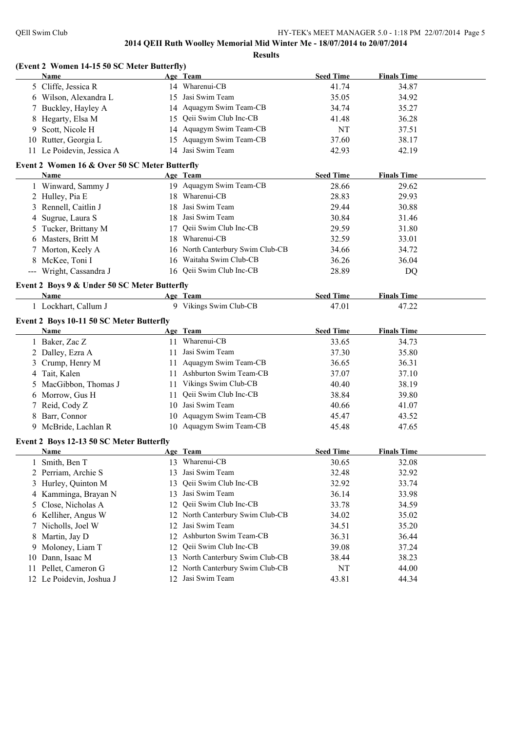**Results**

|    | (Event 2 Women 14-15 50 SC Meter Butterfly)   |    |                                    |                  |                    |  |
|----|-----------------------------------------------|----|------------------------------------|------------------|--------------------|--|
|    | Name                                          |    | Age Team                           | <b>Seed Time</b> | <b>Finals Time</b> |  |
|    | 5 Cliffe, Jessica R                           |    | 14 Wharenui-CB                     | 41.74            | 34.87              |  |
|    | 6 Wilson, Alexandra L                         |    | 15 Jasi Swim Team                  | 35.05            | 34.92              |  |
|    | 7 Buckley, Hayley A                           |    | 14 Aquagym Swim Team-CB            | 34.74            | 35.27              |  |
| 8  | Hegarty, Elsa M                               |    | 15 Qeii Swim Club Inc-CB           | 41.48            | 36.28              |  |
| 9. | Scott, Nicole H                               |    | 14 Aquagym Swim Team-CB            | NT               | 37.51              |  |
|    | 10 Rutter, Georgia L                          |    | 15 Aquagym Swim Team-CB            | 37.60            | 38.17              |  |
|    | 11 Le Poidevin, Jessica A                     |    | 14 Jasi Swim Team                  | 42.93            | 42.19              |  |
|    | Event 2 Women 16 & Over 50 SC Meter Butterfly |    |                                    |                  |                    |  |
|    | Name                                          |    | Age Team                           | <b>Seed Time</b> | <b>Finals Time</b> |  |
|    | 1 Winward, Sammy J                            |    | 19 Aquagym Swim Team-CB            | 28.66            | 29.62              |  |
|    | 2 Hulley, Pia E                               |    | 18 Wharenui-CB                     | 28.83            | 29.93              |  |
|    | 3 Rennell, Caitlin J                          |    | 18 Jasi Swim Team                  | 29.44            | 30.88              |  |
|    | 4 Sugrue, Laura S                             |    | 18 Jasi Swim Team                  | 30.84            | 31.46              |  |
|    | 5 Tucker, Brittany M                          | 17 | Qeii Swim Club Inc-CB              | 29.59            | 31.80              |  |
|    | 6 Masters, Britt M                            |    | 18 Wharenui-CB                     | 32.59            | 33.01              |  |
| 7  | Morton, Keely A                               |    | 16 North Canterbury Swim Club-CB   | 34.66            | 34.72              |  |
|    | 8 McKee, Toni I                               |    | 16 Waitaha Swim Club-CB            | 36.26            | 36.04              |  |
|    | --- Wright, Cassandra J                       |    | 16 Qeii Swim Club Inc-CB           | 28.89            | DQ                 |  |
|    |                                               |    |                                    |                  |                    |  |
|    | Event 2 Boys 9 & Under 50 SC Meter Butterfly  |    |                                    | <b>Seed Time</b> | <b>Finals Time</b> |  |
|    | Name<br>1 Lockhart, Callum J                  |    | Age Team<br>9 Vikings Swim Club-CB | 47.01            |                    |  |
|    |                                               |    |                                    |                  | 47.22              |  |
|    | Event 2 Boys 10-11 50 SC Meter Butterfly      |    |                                    |                  |                    |  |
|    | Name                                          |    | Age Team                           | <b>Seed Time</b> | <b>Finals Time</b> |  |
|    | 1 Baker, Zac Z                                |    | 11 Wharenui-CB                     | 33.65            | 34.73              |  |
|    |                                               |    | 11 Jasi Swim Team                  | 37.30            | 35.80              |  |
|    | 2 Dalley, Ezra A                              |    |                                    |                  |                    |  |
|    | 3 Crump, Henry M                              |    | 11 Aquagym Swim Team-CB            | 36.65            | 36.31              |  |
|    | 4 Tait, Kalen                                 |    | 11 Ashburton Swim Team-CB          | 37.07            | 37.10              |  |
|    | 5 MacGibbon, Thomas J                         |    | 11 Vikings Swim Club-CB            | 40.40            | 38.19              |  |
|    | 6 Morrow, Gus H                               |    | 11 Qeii Swim Club Inc-CB           | 38.84            | 39.80              |  |
|    | 7 Reid, Cody Z                                |    | 10 Jasi Swim Team                  | 40.66            | 41.07              |  |
|    | 8 Barr, Connor                                |    | 10 Aquagym Swim Team-CB            | 45.47            | 43.52              |  |
|    | 9 McBride, Lachlan R                          |    | 10 Aquagym Swim Team-CB            | 45.48            | 47.65              |  |
|    | Event 2 Boys 12-13 50 SC Meter Butterfly      |    |                                    |                  |                    |  |
|    | Name                                          |    | Age Team                           | <b>Seed Time</b> | <b>Finals Time</b> |  |
|    | Smith, Ben T                                  |    | 13 Wharenui-CB                     | 30.65            | 32.08              |  |
|    | 2 Perriam, Archie S                           | 13 | Jasi Swim Team                     | 32.48            | 32.92              |  |
| 3  | Hurley, Quinton M                             | 13 | Qeii Swim Club Inc-CB              | 32.92            | 33.74              |  |
|    | 4 Kamminga, Brayan N                          | 13 | Jasi Swim Team                     | 36.14            | 33.98              |  |
| 5  | Close, Nicholas A                             | 12 | Qeii Swim Club Inc-CB              | 33.78            | 34.59              |  |
|    | 6 Kelliher, Angus W                           |    | 12 North Canterbury Swim Club-CB   | 34.02            | 35.02              |  |
| 7. | Nicholls, Joel W                              | 12 | Jasi Swim Team                     | 34.51            | 35.20              |  |
| 8  | Martin, Jay D                                 |    | 12 Ashburton Swim Team-CB          | 36.31            | 36.44              |  |
| 9. | Moloney, Liam T                               | 12 | Qeii Swim Club Inc-CB              | 39.08            | 37.24              |  |
| 10 | Dann, Isaac M                                 |    | 13 North Canterbury Swim Club-CB   | 38.44            | 38.23              |  |
| 11 | Pellet, Cameron G                             | 12 | North Canterbury Swim Club-CB      | NT               | 44.00              |  |
|    | 12 Le Poidevin, Joshua J                      | 12 | Jasi Swim Team                     | 43.81            | 44.34              |  |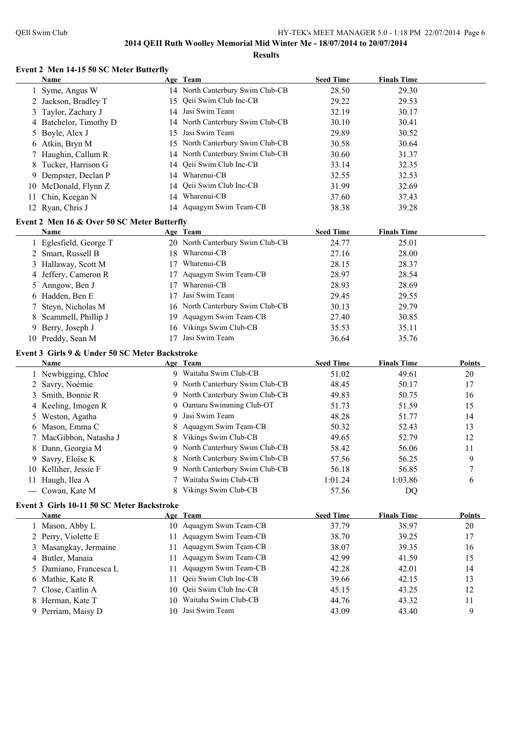#### **Event 2 Men 14-15 50 SC Meter Butterfly Name Age Team Seed Time Finals Time**

|    | Syme, Angus W                                  |          | 14 North Canterbury Swim Club-CB | 28.50            | 29.30              |                |
|----|------------------------------------------------|----------|----------------------------------|------------------|--------------------|----------------|
|    | Jackson, Bradley T                             | 15       | Qeii Swim Club Inc-CB            | 29.22            | 29.53              |                |
| 3  | Taylor, Zachary J                              |          | 14 Jasi Swim Team                | 32.19            | 30.17              |                |
| 4  | Batchelor, Timothy D                           |          | 14 North Canterbury Swim Club-CB | 30.10            | 30.41              |                |
| 5. | Boyle, Alex J                                  | 15       | Jasi Swim Team                   | 29.89            | 30.52              |                |
|    | 6 Atkin, Bryn M                                |          | 15 North Canterbury Swim Club-CB | 30.58            | 30.64              |                |
|    | 7 Haughin, Callum R                            |          | 14 North Canterbury Swim Club-CB | 30.60            | 31.37              |                |
| 8  | Tucker, Harrison G                             | 14       | Qeii Swim Club Inc-CB            | 33.14            | 32.35              |                |
| 9  | Dempster, Declan P                             |          | 14 Wharenui-CB                   | 32.55            | 32.53              |                |
|    | 10 McDonald, Flynn Z                           | 14       | Qeii Swim Club Inc-CB            | 31.99            | 32.69              |                |
|    | 11 Chin, Keegan N                              |          | 14 Wharenui-CB                   | 37.60            | 37.43              |                |
|    | 12 Ryan, Chris J                               |          | 14 Aquagym Swim Team-CB          | 38.38            | 39.28              |                |
|    |                                                |          |                                  |                  |                    |                |
|    | Event 2 Men 16 & Over 50 SC Meter Butterfly    |          |                                  |                  |                    |                |
|    | Name                                           |          | Age Team                         | <b>Seed Time</b> | <b>Finals Time</b> |                |
|    | 1 Eglesfield, George T                         |          | 20 North Canterbury Swim Club-CB | 24.77            | 25.01              |                |
|    | 2 Smart, Russell B                             |          | 18 Wharenui-CB                   | 27.16            | 28.00              |                |
|    | 3 Hallaway, Scott M                            |          | 17 Wharenui-CB                   | 28.15            | 28.37              |                |
|    | 4 Jeffery, Cameron R                           |          | 17 Aquagym Swim Team-CB          | 28.97            | 28.54              |                |
|    | 5 Anngow, Ben J                                |          | 17 Wharenui-CB                   | 28.93            | 28.69              |                |
|    | 6 Hadden, Ben E                                | 17       | Jasi Swim Team                   | 29.45            | 29.55              |                |
| 7. | Steyn, Nicholas M                              |          | 16 North Canterbury Swim Club-CB | 30.13            | 29.79              |                |
| 8  | Scammell, Phillip J                            |          | 19 Aquagym Swim Team-CB          | 27.40            | 30.85              |                |
| 9  | Berry, Joseph J                                |          | 16 Vikings Swim Club-CB          | 35.53            | 35.11              |                |
|    | 10 Preddy, Sean M                              |          | 17 Jasi Swim Team                | 36.64            | 35.76              |                |
|    | Event 3 Girls 9 & Under 50 SC Meter Backstroke |          |                                  |                  |                    |                |
|    | Name                                           |          | Age Team                         | <b>Seed Time</b> | <b>Finals Time</b> | Points         |
|    | 1 Newbigging, Chloe                            |          | 9 Waitaha Swim Club-CB           | 51.02            | 49.61              | 20             |
|    | 2 Savry, Noémie                                |          | 9 North Canterbury Swim Club-CB  | 48.45            | 50.17              | 17             |
|    | 3 Smith, Bonnie R                              |          | 9 North Canterbury Swim Club-CB  | 49.83            | 50.75              | 16             |
|    | 4 Keeling, Imogen R                            |          | 9 Oamaru Swimming Club-OT        | 51.73            | 51.59              | 15             |
|    | 5 Weston, Agatha                               |          | 9 Jasi Swim Team                 | 48.28            | 51.77              | 14             |
|    | 6 Mason, Emma C                                | 8        | Aquagym Swim Team-CB             | 50.32            | 52.43              | 13             |
|    | 7 MacGibbon, Natasha J                         | 8        | Vikings Swim Club-CB             | 49.65            | 52.79              | 12             |
| 8  | Dann, Georgia M                                |          | 9 North Canterbury Swim Club-CB  | 58.42            | 56.06              | 11             |
| 9  | Savry, Eloïse K                                |          | North Canterbury Swim Club-CB    | 57.56            | 56.25              | 9              |
|    | 10 Kelliher, Jessie F                          |          | 9 North Canterbury Swim Club-CB  | 56.18            | 56.85              | $\overline{7}$ |
|    | 11 Haugh, Ilea A                               | 7        | Waitaha Swim Club-CB             | 1:01.24          | 1:03.86            | 6              |
|    | --- Cowan, Kate M                              | 8        | Vikings Swim Club-CB             | 57.56            | DQ                 |                |
|    | Event 3 Girls 10-11 50 SC Meter Backstroke     |          |                                  |                  |                    |                |
|    | Name                                           |          | Age Team                         | <b>Seed Time</b> | <b>Finals Time</b> | <b>Points</b>  |
|    | 1 Mason, Abby L                                |          | 10 Aquagym Swim Team-CB          | 37.79            | 38.97              | 20             |
|    | 2 Perry, Violette E                            | 11       | Aquagym Swim Team-CB             | 38.70            | 39.25              | 17             |
|    | 3 Masangkay, Jermaine                          | 11       | Aquagym Swim Team-CB             | 38.07            | 39.35              | 16             |
|    | 4 Butler, Manaia                               |          | Aquagym Swim Team-CB             | 42.99            | 41.59              | 15             |
|    | 5 Damiano, Francesca L                         | 11<br>11 | Aquagym Swim Team-CB             | 42.28            | 42.01              | 14             |
|    | 6 Mathie, Kate R                               |          | Qeii Swim Club Inc-CB            |                  |                    |                |
|    |                                                | 11       | Qeii Swim Club Inc-CB            | 39.66<br>45.15   | 42.15              | 13             |
| 7. | Close, Caitlin A                               | 10       | Waitaha Swim Club-CB             |                  | 43.25              | 12             |
|    | 8 Herman, Kate T                               | 10.      | 10 Jasi Swim Team                | 44.76            | 43.32              | 11             |
|    | 9 Perriam, Maisy D                             |          |                                  | 43.09            | 43.40              | 9              |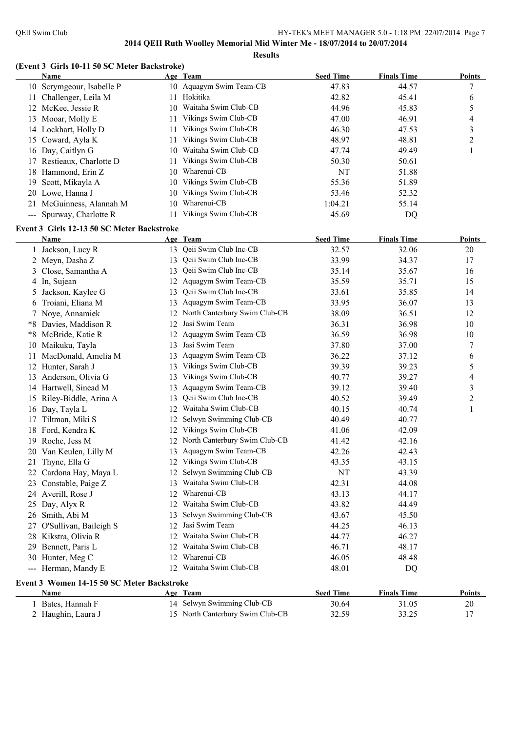**Results**

#### **(Event 3 Girls 10-11 50 SC Meter Backstroke)**

| 10 Aquagym Swim Team-CB<br>47.83<br>44.57<br>10 Scrymgeour, Isabelle P<br>11 Hokitika<br>42.82<br>45.41<br>11 Challenger, Leila M<br>Waitaha Swim Club-CB<br>44.96<br>45.83<br>12 McKee, Jessie R<br>10<br>Vikings Swim Club-CB<br>46.91<br>13 Mooar, Molly E<br>47.00<br>11<br>Vikings Swim Club-CB<br>47.53<br>14 Lockhart, Holly D<br>46.30<br>11<br>15 Coward, Ayla K<br>Vikings Swim Club-CB<br>48.97<br>48.81<br>11 | 7<br>6<br>5<br>4<br>3<br>$\overline{c}$<br>1 |
|---------------------------------------------------------------------------------------------------------------------------------------------------------------------------------------------------------------------------------------------------------------------------------------------------------------------------------------------------------------------------------------------------------------------------|----------------------------------------------|
|                                                                                                                                                                                                                                                                                                                                                                                                                           |                                              |
|                                                                                                                                                                                                                                                                                                                                                                                                                           |                                              |
|                                                                                                                                                                                                                                                                                                                                                                                                                           |                                              |
|                                                                                                                                                                                                                                                                                                                                                                                                                           |                                              |
|                                                                                                                                                                                                                                                                                                                                                                                                                           |                                              |
|                                                                                                                                                                                                                                                                                                                                                                                                                           |                                              |
| Waitaha Swim Club-CB<br>16 Day, Caitlyn G<br>47.74<br>49.49<br>10                                                                                                                                                                                                                                                                                                                                                         |                                              |
| 17 Restieaux, Charlotte D<br>Vikings Swim Club-CB<br>50.30<br>50.61<br>11                                                                                                                                                                                                                                                                                                                                                 |                                              |
| 10 Wharenui-CB<br>NT<br>51.88<br>18 Hammond, Erin Z                                                                                                                                                                                                                                                                                                                                                                       |                                              |
| 10 Vikings Swim Club-CB<br>55.36<br>Scott, Mikayla A<br>51.89<br>19                                                                                                                                                                                                                                                                                                                                                       |                                              |
| 10 Vikings Swim Club-CB<br>20 Lowe, Hanna J<br>53.46<br>52.32                                                                                                                                                                                                                                                                                                                                                             |                                              |
| 10 Wharenui-CB<br>21 McGuinness, Alannah M<br>1:04.21<br>55.14                                                                                                                                                                                                                                                                                                                                                            |                                              |
| Vikings Swim Club-CB<br>--- Spurway, Charlotte R<br>45.69<br>11<br>DQ                                                                                                                                                                                                                                                                                                                                                     |                                              |
|                                                                                                                                                                                                                                                                                                                                                                                                                           |                                              |
| Event 3 Girls 12-13 50 SC Meter Backstroke<br><b>Seed Time</b><br><b>Finals Time</b><br>Age Team<br>Name                                                                                                                                                                                                                                                                                                                  | <b>Points</b>                                |
| 13 Qeii Swim Club Inc-CB<br>32.57<br>32.06<br>1 Jackson, Lucy R                                                                                                                                                                                                                                                                                                                                                           | 20                                           |
| Qeii Swim Club Inc-CB<br>34.37<br>33.99<br>13                                                                                                                                                                                                                                                                                                                                                                             | 17                                           |
| 2 Meyn, Dasha Z<br>Qeii Swim Club Inc-CB                                                                                                                                                                                                                                                                                                                                                                                  |                                              |
| Close, Samantha A<br>35.14<br>35.67<br>13<br>3                                                                                                                                                                                                                                                                                                                                                                            | 16                                           |
| Aquagym Swim Team-CB<br>4 In, Sujean<br>35.59<br>35.71<br>12                                                                                                                                                                                                                                                                                                                                                              | 15                                           |
| Qeii Swim Club Inc-CB<br>Jackson, Kaylee G<br>33.61<br>35.85<br>13<br>5.                                                                                                                                                                                                                                                                                                                                                  | 14                                           |
| Aquagym Swim Team-CB<br>Troiani, Eliana M<br>33.95<br>36.07<br>13<br>6                                                                                                                                                                                                                                                                                                                                                    | 13                                           |
| 12 North Canterbury Swim Club-CB<br>7 Noye, Annamiek<br>38.09<br>36.51                                                                                                                                                                                                                                                                                                                                                    | 12                                           |
| 12 Jasi Swim Team<br>*8 Davies, Maddison R<br>36.31<br>36.98                                                                                                                                                                                                                                                                                                                                                              | 10                                           |
| 12 Aquagym Swim Team-CB<br>*8 McBride, Katie R<br>36.59<br>36.98                                                                                                                                                                                                                                                                                                                                                          | 10                                           |
| Jasi Swim Team<br>37.00<br>Maikuku, Tayla<br>37.80<br>13<br>10                                                                                                                                                                                                                                                                                                                                                            | 7                                            |
| MacDonald, Amelia M<br>Aquagym Swim Team-CB<br>36.22<br>37.12<br>13<br>11                                                                                                                                                                                                                                                                                                                                                 | 6                                            |
| Vikings Swim Club-CB<br>Hunter, Sarah J<br>39.39<br>39.23<br>12<br>13                                                                                                                                                                                                                                                                                                                                                     | 5                                            |
| Vikings Swim Club-CB<br>Anderson, Olivia G<br>40.77<br>39.27<br>13<br>13                                                                                                                                                                                                                                                                                                                                                  | 4                                            |
| Aquagym Swim Team-CB<br>14 Hartwell, Sinead M<br>39.12<br>39.40<br>13                                                                                                                                                                                                                                                                                                                                                     | 3                                            |
| Qeii Swim Club Inc-CB<br>15 Riley-Biddle, Arina A<br>40.52<br>39.49<br>13                                                                                                                                                                                                                                                                                                                                                 | $\overline{\mathbf{c}}$                      |
| Waitaha Swim Club-CB<br>40.74<br>16 Day, Tayla L<br>40.15<br>12                                                                                                                                                                                                                                                                                                                                                           | $\mathbf{1}$                                 |
| Selwyn Swimming Club-CB<br>Tiltman, Miki S<br>40.49<br>40.77<br>12<br>17                                                                                                                                                                                                                                                                                                                                                  |                                              |
| Vikings Swim Club-CB<br>18 Ford, Kendra K<br>42.09<br>12<br>41.06                                                                                                                                                                                                                                                                                                                                                         |                                              |
| North Canterbury Swim Club-CB<br>19 Roche, Jess M<br>42.16<br>41.42<br>12                                                                                                                                                                                                                                                                                                                                                 |                                              |
| 13 Aquagym Swim Team-CB<br>42.26<br>20 Van Keulen, Lilly M<br>42.43                                                                                                                                                                                                                                                                                                                                                       |                                              |
| 21 Thyne, Ella G<br>12 Vikings Swim Club-CB<br>43.35<br>43.15                                                                                                                                                                                                                                                                                                                                                             |                                              |
| 12 Selwyn Swimming Club-CB<br>22 Cardona Hay, Maya L<br>43.39<br>NT                                                                                                                                                                                                                                                                                                                                                       |                                              |
| Waitaha Swim Club-CB<br>23 Constable, Paige Z<br>44.08<br>42.31<br>13                                                                                                                                                                                                                                                                                                                                                     |                                              |
| Wharenui-CB<br>44.17<br>24 Averill, Rose J<br>43.13<br>12                                                                                                                                                                                                                                                                                                                                                                 |                                              |
| Waitaha Swim Club-CB<br>44.49<br>Day, Alyx R<br>43.82<br>12<br>25                                                                                                                                                                                                                                                                                                                                                         |                                              |
| Selwyn Swimming Club-CB<br>26 Smith, Abi M<br>45.50<br>43.67<br>13                                                                                                                                                                                                                                                                                                                                                        |                                              |
| O'Sullivan, Baileigh S<br>Jasi Swim Team<br>46.13<br>44.25<br>27<br>12                                                                                                                                                                                                                                                                                                                                                    |                                              |
| Waitaha Swim Club-CB<br>Kikstra, Olivia R<br>46.27<br>44.77<br>28<br>12                                                                                                                                                                                                                                                                                                                                                   |                                              |
| Waitaha Swim Club-CB<br>Bennett, Paris L<br>46.71<br>48.17<br>29<br>12                                                                                                                                                                                                                                                                                                                                                    |                                              |
| Wharenui-CB<br>30 Hunter, Meg C<br>46.05<br>48.48<br>12                                                                                                                                                                                                                                                                                                                                                                   |                                              |
| Waitaha Swim Club-CB<br>--- Herman, Mandy E<br>48.01<br>12<br>DQ                                                                                                                                                                                                                                                                                                                                                          |                                              |
| Event 3 Women 14-15 50 SC Meter Backstroke                                                                                                                                                                                                                                                                                                                                                                                |                                              |
| <b>Seed Time</b><br><b>Finals Time</b><br>Name<br>Age Team                                                                                                                                                                                                                                                                                                                                                                | <b>Points</b>                                |
| 14 Selwyn Swimming Club-CB<br>1 Bates, Hannah F<br>30.64<br>31.05                                                                                                                                                                                                                                                                                                                                                         | 20                                           |
| 15 North Canterbury Swim Club-CB<br>2 Haughin, Laura J<br>32.59<br>33.25                                                                                                                                                                                                                                                                                                                                                  | 17                                           |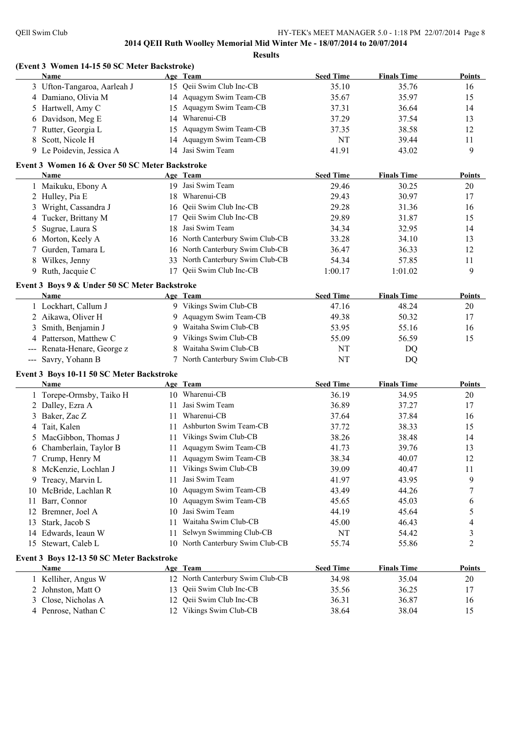**(Event 3 Women 14-15 50 SC Meter Backstroke)**

#### **2014 QEII Ruth Woolley Memorial Mid Winter Me - 18/07/2014 to 20/07/2014 Results**

**Name Age Team Seed Time Finals Time Points** 3 Ufton-Tangaroa, Aarleah J 15 Qeii Swim Club Inc-CB 35.10 35.76 16 4 Damiano, Olivia M 14 Aquagym Swim Team-CB 35.67 35.97 15 5 Hartwell, Amy C 15 Aquagym Swim Team-CB 37.31 36.64 14 6 Davidson, Meg E 14 Wharenui-CB 37.29 37.54 13 7 Rutter, Georgia L 15 Aquagym Swim Team-CB 37.35 38.58 12 8 Scott, Nicole H 14 Aquagym Swim Team-CB NT 39.44 11 9 Le Poidevin, Jessica A 14 Jasi Swim Team 41.91 43.02 9 **Event 3 Women 16 & Over 50 SC Meter Backstroke Name Age Team Seed Time Finals Time Points** 1 Maikuku, Ebony A 19 Jasi Swim Team 29.46 30.25 20 2 Hulley, Pia E 18 Wharenui-CB 29.43 30.97 17 3 Wright, Cassandra J 16 Qeii Swim Club Inc-CB 29.28 31.36 16 4 Tucker, Brittany M 17 Qeii Swim Club Inc-CB 29.89 31.87 15 5 Sugrue, Laura S 18 Jasi Swim Team 34.34 32.95 14 6 Morton, Keely A 16 North Canterbury Swim Club-CB 33.28 34.10 13 7 Gurden, Tamara L 16 North Canterbury Swim Club-CB 36.47 36.33 12 8 Wilkes, Jenny 33 North Canterbury Swim Club-CB 54.34 57.85 11 9 Ruth, Jacquie C 17 Qeii Swim Club Inc-CB 1:00.17 1:01.02 9 **Event 3 Boys 9 & Under 50 SC Meter Backstroke Name Age Team Seed Time Finals Time Points** 1 Lockhart, Callum J 9 Vikings Swim Club-CB 47.16 48.24 20 2 Aikawa, Oliver H 9 Aquagym Swim Team-CB 49.38 50.32 17 3 Smith, Benjamin J 9 Waitaha Swim Club-CB 53.95 55.16 55.16 16 4 Patterson, Matthew C 9 Vikings Swim Club-CB 55.09 56.59 56.59 15 --- Renata-Henare, George z 8 Waitaha Swim Club-CB NT DQ --- Savry, Yohann B 7 North Canterbury Swim Club-CB NT DQ **Event 3 Boys 10-11 50 SC Meter Backstroke Name Age Team Seed Time Finals Time Points** 1 Torepe-Ormsby, Taiko H 10 Wharenui-CB 36.19 34.95 20 2 Dalley, Ezra A 11 Jasi Swim Team 36.89 37.27 17 3 Baker, Zac Z 11 Wharenui-CB 37.64 37.84 16 4 Tait, Kalen 11 Ashburton Swim Team-CB 37.72 38.33 15 5 MacGibbon, Thomas J 11 Vikings Swim Club-CB 38.26 38.48 14 6 Chamberlain, Taylor B 11 Aquagym Swim Team-CB 41.73 39.76 13 7 Crump, Henry M 11 Aquagym Swim Team-CB 38.34 40.07 12 8 McKenzie, Lochlan J 11 Vikings Swim Club-CB 39.09 40.47 11 9 Treacy, Marvin L 11 Jasi Swim Team 41.97 43.95 9 10 McBride, Lachlan R 10 Aquagym Swim Team-CB 43.49 44.26 7 11 Barr, Connor 10 Aquagym Swim Team-CB 45.65 45.03 6 12 Bremner, Joel A 10 Jasi Swim Team 44.19 45.64 5 13 Stark, Jacob S 11 Waitaha Swim Club-CB 45.00 46.43 4 14 Edwards, Ieaun W 11 Selwyn Swimming Club-CB NT 54.42 3 15 Stewart, Caleb L 10 North Canterbury Swim Club-CB 55.74 55.86 2 **Event 3 Boys 12-13 50 SC Meter Backstroke Name Age Team Seed Time Finals Time Points** 1 Kelliher, Angus W 12 North Canterbury Swim Club-CB 34.98 35.04 20 2 Johnston, Matt O 13 Qeii Swim Club Inc-CB 35.56 36.25 17 3 Close, Nicholas A 12 Qeii Swim Club Inc-CB 36.31 36.87 16 4 Penrose, Nathan C 12 Vikings Swim Club-CB 38.64 38.04 15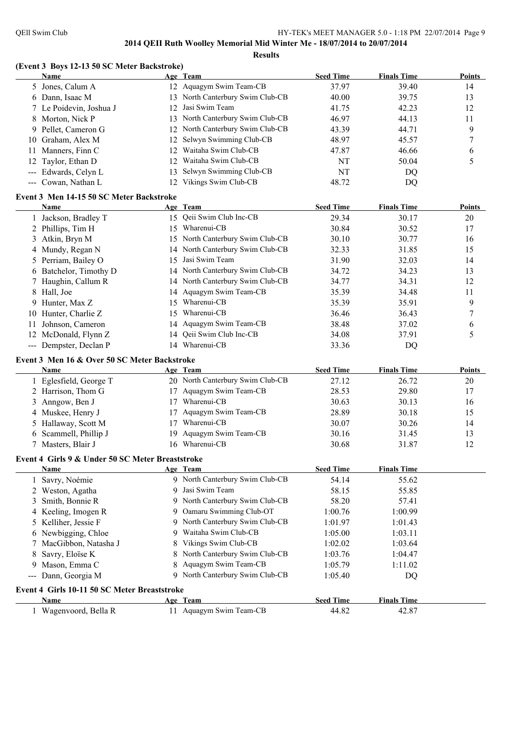#### **(Event 3 Boys 12-13 50 SC Meter Backstroke)**

| 12 Aquagym Swim Team-CB<br>5 Jones, Calum A<br>37.97<br>39.40<br>14<br>13 North Canterbury Swim Club-CB<br>6 Dann, Isaac M<br>40.00<br>39.75<br>13<br>Jasi Swim Team<br>7 Le Poidevin, Joshua J<br>42.23<br>12<br>12<br>41.75<br>North Canterbury Swim Club-CB<br>8 Morton, Nick P<br>44.13<br>11<br>13<br>46.97<br>9 Pellet, Cameron G<br>North Canterbury Swim Club-CB<br>9<br>43.39<br>44.71<br>12<br>Selwyn Swimming Club-CB<br>10 Graham, Alex M<br>45.57<br>7<br>12<br>48.97<br>Waitaha Swim Club-CB<br>Manners, Finn C<br>46.66<br>12<br>47.87<br>6<br>11<br>Waitaha Swim Club-CB<br>5<br>Taylor, Ethan D<br>NT<br>50.04<br>12<br>12<br>Selwyn Swimming Club-CB<br>--- Edwards, Celyn L<br>NT<br>13<br>DQ<br>12 Vikings Swim Club-CB<br>--- Cowan, Nathan L<br>48.72<br>DQ<br>Event 3 Men 14-15 50 SC Meter Backstroke<br><b>Finals Time</b><br><b>Seed Time</b><br><b>Points</b><br>Name<br>Age Team<br>15 Qeii Swim Club Inc-CB<br>30.17<br>1 Jackson, Bradley T<br>29.34<br>20<br>Wharenui-CB<br>2 Phillips, Tim H<br>30.52<br>17<br>30.84<br>15<br>North Canterbury Swim Club-CB<br>Atkin, Bryn M<br>30.77<br>15<br>30.10<br>16<br>3<br>North Canterbury Swim Club-CB<br>4 Mundy, Regan N<br>15<br>32.33<br>31.85<br>14<br>Jasi Swim Team<br>Perriam, Bailey O<br>32.03<br>14<br>15<br>31.90<br>5.<br>North Canterbury Swim Club-CB<br>Batchelor, Timothy D<br>34.23<br>13<br>34.72<br>14<br>6<br>North Canterbury Swim Club-CB<br>Haughin, Callum R<br>34.77<br>34.31<br>12<br>14<br>Aquagym Swim Team-CB<br>34.48<br>11<br>Hall, Joe<br>35.39<br>8<br>14<br>Wharenui-CB<br>Hunter, Max Z<br>9<br>35.39<br>35.91<br>15<br>9<br>10 Hunter, Charlie Z<br>Wharenui-CB<br>7<br>36.46<br>36.43<br>15<br>Johnson, Cameron<br>14 Aquagym Swim Team-CB<br>38.48<br>37.02<br>6<br>11<br>14 Qeii Swim Club Inc-CB<br>12 McDonald, Flynn Z<br>5<br>34.08<br>37.91<br>14 Wharenui-CB<br>--- Dempster, Declan P<br>33.36<br>DQ<br>Event 3 Men 16 & Over 50 SC Meter Backstroke<br><b>Seed Time</b><br><b>Finals Time</b><br>Name<br><b>Points</b><br>Age Team<br>20 North Canterbury Swim Club-CB<br>1 Eglesfield, George T<br>27.12<br>26.72<br>20<br>Aquagym Swim Team-CB<br>2 Harrison, Thom G<br>29.80<br>28.53<br>17<br>17<br>17 Wharenui-CB<br>Anngow, Ben J<br>30.63<br>30.13<br>16<br>3<br>4 Muskee, Henry J<br>Aquagym Swim Team-CB<br>28.89<br>30.18<br>15<br>17<br>Wharenui-CB<br>Hallaway, Scott M<br>30.26<br>30.07<br>14<br>5<br>17<br>6 Scammell, Phillip J<br>Aquagym Swim Team-CB<br>30.16<br>31.45<br>13<br>19<br>16 Wharenui-CB<br>12<br>7 Masters, Blair J<br>30.68<br>31.87<br>Event 4 Girls 9 & Under 50 SC Meter Breaststroke<br>Age Team<br><b>Seed Time</b><br><b>Finals Time</b><br>Name<br>9 North Canterbury Swim Club-CB<br>Savry, Noémie<br>54.14<br>55.62<br>Jasi Swim Team<br>58.15<br>55.85<br>2 Weston, Agatha<br>9<br>North Canterbury Swim Club-CB<br>Smith, Bonnie R<br>58.20<br>57.41<br>3<br>9<br>Oamaru Swimming Club-OT<br>Keeling, Imogen R<br>1:00.76<br>1:00.99<br>9<br>4<br>North Canterbury Swim Club-CB<br>Kelliher, Jessie F<br>1:01.97<br>1:01.43<br>5<br>9<br>Waitaha Swim Club-CB<br>Newbigging, Chloe<br>1:05.00<br>1:03.11<br>9<br>6<br>Vikings Swim Club-CB<br>MacGibbon, Natasha J<br>1:02.02<br>1:03.64<br>7<br>North Canterbury Swim Club-CB<br>Savry, Eloïse K<br>1:03.76<br>1:04.47<br>8<br>Aquagym Swim Team-CB<br>Mason, Emma C<br>1:05.79<br>1:11.02<br>9.<br>9 North Canterbury Swim Club-CB<br>Dann, Georgia M<br>1:05.40<br>DQ<br>$\scriptstyle\cdots$<br>Event 4 Girls 10-11 50 SC Meter Breaststroke<br><b>Seed Time</b><br><b>Finals Time</b><br><b>Name</b><br>Age Team<br>11 Aquagym Swim Team-CB<br>1 Wagenvoord, Bella R<br>44.82<br>42.87 | Name | Age Team | <b>Seed Time</b> | <b>Finals Time</b> | <b>Points</b> |
|-------------------------------------------------------------------------------------------------------------------------------------------------------------------------------------------------------------------------------------------------------------------------------------------------------------------------------------------------------------------------------------------------------------------------------------------------------------------------------------------------------------------------------------------------------------------------------------------------------------------------------------------------------------------------------------------------------------------------------------------------------------------------------------------------------------------------------------------------------------------------------------------------------------------------------------------------------------------------------------------------------------------------------------------------------------------------------------------------------------------------------------------------------------------------------------------------------------------------------------------------------------------------------------------------------------------------------------------------------------------------------------------------------------------------------------------------------------------------------------------------------------------------------------------------------------------------------------------------------------------------------------------------------------------------------------------------------------------------------------------------------------------------------------------------------------------------------------------------------------------------------------------------------------------------------------------------------------------------------------------------------------------------------------------------------------------------------------------------------------------------------------------------------------------------------------------------------------------------------------------------------------------------------------------------------------------------------------------------------------------------------------------------------------------------------------------------------------------------------------------------------------------------------------------------------------------------------------------------------------------------------------------------------------------------------------------------------------------------------------------------------------------------------------------------------------------------------------------------------------------------------------------------------------------------------------------------------------------------------------------------------------------------------------------------------------------------------------------------------------------------------------------------------------------------------------------------------------------------------------------------------------------------------------------------------------------------------------------------------------------------------------------------------------------------------------------------------------------------------------------------------------------------------------------------------------------------------------------------------------------------------------------------------------------------------------------------------------------|------|----------|------------------|--------------------|---------------|
|                                                                                                                                                                                                                                                                                                                                                                                                                                                                                                                                                                                                                                                                                                                                                                                                                                                                                                                                                                                                                                                                                                                                                                                                                                                                                                                                                                                                                                                                                                                                                                                                                                                                                                                                                                                                                                                                                                                                                                                                                                                                                                                                                                                                                                                                                                                                                                                                                                                                                                                                                                                                                                                                                                                                                                                                                                                                                                                                                                                                                                                                                                                                                                                                                                                                                                                                                                                                                                                                                                                                                                                                                                                                                                                   |      |          |                  |                    |               |
|                                                                                                                                                                                                                                                                                                                                                                                                                                                                                                                                                                                                                                                                                                                                                                                                                                                                                                                                                                                                                                                                                                                                                                                                                                                                                                                                                                                                                                                                                                                                                                                                                                                                                                                                                                                                                                                                                                                                                                                                                                                                                                                                                                                                                                                                                                                                                                                                                                                                                                                                                                                                                                                                                                                                                                                                                                                                                                                                                                                                                                                                                                                                                                                                                                                                                                                                                                                                                                                                                                                                                                                                                                                                                                                   |      |          |                  |                    |               |
|                                                                                                                                                                                                                                                                                                                                                                                                                                                                                                                                                                                                                                                                                                                                                                                                                                                                                                                                                                                                                                                                                                                                                                                                                                                                                                                                                                                                                                                                                                                                                                                                                                                                                                                                                                                                                                                                                                                                                                                                                                                                                                                                                                                                                                                                                                                                                                                                                                                                                                                                                                                                                                                                                                                                                                                                                                                                                                                                                                                                                                                                                                                                                                                                                                                                                                                                                                                                                                                                                                                                                                                                                                                                                                                   |      |          |                  |                    |               |
|                                                                                                                                                                                                                                                                                                                                                                                                                                                                                                                                                                                                                                                                                                                                                                                                                                                                                                                                                                                                                                                                                                                                                                                                                                                                                                                                                                                                                                                                                                                                                                                                                                                                                                                                                                                                                                                                                                                                                                                                                                                                                                                                                                                                                                                                                                                                                                                                                                                                                                                                                                                                                                                                                                                                                                                                                                                                                                                                                                                                                                                                                                                                                                                                                                                                                                                                                                                                                                                                                                                                                                                                                                                                                                                   |      |          |                  |                    |               |
|                                                                                                                                                                                                                                                                                                                                                                                                                                                                                                                                                                                                                                                                                                                                                                                                                                                                                                                                                                                                                                                                                                                                                                                                                                                                                                                                                                                                                                                                                                                                                                                                                                                                                                                                                                                                                                                                                                                                                                                                                                                                                                                                                                                                                                                                                                                                                                                                                                                                                                                                                                                                                                                                                                                                                                                                                                                                                                                                                                                                                                                                                                                                                                                                                                                                                                                                                                                                                                                                                                                                                                                                                                                                                                                   |      |          |                  |                    |               |
|                                                                                                                                                                                                                                                                                                                                                                                                                                                                                                                                                                                                                                                                                                                                                                                                                                                                                                                                                                                                                                                                                                                                                                                                                                                                                                                                                                                                                                                                                                                                                                                                                                                                                                                                                                                                                                                                                                                                                                                                                                                                                                                                                                                                                                                                                                                                                                                                                                                                                                                                                                                                                                                                                                                                                                                                                                                                                                                                                                                                                                                                                                                                                                                                                                                                                                                                                                                                                                                                                                                                                                                                                                                                                                                   |      |          |                  |                    |               |
|                                                                                                                                                                                                                                                                                                                                                                                                                                                                                                                                                                                                                                                                                                                                                                                                                                                                                                                                                                                                                                                                                                                                                                                                                                                                                                                                                                                                                                                                                                                                                                                                                                                                                                                                                                                                                                                                                                                                                                                                                                                                                                                                                                                                                                                                                                                                                                                                                                                                                                                                                                                                                                                                                                                                                                                                                                                                                                                                                                                                                                                                                                                                                                                                                                                                                                                                                                                                                                                                                                                                                                                                                                                                                                                   |      |          |                  |                    |               |
|                                                                                                                                                                                                                                                                                                                                                                                                                                                                                                                                                                                                                                                                                                                                                                                                                                                                                                                                                                                                                                                                                                                                                                                                                                                                                                                                                                                                                                                                                                                                                                                                                                                                                                                                                                                                                                                                                                                                                                                                                                                                                                                                                                                                                                                                                                                                                                                                                                                                                                                                                                                                                                                                                                                                                                                                                                                                                                                                                                                                                                                                                                                                                                                                                                                                                                                                                                                                                                                                                                                                                                                                                                                                                                                   |      |          |                  |                    |               |
|                                                                                                                                                                                                                                                                                                                                                                                                                                                                                                                                                                                                                                                                                                                                                                                                                                                                                                                                                                                                                                                                                                                                                                                                                                                                                                                                                                                                                                                                                                                                                                                                                                                                                                                                                                                                                                                                                                                                                                                                                                                                                                                                                                                                                                                                                                                                                                                                                                                                                                                                                                                                                                                                                                                                                                                                                                                                                                                                                                                                                                                                                                                                                                                                                                                                                                                                                                                                                                                                                                                                                                                                                                                                                                                   |      |          |                  |                    |               |
|                                                                                                                                                                                                                                                                                                                                                                                                                                                                                                                                                                                                                                                                                                                                                                                                                                                                                                                                                                                                                                                                                                                                                                                                                                                                                                                                                                                                                                                                                                                                                                                                                                                                                                                                                                                                                                                                                                                                                                                                                                                                                                                                                                                                                                                                                                                                                                                                                                                                                                                                                                                                                                                                                                                                                                                                                                                                                                                                                                                                                                                                                                                                                                                                                                                                                                                                                                                                                                                                                                                                                                                                                                                                                                                   |      |          |                  |                    |               |
|                                                                                                                                                                                                                                                                                                                                                                                                                                                                                                                                                                                                                                                                                                                                                                                                                                                                                                                                                                                                                                                                                                                                                                                                                                                                                                                                                                                                                                                                                                                                                                                                                                                                                                                                                                                                                                                                                                                                                                                                                                                                                                                                                                                                                                                                                                                                                                                                                                                                                                                                                                                                                                                                                                                                                                                                                                                                                                                                                                                                                                                                                                                                                                                                                                                                                                                                                                                                                                                                                                                                                                                                                                                                                                                   |      |          |                  |                    |               |
|                                                                                                                                                                                                                                                                                                                                                                                                                                                                                                                                                                                                                                                                                                                                                                                                                                                                                                                                                                                                                                                                                                                                                                                                                                                                                                                                                                                                                                                                                                                                                                                                                                                                                                                                                                                                                                                                                                                                                                                                                                                                                                                                                                                                                                                                                                                                                                                                                                                                                                                                                                                                                                                                                                                                                                                                                                                                                                                                                                                                                                                                                                                                                                                                                                                                                                                                                                                                                                                                                                                                                                                                                                                                                                                   |      |          |                  |                    |               |
|                                                                                                                                                                                                                                                                                                                                                                                                                                                                                                                                                                                                                                                                                                                                                                                                                                                                                                                                                                                                                                                                                                                                                                                                                                                                                                                                                                                                                                                                                                                                                                                                                                                                                                                                                                                                                                                                                                                                                                                                                                                                                                                                                                                                                                                                                                                                                                                                                                                                                                                                                                                                                                                                                                                                                                                                                                                                                                                                                                                                                                                                                                                                                                                                                                                                                                                                                                                                                                                                                                                                                                                                                                                                                                                   |      |          |                  |                    |               |
|                                                                                                                                                                                                                                                                                                                                                                                                                                                                                                                                                                                                                                                                                                                                                                                                                                                                                                                                                                                                                                                                                                                                                                                                                                                                                                                                                                                                                                                                                                                                                                                                                                                                                                                                                                                                                                                                                                                                                                                                                                                                                                                                                                                                                                                                                                                                                                                                                                                                                                                                                                                                                                                                                                                                                                                                                                                                                                                                                                                                                                                                                                                                                                                                                                                                                                                                                                                                                                                                                                                                                                                                                                                                                                                   |      |          |                  |                    |               |
|                                                                                                                                                                                                                                                                                                                                                                                                                                                                                                                                                                                                                                                                                                                                                                                                                                                                                                                                                                                                                                                                                                                                                                                                                                                                                                                                                                                                                                                                                                                                                                                                                                                                                                                                                                                                                                                                                                                                                                                                                                                                                                                                                                                                                                                                                                                                                                                                                                                                                                                                                                                                                                                                                                                                                                                                                                                                                                                                                                                                                                                                                                                                                                                                                                                                                                                                                                                                                                                                                                                                                                                                                                                                                                                   |      |          |                  |                    |               |
|                                                                                                                                                                                                                                                                                                                                                                                                                                                                                                                                                                                                                                                                                                                                                                                                                                                                                                                                                                                                                                                                                                                                                                                                                                                                                                                                                                                                                                                                                                                                                                                                                                                                                                                                                                                                                                                                                                                                                                                                                                                                                                                                                                                                                                                                                                                                                                                                                                                                                                                                                                                                                                                                                                                                                                                                                                                                                                                                                                                                                                                                                                                                                                                                                                                                                                                                                                                                                                                                                                                                                                                                                                                                                                                   |      |          |                  |                    |               |
|                                                                                                                                                                                                                                                                                                                                                                                                                                                                                                                                                                                                                                                                                                                                                                                                                                                                                                                                                                                                                                                                                                                                                                                                                                                                                                                                                                                                                                                                                                                                                                                                                                                                                                                                                                                                                                                                                                                                                                                                                                                                                                                                                                                                                                                                                                                                                                                                                                                                                                                                                                                                                                                                                                                                                                                                                                                                                                                                                                                                                                                                                                                                                                                                                                                                                                                                                                                                                                                                                                                                                                                                                                                                                                                   |      |          |                  |                    |               |
|                                                                                                                                                                                                                                                                                                                                                                                                                                                                                                                                                                                                                                                                                                                                                                                                                                                                                                                                                                                                                                                                                                                                                                                                                                                                                                                                                                                                                                                                                                                                                                                                                                                                                                                                                                                                                                                                                                                                                                                                                                                                                                                                                                                                                                                                                                                                                                                                                                                                                                                                                                                                                                                                                                                                                                                                                                                                                                                                                                                                                                                                                                                                                                                                                                                                                                                                                                                                                                                                                                                                                                                                                                                                                                                   |      |          |                  |                    |               |
|                                                                                                                                                                                                                                                                                                                                                                                                                                                                                                                                                                                                                                                                                                                                                                                                                                                                                                                                                                                                                                                                                                                                                                                                                                                                                                                                                                                                                                                                                                                                                                                                                                                                                                                                                                                                                                                                                                                                                                                                                                                                                                                                                                                                                                                                                                                                                                                                                                                                                                                                                                                                                                                                                                                                                                                                                                                                                                                                                                                                                                                                                                                                                                                                                                                                                                                                                                                                                                                                                                                                                                                                                                                                                                                   |      |          |                  |                    |               |
|                                                                                                                                                                                                                                                                                                                                                                                                                                                                                                                                                                                                                                                                                                                                                                                                                                                                                                                                                                                                                                                                                                                                                                                                                                                                                                                                                                                                                                                                                                                                                                                                                                                                                                                                                                                                                                                                                                                                                                                                                                                                                                                                                                                                                                                                                                                                                                                                                                                                                                                                                                                                                                                                                                                                                                                                                                                                                                                                                                                                                                                                                                                                                                                                                                                                                                                                                                                                                                                                                                                                                                                                                                                                                                                   |      |          |                  |                    |               |
|                                                                                                                                                                                                                                                                                                                                                                                                                                                                                                                                                                                                                                                                                                                                                                                                                                                                                                                                                                                                                                                                                                                                                                                                                                                                                                                                                                                                                                                                                                                                                                                                                                                                                                                                                                                                                                                                                                                                                                                                                                                                                                                                                                                                                                                                                                                                                                                                                                                                                                                                                                                                                                                                                                                                                                                                                                                                                                                                                                                                                                                                                                                                                                                                                                                                                                                                                                                                                                                                                                                                                                                                                                                                                                                   |      |          |                  |                    |               |
|                                                                                                                                                                                                                                                                                                                                                                                                                                                                                                                                                                                                                                                                                                                                                                                                                                                                                                                                                                                                                                                                                                                                                                                                                                                                                                                                                                                                                                                                                                                                                                                                                                                                                                                                                                                                                                                                                                                                                                                                                                                                                                                                                                                                                                                                                                                                                                                                                                                                                                                                                                                                                                                                                                                                                                                                                                                                                                                                                                                                                                                                                                                                                                                                                                                                                                                                                                                                                                                                                                                                                                                                                                                                                                                   |      |          |                  |                    |               |
|                                                                                                                                                                                                                                                                                                                                                                                                                                                                                                                                                                                                                                                                                                                                                                                                                                                                                                                                                                                                                                                                                                                                                                                                                                                                                                                                                                                                                                                                                                                                                                                                                                                                                                                                                                                                                                                                                                                                                                                                                                                                                                                                                                                                                                                                                                                                                                                                                                                                                                                                                                                                                                                                                                                                                                                                                                                                                                                                                                                                                                                                                                                                                                                                                                                                                                                                                                                                                                                                                                                                                                                                                                                                                                                   |      |          |                  |                    |               |
|                                                                                                                                                                                                                                                                                                                                                                                                                                                                                                                                                                                                                                                                                                                                                                                                                                                                                                                                                                                                                                                                                                                                                                                                                                                                                                                                                                                                                                                                                                                                                                                                                                                                                                                                                                                                                                                                                                                                                                                                                                                                                                                                                                                                                                                                                                                                                                                                                                                                                                                                                                                                                                                                                                                                                                                                                                                                                                                                                                                                                                                                                                                                                                                                                                                                                                                                                                                                                                                                                                                                                                                                                                                                                                                   |      |          |                  |                    |               |
|                                                                                                                                                                                                                                                                                                                                                                                                                                                                                                                                                                                                                                                                                                                                                                                                                                                                                                                                                                                                                                                                                                                                                                                                                                                                                                                                                                                                                                                                                                                                                                                                                                                                                                                                                                                                                                                                                                                                                                                                                                                                                                                                                                                                                                                                                                                                                                                                                                                                                                                                                                                                                                                                                                                                                                                                                                                                                                                                                                                                                                                                                                                                                                                                                                                                                                                                                                                                                                                                                                                                                                                                                                                                                                                   |      |          |                  |                    |               |
|                                                                                                                                                                                                                                                                                                                                                                                                                                                                                                                                                                                                                                                                                                                                                                                                                                                                                                                                                                                                                                                                                                                                                                                                                                                                                                                                                                                                                                                                                                                                                                                                                                                                                                                                                                                                                                                                                                                                                                                                                                                                                                                                                                                                                                                                                                                                                                                                                                                                                                                                                                                                                                                                                                                                                                                                                                                                                                                                                                                                                                                                                                                                                                                                                                                                                                                                                                                                                                                                                                                                                                                                                                                                                                                   |      |          |                  |                    |               |
|                                                                                                                                                                                                                                                                                                                                                                                                                                                                                                                                                                                                                                                                                                                                                                                                                                                                                                                                                                                                                                                                                                                                                                                                                                                                                                                                                                                                                                                                                                                                                                                                                                                                                                                                                                                                                                                                                                                                                                                                                                                                                                                                                                                                                                                                                                                                                                                                                                                                                                                                                                                                                                                                                                                                                                                                                                                                                                                                                                                                                                                                                                                                                                                                                                                                                                                                                                                                                                                                                                                                                                                                                                                                                                                   |      |          |                  |                    |               |
|                                                                                                                                                                                                                                                                                                                                                                                                                                                                                                                                                                                                                                                                                                                                                                                                                                                                                                                                                                                                                                                                                                                                                                                                                                                                                                                                                                                                                                                                                                                                                                                                                                                                                                                                                                                                                                                                                                                                                                                                                                                                                                                                                                                                                                                                                                                                                                                                                                                                                                                                                                                                                                                                                                                                                                                                                                                                                                                                                                                                                                                                                                                                                                                                                                                                                                                                                                                                                                                                                                                                                                                                                                                                                                                   |      |          |                  |                    |               |
|                                                                                                                                                                                                                                                                                                                                                                                                                                                                                                                                                                                                                                                                                                                                                                                                                                                                                                                                                                                                                                                                                                                                                                                                                                                                                                                                                                                                                                                                                                                                                                                                                                                                                                                                                                                                                                                                                                                                                                                                                                                                                                                                                                                                                                                                                                                                                                                                                                                                                                                                                                                                                                                                                                                                                                                                                                                                                                                                                                                                                                                                                                                                                                                                                                                                                                                                                                                                                                                                                                                                                                                                                                                                                                                   |      |          |                  |                    |               |
|                                                                                                                                                                                                                                                                                                                                                                                                                                                                                                                                                                                                                                                                                                                                                                                                                                                                                                                                                                                                                                                                                                                                                                                                                                                                                                                                                                                                                                                                                                                                                                                                                                                                                                                                                                                                                                                                                                                                                                                                                                                                                                                                                                                                                                                                                                                                                                                                                                                                                                                                                                                                                                                                                                                                                                                                                                                                                                                                                                                                                                                                                                                                                                                                                                                                                                                                                                                                                                                                                                                                                                                                                                                                                                                   |      |          |                  |                    |               |
|                                                                                                                                                                                                                                                                                                                                                                                                                                                                                                                                                                                                                                                                                                                                                                                                                                                                                                                                                                                                                                                                                                                                                                                                                                                                                                                                                                                                                                                                                                                                                                                                                                                                                                                                                                                                                                                                                                                                                                                                                                                                                                                                                                                                                                                                                                                                                                                                                                                                                                                                                                                                                                                                                                                                                                                                                                                                                                                                                                                                                                                                                                                                                                                                                                                                                                                                                                                                                                                                                                                                                                                                                                                                                                                   |      |          |                  |                    |               |
|                                                                                                                                                                                                                                                                                                                                                                                                                                                                                                                                                                                                                                                                                                                                                                                                                                                                                                                                                                                                                                                                                                                                                                                                                                                                                                                                                                                                                                                                                                                                                                                                                                                                                                                                                                                                                                                                                                                                                                                                                                                                                                                                                                                                                                                                                                                                                                                                                                                                                                                                                                                                                                                                                                                                                                                                                                                                                                                                                                                                                                                                                                                                                                                                                                                                                                                                                                                                                                                                                                                                                                                                                                                                                                                   |      |          |                  |                    |               |
|                                                                                                                                                                                                                                                                                                                                                                                                                                                                                                                                                                                                                                                                                                                                                                                                                                                                                                                                                                                                                                                                                                                                                                                                                                                                                                                                                                                                                                                                                                                                                                                                                                                                                                                                                                                                                                                                                                                                                                                                                                                                                                                                                                                                                                                                                                                                                                                                                                                                                                                                                                                                                                                                                                                                                                                                                                                                                                                                                                                                                                                                                                                                                                                                                                                                                                                                                                                                                                                                                                                                                                                                                                                                                                                   |      |          |                  |                    |               |
|                                                                                                                                                                                                                                                                                                                                                                                                                                                                                                                                                                                                                                                                                                                                                                                                                                                                                                                                                                                                                                                                                                                                                                                                                                                                                                                                                                                                                                                                                                                                                                                                                                                                                                                                                                                                                                                                                                                                                                                                                                                                                                                                                                                                                                                                                                                                                                                                                                                                                                                                                                                                                                                                                                                                                                                                                                                                                                                                                                                                                                                                                                                                                                                                                                                                                                                                                                                                                                                                                                                                                                                                                                                                                                                   |      |          |                  |                    |               |
|                                                                                                                                                                                                                                                                                                                                                                                                                                                                                                                                                                                                                                                                                                                                                                                                                                                                                                                                                                                                                                                                                                                                                                                                                                                                                                                                                                                                                                                                                                                                                                                                                                                                                                                                                                                                                                                                                                                                                                                                                                                                                                                                                                                                                                                                                                                                                                                                                                                                                                                                                                                                                                                                                                                                                                                                                                                                                                                                                                                                                                                                                                                                                                                                                                                                                                                                                                                                                                                                                                                                                                                                                                                                                                                   |      |          |                  |                    |               |
|                                                                                                                                                                                                                                                                                                                                                                                                                                                                                                                                                                                                                                                                                                                                                                                                                                                                                                                                                                                                                                                                                                                                                                                                                                                                                                                                                                                                                                                                                                                                                                                                                                                                                                                                                                                                                                                                                                                                                                                                                                                                                                                                                                                                                                                                                                                                                                                                                                                                                                                                                                                                                                                                                                                                                                                                                                                                                                                                                                                                                                                                                                                                                                                                                                                                                                                                                                                                                                                                                                                                                                                                                                                                                                                   |      |          |                  |                    |               |
|                                                                                                                                                                                                                                                                                                                                                                                                                                                                                                                                                                                                                                                                                                                                                                                                                                                                                                                                                                                                                                                                                                                                                                                                                                                                                                                                                                                                                                                                                                                                                                                                                                                                                                                                                                                                                                                                                                                                                                                                                                                                                                                                                                                                                                                                                                                                                                                                                                                                                                                                                                                                                                                                                                                                                                                                                                                                                                                                                                                                                                                                                                                                                                                                                                                                                                                                                                                                                                                                                                                                                                                                                                                                                                                   |      |          |                  |                    |               |
|                                                                                                                                                                                                                                                                                                                                                                                                                                                                                                                                                                                                                                                                                                                                                                                                                                                                                                                                                                                                                                                                                                                                                                                                                                                                                                                                                                                                                                                                                                                                                                                                                                                                                                                                                                                                                                                                                                                                                                                                                                                                                                                                                                                                                                                                                                                                                                                                                                                                                                                                                                                                                                                                                                                                                                                                                                                                                                                                                                                                                                                                                                                                                                                                                                                                                                                                                                                                                                                                                                                                                                                                                                                                                                                   |      |          |                  |                    |               |
|                                                                                                                                                                                                                                                                                                                                                                                                                                                                                                                                                                                                                                                                                                                                                                                                                                                                                                                                                                                                                                                                                                                                                                                                                                                                                                                                                                                                                                                                                                                                                                                                                                                                                                                                                                                                                                                                                                                                                                                                                                                                                                                                                                                                                                                                                                                                                                                                                                                                                                                                                                                                                                                                                                                                                                                                                                                                                                                                                                                                                                                                                                                                                                                                                                                                                                                                                                                                                                                                                                                                                                                                                                                                                                                   |      |          |                  |                    |               |
|                                                                                                                                                                                                                                                                                                                                                                                                                                                                                                                                                                                                                                                                                                                                                                                                                                                                                                                                                                                                                                                                                                                                                                                                                                                                                                                                                                                                                                                                                                                                                                                                                                                                                                                                                                                                                                                                                                                                                                                                                                                                                                                                                                                                                                                                                                                                                                                                                                                                                                                                                                                                                                                                                                                                                                                                                                                                                                                                                                                                                                                                                                                                                                                                                                                                                                                                                                                                                                                                                                                                                                                                                                                                                                                   |      |          |                  |                    |               |
|                                                                                                                                                                                                                                                                                                                                                                                                                                                                                                                                                                                                                                                                                                                                                                                                                                                                                                                                                                                                                                                                                                                                                                                                                                                                                                                                                                                                                                                                                                                                                                                                                                                                                                                                                                                                                                                                                                                                                                                                                                                                                                                                                                                                                                                                                                                                                                                                                                                                                                                                                                                                                                                                                                                                                                                                                                                                                                                                                                                                                                                                                                                                                                                                                                                                                                                                                                                                                                                                                                                                                                                                                                                                                                                   |      |          |                  |                    |               |
|                                                                                                                                                                                                                                                                                                                                                                                                                                                                                                                                                                                                                                                                                                                                                                                                                                                                                                                                                                                                                                                                                                                                                                                                                                                                                                                                                                                                                                                                                                                                                                                                                                                                                                                                                                                                                                                                                                                                                                                                                                                                                                                                                                                                                                                                                                                                                                                                                                                                                                                                                                                                                                                                                                                                                                                                                                                                                                                                                                                                                                                                                                                                                                                                                                                                                                                                                                                                                                                                                                                                                                                                                                                                                                                   |      |          |                  |                    |               |
|                                                                                                                                                                                                                                                                                                                                                                                                                                                                                                                                                                                                                                                                                                                                                                                                                                                                                                                                                                                                                                                                                                                                                                                                                                                                                                                                                                                                                                                                                                                                                                                                                                                                                                                                                                                                                                                                                                                                                                                                                                                                                                                                                                                                                                                                                                                                                                                                                                                                                                                                                                                                                                                                                                                                                                                                                                                                                                                                                                                                                                                                                                                                                                                                                                                                                                                                                                                                                                                                                                                                                                                                                                                                                                                   |      |          |                  |                    |               |
|                                                                                                                                                                                                                                                                                                                                                                                                                                                                                                                                                                                                                                                                                                                                                                                                                                                                                                                                                                                                                                                                                                                                                                                                                                                                                                                                                                                                                                                                                                                                                                                                                                                                                                                                                                                                                                                                                                                                                                                                                                                                                                                                                                                                                                                                                                                                                                                                                                                                                                                                                                                                                                                                                                                                                                                                                                                                                                                                                                                                                                                                                                                                                                                                                                                                                                                                                                                                                                                                                                                                                                                                                                                                                                                   |      |          |                  |                    |               |
|                                                                                                                                                                                                                                                                                                                                                                                                                                                                                                                                                                                                                                                                                                                                                                                                                                                                                                                                                                                                                                                                                                                                                                                                                                                                                                                                                                                                                                                                                                                                                                                                                                                                                                                                                                                                                                                                                                                                                                                                                                                                                                                                                                                                                                                                                                                                                                                                                                                                                                                                                                                                                                                                                                                                                                                                                                                                                                                                                                                                                                                                                                                                                                                                                                                                                                                                                                                                                                                                                                                                                                                                                                                                                                                   |      |          |                  |                    |               |
|                                                                                                                                                                                                                                                                                                                                                                                                                                                                                                                                                                                                                                                                                                                                                                                                                                                                                                                                                                                                                                                                                                                                                                                                                                                                                                                                                                                                                                                                                                                                                                                                                                                                                                                                                                                                                                                                                                                                                                                                                                                                                                                                                                                                                                                                                                                                                                                                                                                                                                                                                                                                                                                                                                                                                                                                                                                                                                                                                                                                                                                                                                                                                                                                                                                                                                                                                                                                                                                                                                                                                                                                                                                                                                                   |      |          |                  |                    |               |
|                                                                                                                                                                                                                                                                                                                                                                                                                                                                                                                                                                                                                                                                                                                                                                                                                                                                                                                                                                                                                                                                                                                                                                                                                                                                                                                                                                                                                                                                                                                                                                                                                                                                                                                                                                                                                                                                                                                                                                                                                                                                                                                                                                                                                                                                                                                                                                                                                                                                                                                                                                                                                                                                                                                                                                                                                                                                                                                                                                                                                                                                                                                                                                                                                                                                                                                                                                                                                                                                                                                                                                                                                                                                                                                   |      |          |                  |                    |               |
|                                                                                                                                                                                                                                                                                                                                                                                                                                                                                                                                                                                                                                                                                                                                                                                                                                                                                                                                                                                                                                                                                                                                                                                                                                                                                                                                                                                                                                                                                                                                                                                                                                                                                                                                                                                                                                                                                                                                                                                                                                                                                                                                                                                                                                                                                                                                                                                                                                                                                                                                                                                                                                                                                                                                                                                                                                                                                                                                                                                                                                                                                                                                                                                                                                                                                                                                                                                                                                                                                                                                                                                                                                                                                                                   |      |          |                  |                    |               |
|                                                                                                                                                                                                                                                                                                                                                                                                                                                                                                                                                                                                                                                                                                                                                                                                                                                                                                                                                                                                                                                                                                                                                                                                                                                                                                                                                                                                                                                                                                                                                                                                                                                                                                                                                                                                                                                                                                                                                                                                                                                                                                                                                                                                                                                                                                                                                                                                                                                                                                                                                                                                                                                                                                                                                                                                                                                                                                                                                                                                                                                                                                                                                                                                                                                                                                                                                                                                                                                                                                                                                                                                                                                                                                                   |      |          |                  |                    |               |
|                                                                                                                                                                                                                                                                                                                                                                                                                                                                                                                                                                                                                                                                                                                                                                                                                                                                                                                                                                                                                                                                                                                                                                                                                                                                                                                                                                                                                                                                                                                                                                                                                                                                                                                                                                                                                                                                                                                                                                                                                                                                                                                                                                                                                                                                                                                                                                                                                                                                                                                                                                                                                                                                                                                                                                                                                                                                                                                                                                                                                                                                                                                                                                                                                                                                                                                                                                                                                                                                                                                                                                                                                                                                                                                   |      |          |                  |                    |               |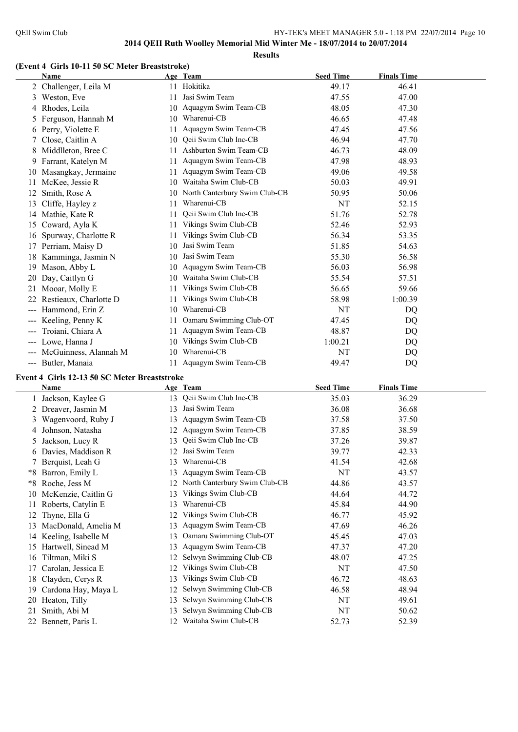**Results**

#### **(Event 4 Girls 10-11 50 SC Meter Breaststroke)**

|       | Name                                         |    | Age Team                      | <b>Seed Time</b> | <b>Finals Time</b> |  |
|-------|----------------------------------------------|----|-------------------------------|------------------|--------------------|--|
|       | 2 Challenger, Leila M                        |    | 11 Hokitika                   | 49.17            | 46.41              |  |
| 3     | Weston, Eve                                  | 11 | Jasi Swim Team                | 47.55            | 47.00              |  |
| 4     | Rhodes, Leila                                |    | 10 Aquagym Swim Team-CB       | 48.05            | 47.30              |  |
| 5     | Ferguson, Hannah M                           | 10 | Wharenui-CB                   | 46.65            | 47.48              |  |
| 6     | Perry, Violette E                            | 11 | Aquagym Swim Team-CB          | 47.45            | 47.56              |  |
|       | Close, Caitlin A                             | 10 | Qeii Swim Club Inc-CB         | 46.94            | 47.70              |  |
| 8     | Middlleton, Bree C                           | 11 | Ashburton Swim Team-CB        | 46.73            | 48.09              |  |
|       | 9 Farrant, Katelyn M                         | 11 | Aquagym Swim Team-CB          | 47.98            | 48.93              |  |
|       | 10 Masangkay, Jermaine                       | 11 | Aquagym Swim Team-CB          | 49.06            | 49.58              |  |
| 11    | McKee, Jessie R                              | 10 | Waitaha Swim Club-CB          | 50.03            | 49.91              |  |
| 12    | Smith, Rose A                                | 10 | North Canterbury Swim Club-CB | 50.95            | 50.06              |  |
| 13    | Cliffe, Hayley z                             | 11 | Wharenui-CB                   | NT               | 52.15              |  |
|       | 14 Mathie, Kate R                            | 11 | Qeii Swim Club Inc-CB         | 51.76            | 52.78              |  |
| 15    | Coward, Ayla K                               | 11 | Vikings Swim Club-CB          | 52.46            | 52.93              |  |
| 16    | Spurway, Charlotte R                         | 11 | Vikings Swim Club-CB          | 56.34            | 53.35              |  |
| 17    | Perriam, Maisy D                             | 10 | Jasi Swim Team                | 51.85            | 54.63              |  |
| 18    | Kamminga, Jasmin N                           | 10 | Jasi Swim Team                | 55.30            | 56.58              |  |
| 19    | Mason, Abby L                                | 10 | Aquagym Swim Team-CB          | 56.03            | 56.98              |  |
| 20    | Day, Caitlyn G                               | 10 | Waitaha Swim Club-CB          | 55.54            | 57.51              |  |
| 21    | Mooar, Molly E                               | 11 | Vikings Swim Club-CB          | 56.65            | 59.66              |  |
|       | Restieaux, Charlotte D                       | 11 | Vikings Swim Club-CB          | 58.98            | 1:00.39            |  |
|       | Hammond, Erin Z                              | 10 | Wharenui-CB                   | NT               | DQ                 |  |
| ---   | Keeling, Penny K                             | 11 | Oamaru Swimming Club-OT       | 47.45            | DQ                 |  |
|       | Troiani, Chiara A                            | 11 | Aquagym Swim Team-CB          | 48.87            | DQ                 |  |
| $---$ | Lowe, Hanna J                                | 10 | Vikings Swim Club-CB          | 1:00.21          | DQ                 |  |
| $---$ | McGuinness, Alannah M                        | 10 | Wharenui-CB                   | NT               | <b>DQ</b>          |  |
|       | --- Butler, Manaia                           |    | 11 Aquagym Swim Team-CB       | 49.47            | DQ                 |  |
|       | Event 4 Girls 12-13 50 SC Meter Breaststroke |    |                               |                  |                    |  |

|    | Name                 |    | Age Team                      | <b>Seed Time</b> | <b>Finals Time</b> |
|----|----------------------|----|-------------------------------|------------------|--------------------|
|    | Jackson, Kaylee G    | 13 | Qeii Swim Club Inc-CB         | 35.03            | 36.29              |
|    | 2 Dreaver, Jasmin M  | 13 | Jasi Swim Team                | 36.08            | 36.68              |
| 3  | Wagenvoord, Ruby J   | 13 | Aquagym Swim Team-CB          | 37.58            | 37.50              |
|    | Johnson, Natasha     | 12 | Aquagym Swim Team-CB          | 37.85            | 38.59              |
| 5. | Jackson, Lucy R      | 13 | Qeii Swim Club Inc-CB         | 37.26            | 39.87              |
|    | 6 Davies, Maddison R | 12 | Jasi Swim Team                | 39.77            | 42.33              |
|    | Berquist, Leah G     | 13 | Wharenui-CB                   | 41.54            | 42.68              |
| *8 | Barron, Emily L      | 13 | Aquagym Swim Team-CB          | NT               | 43.57              |
| *8 | Roche, Jess M        | 12 | North Canterbury Swim Club-CB | 44.86            | 43.57              |
| 10 | McKenzie, Caitlin G  | 13 | Vikings Swim Club-CB          | 44.64            | 44.72              |
| 11 | Roberts, Catylin E   | 13 | Wharenui-CB                   | 45.84            | 44.90              |
| 12 | Thyne, Ella G        | 12 | Vikings Swim Club-CB          | 46.77            | 45.92              |
| 13 | MacDonald, Amelia M  | 13 | Aquagym Swim Team-CB          | 47.69            | 46.26              |
| 14 | Keeling, Isabelle M  | 13 | Oamaru Swimming Club-OT       | 45.45            | 47.03              |
| 15 | Hartwell, Sinead M   | 13 | Aquagym Swim Team-CB          | 47.37            | 47.20              |
| 16 | Tiltman, Miki S      | 12 | Selwyn Swimming Club-CB       | 48.07            | 47.25              |
| 17 | Carolan, Jessica E   | 12 | Vikings Swim Club-CB          | NT               | 47.50              |
| 18 | Clayden, Cerys R     | 13 | Vikings Swim Club-CB          | 46.72            | 48.63              |
| 19 | Cardona Hay, Maya L  | 12 | Selwyn Swimming Club-CB       | 46.58            | 48.94              |
| 20 | Heaton, Tilly        | 13 | Selwyn Swimming Club-CB       | NT               | 49.61              |
| 21 | Smith, Abi M         | 13 | Selwyn Swimming Club-CB       | NT               | 50.62              |
|    | 22 Bennett, Paris L  | 12 | Waitaha Swim Club-CB          | 52.73            | 52.39              |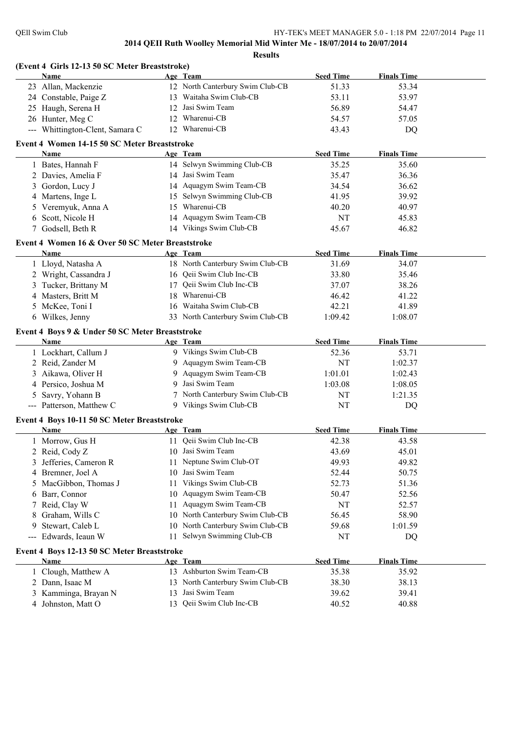|                        | (Event 4 Girls 12-13 50 SC Meter Breaststroke)   |    |                                  |                  |                    |  |
|------------------------|--------------------------------------------------|----|----------------------------------|------------------|--------------------|--|
|                        | Name                                             |    | Age Team                         | <b>Seed Time</b> | <b>Finals Time</b> |  |
|                        | 23 Allan, Mackenzie                              |    | 12 North Canterbury Swim Club-CB | 51.33            | 53.34              |  |
|                        | 24 Constable, Paige Z                            |    | 13 Waitaha Swim Club-CB          | 53.11            | 53.97              |  |
|                        | 25 Haugh, Serena H                               |    | 12 Jasi Swim Team                | 56.89            | 54.47              |  |
|                        | 26 Hunter, Meg C                                 |    | 12 Wharenui-CB                   | 54.57            | 57.05              |  |
|                        | --- Whittington-Clent, Samara C                  |    | 12 Wharenui-CB                   | 43.43            | DQ                 |  |
|                        | Event 4 Women 14-15 50 SC Meter Breaststroke     |    |                                  |                  |                    |  |
|                        | <b>Name</b>                                      |    | Age Team                         | <b>Seed Time</b> | <b>Finals Time</b> |  |
|                        | 1 Bates, Hannah F                                |    | 14 Selwyn Swimming Club-CB       | 35.25            | 35.60              |  |
|                        | 2 Davies, Amelia F                               |    | 14 Jasi Swim Team                | 35.47            | 36.36              |  |
| 3                      | Gordon, Lucy J                                   |    | 14 Aquagym Swim Team-CB          | 34.54            | 36.62              |  |
|                        | 4 Martens, Inge L                                |    | 15 Selwyn Swimming Club-CB       | 41.95            | 39.92              |  |
| 5                      | Veremyuk, Anna A                                 |    | 15 Wharenui-CB                   | 40.20            | 40.97              |  |
| 6                      | Scott, Nicole H                                  |    | 14 Aquagym Swim Team-CB          | NT               | 45.83              |  |
|                        | 7 Godsell, Beth R                                |    | 14 Vikings Swim Club-CB          | 45.67            | 46.82              |  |
|                        | Event 4 Women 16 & Over 50 SC Meter Breaststroke |    |                                  |                  |                    |  |
|                        | <b>Name</b>                                      |    | Age Team                         | <b>Seed Time</b> | <b>Finals Time</b> |  |
|                        | 1 Lloyd, Natasha A                               |    | 18 North Canterbury Swim Club-CB | 31.69            | 34.07              |  |
|                        | 2 Wright, Cassandra J                            |    | 16 Qeii Swim Club Inc-CB         | 33.80            | 35.46              |  |
|                        | 3 Tucker, Brittany M                             |    | 17 Qeii Swim Club Inc-CB         | 37.07            | 38.26              |  |
|                        | 4 Masters, Britt M                               |    | 18 Wharenui-CB                   | 46.42            | 41.22              |  |
|                        | 5 McKee, Toni I                                  |    | 16 Waitaha Swim Club-CB          | 42.21            | 41.89              |  |
|                        | 6 Wilkes, Jenny                                  |    | 33 North Canterbury Swim Club-CB | 1:09.42          | 1:08.07            |  |
|                        | Event 4 Boys 9 & Under 50 SC Meter Breaststroke  |    |                                  |                  |                    |  |
|                        | Name                                             |    | Age Team                         | <b>Seed Time</b> | <b>Finals Time</b> |  |
|                        | 1 Lockhart, Callum J                             |    | 9 Vikings Swim Club-CB           | 52.36            | 53.71              |  |
|                        | 2 Reid, Zander M                                 |    | 9 Aquagym Swim Team-CB           | NT               | 1:02.37            |  |
| 3                      | Aikawa, Oliver H                                 |    | 9 Aquagym Swim Team-CB           | 1:01.01          | 1:02.43            |  |
|                        | 4 Persico, Joshua M                              | 9  | Jasi Swim Team                   | 1:03.08          | 1:08.05            |  |
| 5                      | Savry, Yohann B                                  |    | 7 North Canterbury Swim Club-CB  | NT               | 1:21.35            |  |
|                        | --- Patterson, Matthew C                         |    | 9 Vikings Swim Club-CB           | <b>NT</b>        | DQ                 |  |
|                        | Event 4 Boys 10-11 50 SC Meter Breaststroke      |    |                                  |                  |                    |  |
|                        | Name                                             |    | Age Team                         | <b>Seed Time</b> | <b>Finals Time</b> |  |
|                        | 1 Morrow, Gus H                                  |    | 11 Qeii Swim Club Inc-CB         | 42.38            | 43.58              |  |
|                        | 2 Reid, Cody Z                                   | 10 | Jasi Swim Team                   | 43.69            | 45.01              |  |
| 3                      | Jefferies, Cameron R                             | 11 | Neptune Swim Club-OT             | 49.93            | 49.82              |  |
|                        | 4 Bremner, Joel A                                | 10 | Jasi Swim Team                   | 52.44            | 50.75              |  |
| 5                      | MacGibbon, Thomas J                              | 11 | Vikings Swim Club-CB             | 52.73            | 51.36              |  |
| 6                      | Barr, Connor                                     | 10 | Aquagym Swim Team-CB             | 50.47            | 52.56              |  |
| 7                      | Reid, Clay W                                     | 11 | Aquagym Swim Team-CB             | NT               | 52.57              |  |
| 8                      | Graham, Wills C                                  |    | 10 North Canterbury Swim Club-CB | 56.45            | 58.90              |  |
| 9                      | Stewart, Caleb L                                 |    | 10 North Canterbury Swim Club-CB | 59.68            | 1:01.59            |  |
| $\qquad \qquad \cdots$ | Edwards, Ieaun W                                 |    | 11 Selwyn Swimming Club-CB       | NT               | DQ                 |  |
|                        | Event 4 Boys 12-13 50 SC Meter Breaststroke      |    |                                  |                  |                    |  |
|                        | Name                                             |    | Age Team                         | <b>Seed Time</b> | <b>Finals Time</b> |  |
|                        | Clough, Matthew A                                |    | 13 Ashburton Swim Team-CB        | 35.38            | 35.92              |  |
|                        | 2 Dann, Isaac M                                  |    | 13 North Canterbury Swim Club-CB | 38.30            | 38.13              |  |
| 3                      | Kamminga, Brayan N                               | 13 | Jasi Swim Team                   | 39.62            | 39.41              |  |
|                        |                                                  |    |                                  |                  |                    |  |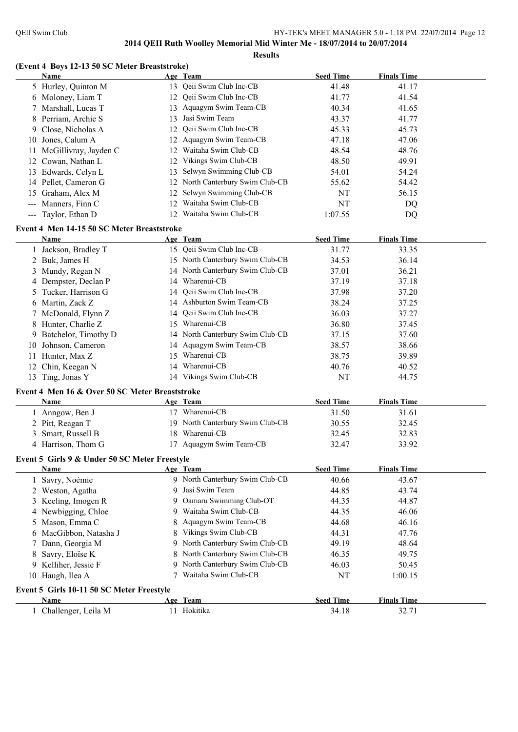**Results**

## **(Event 4 Boys 12-13 50 SC Meter Breaststroke)**

|    | <b>Name</b>                                    |   | Age Team                         | <b>Seed Time</b> | <b>Finals Time</b> |  |
|----|------------------------------------------------|---|----------------------------------|------------------|--------------------|--|
|    | 5 Hurley, Quinton M                            |   | 13 Qeii Swim Club Inc-CB         | 41.48            | 41.17              |  |
|    | 6 Moloney, Liam T                              |   | 12 Qeii Swim Club Inc-CB         | 41.77            | 41.54              |  |
| 7  | Marshall, Lucas T                              |   | 13 Aquagym Swim Team-CB          | 40.34            | 41.65              |  |
| 8  | Perriam, Archie S                              |   | 13 Jasi Swim Team                | 43.37            | 41.77              |  |
|    | 9 Close, Nicholas A                            |   | 12 Qeii Swim Club Inc-CB         | 45.33            | 45.73              |  |
|    | 10 Jones, Calum A                              |   | 12 Aquagym Swim Team-CB          | 47.18            | 47.06              |  |
|    | 11 McGillivray, Jayden C                       |   | 12 Waitaha Swim Club-CB          | 48.54            | 48.76              |  |
|    | 12 Cowan, Nathan L                             |   | 12 Vikings Swim Club-CB          | 48.50            | 49.91              |  |
|    | 13 Edwards, Celyn L                            |   | 13 Selwyn Swimming Club-CB       | 54.01            | 54.24              |  |
|    | 14 Pellet, Cameron G                           |   | 12 North Canterbury Swim Club-CB | 55.62            | 54.42              |  |
|    | 15 Graham, Alex M                              |   | 12 Selwyn Swimming Club-CB       | NT               | 56.15              |  |
|    | --- Manners, Finn C                            |   | 12 Waitaha Swim Club-CB          | NT               | <b>DQ</b>          |  |
|    | --- Taylor, Ethan D                            |   | 12 Waitaha Swim Club-CB          | 1:07.55          | DQ                 |  |
|    |                                                |   |                                  |                  |                    |  |
|    | Event 4 Men 14-15 50 SC Meter Breaststroke     |   |                                  |                  |                    |  |
|    | Name                                           |   | Age Team                         | <b>Seed Time</b> | <b>Finals Time</b> |  |
|    | 1 Jackson, Bradley T                           |   | 15 Qeii Swim Club Inc-CB         | 31.77            | 33.35              |  |
|    | 2 Buk, James H                                 |   | 15 North Canterbury Swim Club-CB | 34.53            | 36.14              |  |
|    | 3 Mundy, Regan N                               |   | 14 North Canterbury Swim Club-CB | 37.01            | 36.21              |  |
|    | 4 Dempster, Declan P                           |   | 14 Wharenui-CB                   | 37.19            | 37.18              |  |
|    | 5 Tucker, Harrison G                           |   | 14 Qeii Swim Club Inc-CB         | 37.98            | 37.20              |  |
|    | 6 Martin, Zack Z                               |   | 14 Ashburton Swim Team-CB        | 38.24            | 37.25              |  |
|    | 7 McDonald, Flynn Z                            |   | 14 Qeii Swim Club Inc-CB         | 36.03            | 37.27              |  |
|    | 8 Hunter, Charlie Z                            |   | 15 Wharenui-CB                   | 36.80            | 37.45              |  |
|    | 9 Batchelor, Timothy D                         |   | 14 North Canterbury Swim Club-CB | 37.15            | 37.60              |  |
|    | 10 Johnson, Cameron                            |   | 14 Aquagym Swim Team-CB          | 38.57            | 38.66              |  |
| 11 | Hunter, Max Z                                  |   | 15 Wharenui-CB                   | 38.75            | 39.89              |  |
|    | 12 Chin, Keegan N                              |   | 14 Wharenui-CB                   | 40.76            | 40.52              |  |
|    | 13 Ting, Jonas Y                               |   | 14 Vikings Swim Club-CB          | NT               | 44.75              |  |
|    | Event 4 Men 16 & Over 50 SC Meter Breaststroke |   |                                  |                  |                    |  |
|    | Name                                           |   | Age Team                         | <b>Seed Time</b> | <b>Finals Time</b> |  |
|    | 1 Anngow, Ben J                                |   | 17 Wharenui-CB                   | 31.50            | 31.61              |  |
|    |                                                |   | 19 North Canterbury Swim Club-CB |                  |                    |  |
|    | 2 Pitt, Reagan T                               |   |                                  | 30.55            | 32.45              |  |
|    | 3 Smart, Russell B                             |   | 18 Wharenui-CB                   | 32.45            | 32.83              |  |
|    | 4 Harrison, Thom G                             |   | 17 Aquagym Swim Team-CB          | 32.47            | 33.92              |  |
|    | Event 5 Girls 9 & Under 50 SC Meter Freestyle  |   |                                  |                  |                    |  |
|    | Name                                           |   | Age Team                         | <b>Seed Time</b> | <b>Finals Time</b> |  |
|    | 1 Savry, Noémie                                |   | 9 North Canterbury Swim Club-CB  | 40.66            | 43.67              |  |
|    | 2 Weston, Agatha                               | 9 | Jasi Swim Team                   | 44.85            | 43.74              |  |
|    | 3 Keeling, Imogen R                            | 9 | Oamaru Swimming Club-OT          | 44.35            | 44.87              |  |
|    | 4 Newbigging, Chloe                            | 9 | Waitaha Swim Club-CB             | 44.35            | 46.06              |  |
|    | 5 Mason, Emma C                                | 8 | Aquagym Swim Team-CB             | 44.68            | 46.16              |  |
| 6  | MacGibbon, Natasha J                           | 8 | Vikings Swim Club-CB             | 44.31            | 47.76              |  |
| 7  | Dann, Georgia M                                | 9 | North Canterbury Swim Club-CB    | 49.19            | 48.64              |  |
| 8  | Savry, Eloïse K                                | 8 | North Canterbury Swim Club-CB    | 46.35            | 49.75              |  |
|    | 9 Kelliher, Jessie F                           | 9 | North Canterbury Swim Club-CB    | 46.03            | 50.45              |  |
|    | 10 Haugh, Ilea A                               |   | Waitaha Swim Club-CB             | NT               | 1:00.15            |  |
|    |                                                |   |                                  |                  |                    |  |
|    | Event 5 Girls 10-11 50 SC Meter Freestyle      |   |                                  |                  |                    |  |
|    | Name                                           |   | Age Team                         | <b>Seed Time</b> | <b>Finals Time</b> |  |
|    | 1 Challenger, Leila M                          |   | 11 Hokitika                      | 34.18            | 32.71              |  |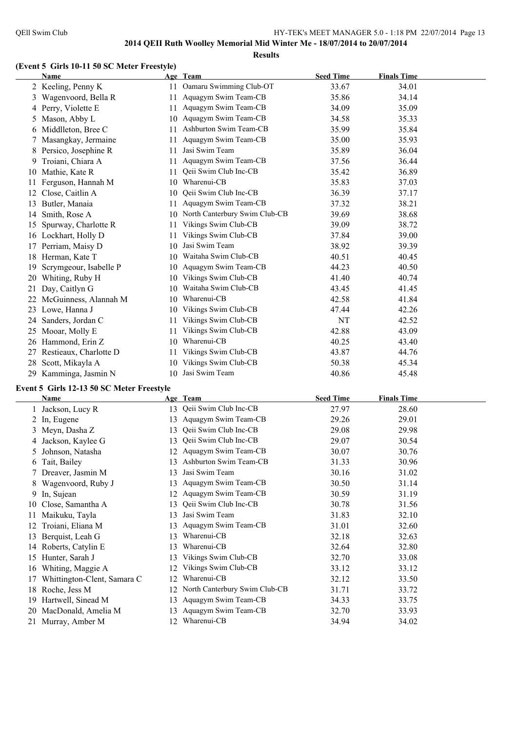#### **Results**

#### **(Event 5 Girls 10-11 50 SC Meter Freestyle)**

|    | <b>Name</b>            |    | Age Team                      | <b>Seed Time</b> | <b>Finals Time</b> |  |
|----|------------------------|----|-------------------------------|------------------|--------------------|--|
|    | 2 Keeling, Penny K     | 11 | Oamaru Swimming Club-OT       | 33.67            | 34.01              |  |
| 3  | Wagenvoord, Bella R    | 11 | Aquagym Swim Team-CB          | 35.86            | 34.14              |  |
| 4  | Perry, Violette E      | 11 | Aquagym Swim Team-CB          | 34.09            | 35.09              |  |
| 5  | Mason, Abby L          | 10 | Aquagym Swim Team-CB          | 34.58            | 35.33              |  |
| 6  | Middlleton, Bree C     | 11 | Ashburton Swim Team-CB        | 35.99            | 35.84              |  |
| 7  | Masangkay, Jermaine    | 11 | Aquagym Swim Team-CB          | 35.00            | 35.93              |  |
| 8  | Persico, Josephine R   | 11 | Jasi Swim Team                | 35.89            | 36.04              |  |
| 9. | Troiani, Chiara A      | 11 | Aquagym Swim Team-CB          | 37.56            | 36.44              |  |
| 10 | Mathie, Kate R         | 11 | Qeii Swim Club Inc-CB         | 35.42            | 36.89              |  |
| 11 | Ferguson, Hannah M     | 10 | Wharenui-CB                   | 35.83            | 37.03              |  |
| 12 | Close, Caitlin A       | 10 | Qeii Swim Club Inc-CB         | 36.39            | 37.17              |  |
| 13 | Butler, Manaia         | 11 | Aquagym Swim Team-CB          | 37.32            | 38.21              |  |
| 14 | Smith, Rose A          | 10 | North Canterbury Swim Club-CB | 39.69            | 38.68              |  |
| 15 | Spurway, Charlotte R   | 11 | Vikings Swim Club-CB          | 39.09            | 38.72              |  |
| 16 | Lockhart, Holly D      | 11 | Vikings Swim Club-CB          | 37.84            | 39.00              |  |
| 17 | Perriam, Maisy D       | 10 | Jasi Swim Team                | 38.92            | 39.39              |  |
| 18 | Herman, Kate T         | 10 | Waitaha Swim Club-CB          | 40.51            | 40.45              |  |
| 19 | Scrymgeour, Isabelle P | 10 | Aquagym Swim Team-CB          | 44.23            | 40.50              |  |
| 20 | Whiting, Ruby H        | 10 | Vikings Swim Club-CB          | 41.40            | 40.74              |  |
| 21 | Day, Caitlyn G         | 10 | Waitaha Swim Club-CB          | 43.45            | 41.45              |  |
| 22 | McGuinness, Alannah M  | 10 | Wharenui-CB                   | 42.58            | 41.84              |  |
| 23 | Lowe, Hanna J          | 10 | Vikings Swim Club-CB          | 47.44            | 42.26              |  |
| 24 | Sanders, Jordan C      | 11 | Vikings Swim Club-CB          | NT               | 42.52              |  |
| 25 | Mooar, Molly E         | 11 | Vikings Swim Club-CB          | 42.88            | 43.09              |  |
| 26 | Hammond, Erin Z        | 10 | Wharenui-CB                   | 40.25            | 43.40              |  |
| 27 | Restieaux, Charlotte D | 11 | Vikings Swim Club-CB          | 43.87            | 44.76              |  |
| 28 | Scott, Mikayla A       | 10 | Vikings Swim Club-CB          | 50.38            | 45.34              |  |
| 29 | Kamminga, Jasmin N     | 10 | Jasi Swim Team                | 40.86            | 45.48              |  |

#### **Event 5 Girls 12-13 50 SC Meter Freestyle**

|    | Name                        |    | Age Team                      | <b>Seed Time</b> | <b>Finals Time</b> |  |
|----|-----------------------------|----|-------------------------------|------------------|--------------------|--|
|    | 1 Jackson, Lucy R           | 13 | Qeii Swim Club Inc-CB         | 27.97            | 28.60              |  |
|    | 2 In, Eugene                | 13 | Aquagym Swim Team-CB          | 29.26            | 29.01              |  |
| 3  | Meyn, Dasha Z               | 13 | Qeii Swim Club Inc-CB         | 29.08            | 29.98              |  |
|    | Jackson, Kaylee G           | 13 | Qeii Swim Club Inc-CB         | 29.07            | 30.54              |  |
|    | Johnson, Natasha            | 12 | Aquagym Swim Team-CB          | 30.07            | 30.76              |  |
| 6  | Tait, Bailey                | 13 | Ashburton Swim Team-CB        | 31.33            | 30.96              |  |
|    | 7 Dreaver, Jasmin M         | 13 | Jasi Swim Team                | 30.16            | 31.02              |  |
|    | Wagenvoord, Ruby J          | 13 | Aquagym Swim Team-CB          | 30.50            | 31.14              |  |
| 9. | In, Sujean                  | 12 | Aquagym Swim Team-CB          | 30.59            | 31.19              |  |
| 10 | Close, Samantha A           | 13 | Qeii Swim Club Inc-CB         | 30.78            | 31.56              |  |
|    | Maikuku, Tayla              | 13 | Jasi Swim Team                | 31.83            | 32.10              |  |
|    | Troiani, Eliana M           | 13 | Aquagym Swim Team-CB          | 31.01            | 32.60              |  |
| 13 | Berquist, Leah G            | 13 | Wharenui-CB                   | 32.18            | 32.63              |  |
| 14 | Roberts, Catylin E          | 13 | Wharenui-CB                   | 32.64            | 32.80              |  |
| 15 | Hunter, Sarah J             | 13 | Vikings Swim Club-CB          | 32.70            | 33.08              |  |
| 16 | Whiting, Maggie A           | 12 | Vikings Swim Club-CB          | 33.12            | 33.12              |  |
|    | Whittington-Clent, Samara C | 12 | Wharenui-CB                   | 32.12            | 33.50              |  |
| 18 | Roche, Jess M               | 12 | North Canterbury Swim Club-CB | 31.71            | 33.72              |  |
| 19 | Hartwell, Sinead M          | 13 | Aquagym Swim Team-CB          | 34.33            | 33.75              |  |
|    | 20 MacDonald, Amelia M      | 13 | Aquagym Swim Team-CB          | 32.70            | 33.93              |  |
|    | 21 Murray, Amber M          | 12 | Wharenui-CB                   | 34.94            | 34.02              |  |
|    |                             |    |                               |                  |                    |  |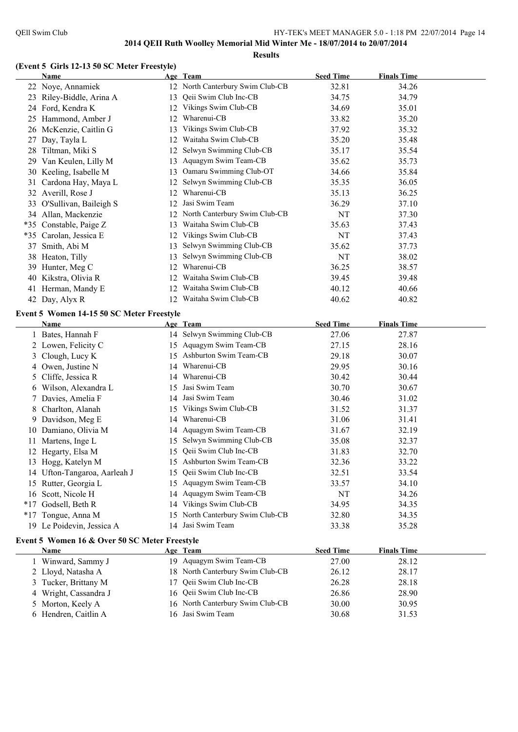#### **(Event 5 Girls 12-13 50 SC Meter Freestyle)**

|    | Name                                          |    | Age Team                         | <b>Seed Time</b> | <b>Finals Time</b> |  |
|----|-----------------------------------------------|----|----------------------------------|------------------|--------------------|--|
|    | 22 Noye, Annamiek                             |    | 12 North Canterbury Swim Club-CB | 32.81            | 34.26              |  |
|    | 23 Riley-Biddle, Arina A                      |    | 13 Qeii Swim Club Inc-CB         | 34.75            | 34.79              |  |
|    | 24 Ford, Kendra K                             |    | 12 Vikings Swim Club-CB          | 34.69            | 35.01              |  |
|    | 25 Hammond, Amber J                           |    | 12 Wharenui-CB                   | 33.82            | 35.20              |  |
|    | 26 McKenzie, Caitlin G                        |    | 13 Vikings Swim Club-CB          | 37.92            | 35.32              |  |
| 27 | Day, Tayla L                                  |    | 12 Waitaha Swim Club-CB          | 35.20            | 35.48              |  |
| 28 | Tiltman, Miki S                               |    | 12 Selwyn Swimming Club-CB       | 35.17            | 35.54              |  |
|    | 29 Van Keulen, Lilly M                        | 13 | Aquagym Swim Team-CB             | 35.62            | 35.73              |  |
|    | 30 Keeling, Isabelle M                        |    | 13 Oamaru Swimming Club-OT       | 34.66            | 35.84              |  |
|    | 31 Cardona Hay, Maya L                        | 12 | Selwyn Swimming Club-CB          | 35.35            | 36.05              |  |
|    | 32 Averill, Rose J                            |    | 12 Wharenui-CB                   | 35.13            | 36.25              |  |
|    | 33 O'Sullivan, Baileigh S                     | 12 | Jasi Swim Team                   | 36.29            | 37.10              |  |
|    | 34 Allan, Mackenzie                           |    | 12 North Canterbury Swim Club-CB | NT               | 37.30              |  |
|    | *35 Constable, Paige Z                        | 13 | Waitaha Swim Club-CB             | 35.63            | 37.43              |  |
|    | *35 Carolan, Jessica E                        |    | 12 Vikings Swim Club-CB          | NT               | 37.43              |  |
|    | 37 Smith, Abi M                               | 13 | Selwyn Swimming Club-CB          | 35.62            | 37.73              |  |
|    | 38 Heaton, Tilly                              | 13 | Selwyn Swimming Club-CB          | NT               | 38.02              |  |
|    | 39 Hunter, Meg C                              |    | 12 Wharenui-CB                   | 36.25            | 38.57              |  |
|    | 40 Kikstra, Olivia R                          | 12 | Waitaha Swim Club-CB             | 39.45            | 39.48              |  |
|    | 41 Herman, Mandy E                            |    | 12 Waitaha Swim Club-CB          | 40.12            | 40.66              |  |
|    | 42 Day, Alyx R                                |    | 12 Waitaha Swim Club-CB          | 40.62            | 40.82              |  |
|    |                                               |    |                                  |                  |                    |  |
|    | Event 5 Women 14-15 50 SC Meter Freestyle     |    |                                  |                  |                    |  |
|    | <b>Name</b>                                   |    | Age Team                         | <b>Seed Time</b> | <b>Finals Time</b> |  |
|    | 1 Bates, Hannah F                             |    | 14 Selwyn Swimming Club-CB       | 27.06            | 27.87              |  |
|    | 2 Lowen, Felicity C                           |    | 15 Aquagym Swim Team-CB          | 27.15            | 28.16              |  |
|    | 3 Clough, Lucy K                              |    | 15 Ashburton Swim Team-CB        | 29.18            | 30.07              |  |
|    | 4 Owen, Justine N                             |    | 14 Wharenui-CB                   | 29.95            | 30.16              |  |
| 5  | Cliffe, Jessica R                             | 14 | Wharenui-CB                      | 30.42            | 30.44              |  |
| 6  | Wilson, Alexandra L                           | 15 | Jasi Swim Team                   | 30.70            | 30.67              |  |
| 7  | Davies, Amelia F                              |    | 14 Jasi Swim Team                | 30.46            | 31.02              |  |
|    | 8 Charlton, Alanah                            |    | 15 Vikings Swim Club-CB          | 31.52            | 31.37              |  |
|    | 9 Davidson, Meg E                             | 14 | Wharenui-CB                      | 31.06            | 31.41              |  |
|    | 10 Damiano, Olivia M                          |    | 14 Aquagym Swim Team-CB          | 31.67            | 32.19              |  |
|    | 11 Martens, Inge L                            |    | 15 Selwyn Swimming Club-CB       | 35.08            | 32.37              |  |
|    | 12 Hegarty, Elsa M                            |    | 15 Qeii Swim Club Inc-CB         | 31.83            | 32.70              |  |
|    | 13 Hogg, Katelyn M                            |    | 15 Ashburton Swim Team-CB        |                  |                    |  |
|    |                                               |    |                                  | 32.36            | 33.22              |  |
|    | 14 Ufton-Tangaroa, Aarleah J                  | 15 | Qeii Swim Club Inc-CB            | 32.51            | 33.54              |  |
|    | 15 Rutter, Georgia L                          |    | 15 Aquagym Swim Team-CB          | 33.57            | 34.10              |  |
|    | 16 Scott, Nicole H                            |    | 14 Aquagym Swim Team-CB          | NT               | 34.26              |  |
|    | *17 Godsell, Beth R                           |    | 14 Vikings Swim Club-CB          | 34.95            | 34.35              |  |
|    | *17 Tongue, Anna M                            |    | 15 North Canterbury Swim Club-CB | 32.80            | 34.35              |  |
|    | 19 Le Poidevin, Jessica A                     |    | 14 Jasi Swim Team                | 33.38            | 35.28              |  |
|    | Event 5 Women 16 & Over 50 SC Meter Freestyle |    |                                  |                  |                    |  |
|    | Name                                          |    | Age Team                         | <b>Seed Time</b> | <b>Finals Time</b> |  |
|    | 1 Winward, Sammy J                            |    | 19 Aquagym Swim Team-CB          | 27.00            | 28.12              |  |
|    | 2 Lloyd, Natasha A                            |    | 18 North Canterbury Swim Club-CB | 26.12            | 28.17              |  |
|    | 3 Tucker, Brittany M                          | 17 | Qeii Swim Club Inc-CB            | 26.28            | 28.18              |  |
|    | 4 Wright, Cassandra J                         | 16 | Qeii Swim Club Inc-CB            | 26.86            | 28.90              |  |

Hendren, Caitlin A 16 Jasi Swim Team 30.68 31.53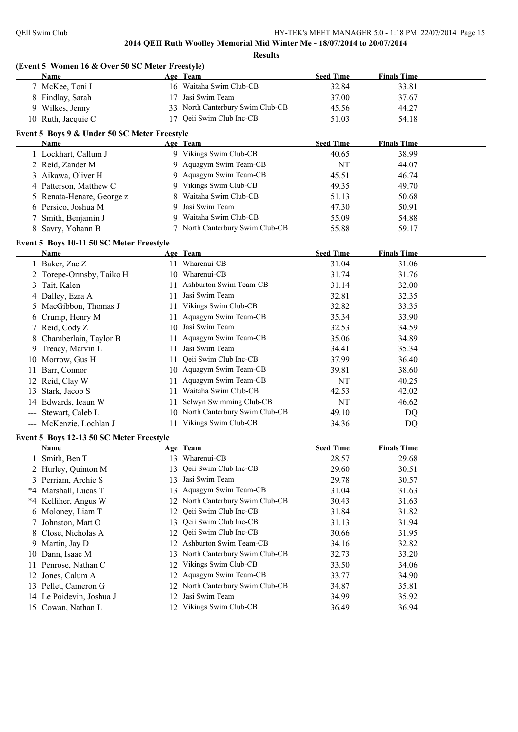|    | (Event 5 Women 16 & Over 50 SC Meter Freestyle)<br><b>Name</b> |          | Age Team                                        | <b>Seed Time</b> | <b>Finals Time</b> |  |
|----|----------------------------------------------------------------|----------|-------------------------------------------------|------------------|--------------------|--|
|    | 7 McKee, Toni I                                                |          | 16 Waitaha Swim Club-CB                         | 32.84            | 33.81              |  |
|    | 8 Findlay, Sarah                                               | 17       | Jasi Swim Team                                  | 37.00            | 37.67              |  |
|    | 9 Wilkes, Jenny                                                |          | 33 North Canterbury Swim Club-CB                | 45.56            | 44.27              |  |
|    | 10 Ruth, Jacquie C                                             |          | 17 Qeii Swim Club Inc-CB                        | 51.03            | 54.18              |  |
|    |                                                                |          |                                                 |                  |                    |  |
|    | Event 5 Boys 9 & Under 50 SC Meter Freestyle                   |          | Age Team                                        | <b>Seed Time</b> | <b>Finals Time</b> |  |
|    | Name                                                           |          | 9 Vikings Swim Club-CB                          | 40.65            | 38.99              |  |
|    | 1 Lockhart, Callum J                                           |          | Aquagym Swim Team-CB                            |                  |                    |  |
|    | 2 Reid, Zander M                                               | 9        | Aquagym Swim Team-CB                            | NT               | 44.07              |  |
|    | 3 Aikawa, Oliver H                                             | 9        |                                                 | 45.51            | 46.74              |  |
|    | 4 Patterson, Matthew C                                         | 9        | Vikings Swim Club-CB                            | 49.35            | 49.70              |  |
|    | 5 Renata-Henare, George z                                      | 8        | Waitaha Swim Club-CB                            | 51.13            | 50.68              |  |
|    | 6 Persico, Joshua M                                            | 9        | Jasi Swim Team                                  | 47.30            | 50.91              |  |
|    | Smith, Benjamin J                                              | 9        | Waitaha Swim Club-CB                            | 55.09            | 54.88              |  |
| 8  | Savry, Yohann B                                                |          | 7 North Canterbury Swim Club-CB                 | 55.88            | 59.17              |  |
|    | Event 5 Boys 10-11 50 SC Meter Freestyle                       |          |                                                 |                  |                    |  |
|    | Name                                                           |          | Age Team                                        | <b>Seed Time</b> | <b>Finals Time</b> |  |
|    | 1 Baker, Zac Z                                                 |          | 11 Wharenui-CB                                  | 31.04            | 31.06              |  |
|    | 2 Torepe-Ormsby, Taiko H                                       | 10       | Wharenui-CB                                     | 31.74            | 31.76              |  |
| 3  | Tait, Kalen                                                    | 11       | Ashburton Swim Team-CB                          | 31.14            | 32.00              |  |
|    | 4 Dalley, Ezra A                                               | 11       | Jasi Swim Team                                  | 32.81            | 32.35              |  |
| 5. | MacGibbon, Thomas J                                            | 11       | Vikings Swim Club-CB                            | 32.82            | 33.35              |  |
| 6  | Crump, Henry M                                                 | 11       | Aquagym Swim Team-CB                            | 35.34            | 33.90              |  |
|    | 7 Reid, Cody Z                                                 | 10       | Jasi Swim Team                                  | 32.53            | 34.59              |  |
| 8  | Chamberlain, Taylor B                                          | 11       | Aquagym Swim Team-CB                            | 35.06            | 34.89              |  |
| 9  | Treacy, Marvin L                                               | 11       | Jasi Swim Team                                  | 34.41            | 35.34              |  |
|    | 10 Morrow, Gus H                                               | 11       | Qeii Swim Club Inc-CB                           | 37.99            | 36.40              |  |
| 11 | Barr, Connor                                                   |          | 10 Aquagym Swim Team-CB                         | 39.81            | 38.60              |  |
|    | 12 Reid, Clay W                                                | 11       | Aquagym Swim Team-CB                            | NT               | 40.25              |  |
|    | 13 Stark, Jacob S                                              |          | 11 Waitaha Swim Club-CB                         | 42.53            | 42.02              |  |
|    | 14 Edwards, Ieaun W                                            | 11       | Selwyn Swimming Club-CB                         | NT               | 46.62              |  |
|    | --- Stewart, Caleb L                                           |          | 10 North Canterbury Swim Club-CB                | 49.10            | DQ                 |  |
|    | --- McKenzie, Lochlan J                                        | 11       | Vikings Swim Club-CB                            | 34.36            | DQ                 |  |
|    | Event 5 Boys 12-13 50 SC Meter Freestyle                       |          |                                                 |                  |                    |  |
|    | <u>Name</u>                                                    |          | Age Team                                        | <b>Seed Time</b> | <b>Finals Time</b> |  |
|    | 1 Smith, Ben T                                                 |          | 13 Wharenui-CB                                  | 28.57            | 29.68              |  |
|    | 2 Hurley, Quinton M                                            | 13       | Qeii Swim Club Inc-CB                           | 29.60            | 30.51              |  |
|    | 3 Perriam, Archie S                                            | 13       | Jasi Swim Team                                  | 29.78            | 30.57              |  |
|    | *4 Marshall, Lucas T                                           | 13       | Aquagym Swim Team-CB                            | 31.04            | 31.63              |  |
|    | *4 Kelliher, Angus W                                           |          | 12 North Canterbury Swim Club-CB                | 30.43            | 31.63              |  |
| 6  | Moloney, Liam T                                                | 12       | Qeii Swim Club Inc-CB                           | 31.84            | 31.82              |  |
| 7  | Johnston, Matt O                                               | 13       | Qeii Swim Club Inc-CB                           | 31.13            | 31.94              |  |
| 8  | Close, Nicholas A                                              | 12       | Qeii Swim Club Inc-CB                           | 30.66            | 31.95              |  |
| 9  | Martin, Jay D                                                  | 12       | Ashburton Swim Team-CB                          | 34.16            | 32.82              |  |
| 10 | Dann, Isaac M                                                  | 13       | North Canterbury Swim Club-CB                   | 32.73            | 33.20              |  |
| 11 | Penrose, Nathan C                                              | 12       | Vikings Swim Club-CB                            | 33.50            | 34.06              |  |
|    | Jones, Calum A                                                 | 12       | Aquagym Swim Team-CB                            | 33.77            | 34.90              |  |
|    |                                                                |          |                                                 | 34.87            |                    |  |
| 12 |                                                                |          |                                                 |                  |                    |  |
| 13 | Pellet, Cameron G<br>14 Le Poidevin, Joshua J                  | 12<br>12 | North Canterbury Swim Club-CB<br>Jasi Swim Team | 34.99            | 35.81<br>35.92     |  |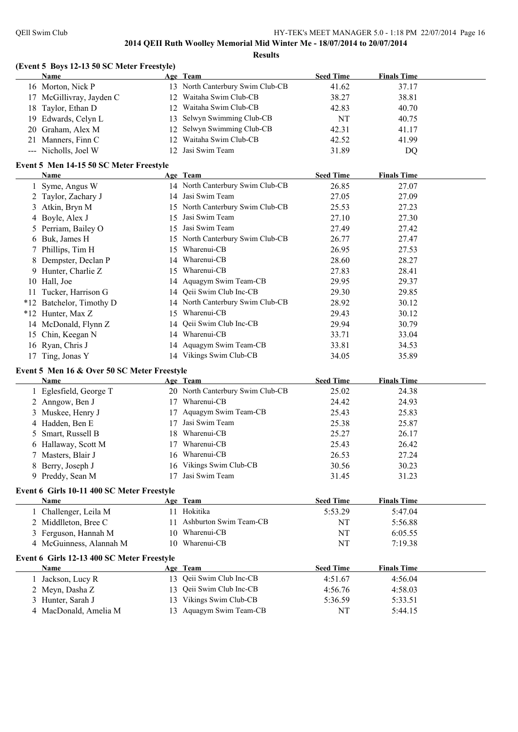| (Event 5 Boys 12-13 50 SC Meter Freestyle)  |    |                                  |                  |                    |
|---------------------------------------------|----|----------------------------------|------------------|--------------------|
| Name                                        |    | Age Team                         | <b>Seed Time</b> | <b>Finals Time</b> |
| 16 Morton, Nick P                           |    | 13 North Canterbury Swim Club-CB | 41.62            | 37.17              |
| 17 McGillivray, Jayden C                    |    | 12 Waitaha Swim Club-CB          | 38.27            | 38.81              |
| Taylor, Ethan D<br>18                       |    | 12 Waitaha Swim Club-CB          | 42.83            | 40.70              |
| 19 Edwards, Celyn L                         |    | 13 Selwyn Swimming Club-CB       | NT               | 40.75              |
| 20 Graham, Alex M                           |    | 12 Selwyn Swimming Club-CB       | 42.31            | 41.17              |
| 21 Manners, Finn C                          |    | 12 Waitaha Swim Club-CB          | 42.52            | 41.99              |
| --- Nicholls, Joel W                        |    | 12 Jasi Swim Team                | 31.89            | DQ                 |
| Event 5 Men 14-15 50 SC Meter Freestyle     |    |                                  |                  |                    |
| Name                                        |    | Age Team                         | <b>Seed Time</b> | <b>Finals Time</b> |
| 1 Syme, Angus W                             |    | 14 North Canterbury Swim Club-CB | 26.85            | 27.07              |
| 2 Taylor, Zachary J                         |    | 14 Jasi Swim Team                | 27.05            | 27.09              |
| Atkin, Bryn M<br>3                          |    | 15 North Canterbury Swim Club-CB | 25.53            | 27.23              |
| Boyle, Alex J<br>4                          | 15 | Jasi Swim Team                   | 27.10            | 27.30              |
| Perriam, Bailey O<br>5                      |    | 15 Jasi Swim Team                | 27.49            | 27.42              |
| 6 Buk, James H                              |    | 15 North Canterbury Swim Club-CB | 26.77            | 27.47              |
| 7 Phillips, Tim H                           | 15 | Wharenui-CB                      | 26.95            | 27.53              |
| 8 Dempster, Declan P                        |    | 14 Wharenui-CB                   | 28.60            | 28.27              |
| Hunter, Charlie Z<br>9                      |    | 15 Wharenui-CB                   | 27.83            | 28.41              |
| 10 Hall, Joe                                |    | 14 Aquagym Swim Team-CB          | 29.95            | 29.37              |
| 11 Tucker, Harrison G                       |    | 14 Qeii Swim Club Inc-CB         | 29.30            | 29.85              |
| *12 Batchelor, Timothy D                    |    | 14 North Canterbury Swim Club-CB | 28.92            | 30.12              |
| *12 Hunter, Max Z                           |    | 15 Wharenui-CB                   | 29.43            | 30.12              |
| 14 McDonald, Flynn Z                        |    | 14 Qeii Swim Club Inc-CB         | 29.94            | 30.79              |
| 15 Chin, Keegan N                           |    | 14 Wharenui-CB                   | 33.71            | 33.04              |
| 16 Ryan, Chris J                            |    | 14 Aquagym Swim Team-CB          | 33.81            | 34.53              |
| 17 Ting, Jonas Y                            |    | 14 Vikings Swim Club-CB          | 34.05            | 35.89              |
| Event 5 Men 16 & Over 50 SC Meter Freestyle |    |                                  |                  |                    |
| Name                                        |    | Age Team                         | <b>Seed Time</b> | <b>Finals Time</b> |
| 1 Eglesfield, George T                      |    | 20 North Canterbury Swim Club-CB | 25.02            | 24.38              |
| 2 Anngow, Ben J                             |    | 17 Wharenui-CB                   | 24.42            | 24.93              |
| 3 Muskee, Henry J                           |    | 17 Aquagym Swim Team-CB          | 25.43            | 25.83              |
| 4 Hadden, Ben E                             |    | 17 Jasi Swim Team                | 25.38            | 25.87              |
| Smart, Russell B<br>5                       |    | 18 Wharenui-CB                   | 25.27            | 26.17              |
| 6 Hallaway, Scott M                         |    | 17 Wharenui-CB                   | 25.43            | 26.42              |
| Masters, Blair J<br>7                       |    | 16 Wharenui-CB                   | 26.53            | 27.24              |
| 8 Berry, Joseph J                           |    | 16 Vikings Swim Club-CB          | 30.56            | 30.23              |
| 9 Preddy, Sean M                            |    | 17 Jasi Swim Team                | 31.45            | 31.23              |
|                                             |    |                                  |                  |                    |
| Event 6 Girls 10-11 400 SC Meter Freestyle  |    |                                  |                  |                    |
| Name                                        |    | Age Team                         | <b>Seed Time</b> | <b>Finals Time</b> |
| 1 Challenger, Leila M                       |    | 11 Hokitika                      | 5:53.29          | 5:47.04            |
| 2 Middlleton, Bree C                        |    | 11 Ashburton Swim Team-CB        | NT               | 5:56.88            |
| 3 Ferguson, Hannah M                        |    | 10 Wharenui-CB                   | NT               | 6:05.55            |
| 4 McGuinness, Alannah M                     |    | 10 Wharenui-CB                   | NT               | 7:19.38            |
| Event 6 Girls 12-13 400 SC Meter Freestyle  |    |                                  |                  |                    |
| Name                                        |    | Age Team                         | <b>Seed Time</b> | <b>Finals Time</b> |
| 1 Jackson, Lucy R                           |    | 13 Qeii Swim Club Inc-CB         | 4:51.67          | 4:56.04            |
| 2 Meyn, Dasha Z                             |    | 13 Qeii Swim Club Inc-CB         | 4:56.76          | 4:58.03            |
| 3 Hunter, Sarah J                           |    | 13 Vikings Swim Club-CB          | 5:36.59          | 5:33.51            |
| MacDonald, Amelia M<br>4                    |    | 13 Aquagym Swim Team-CB          | NT               | 5:44.15            |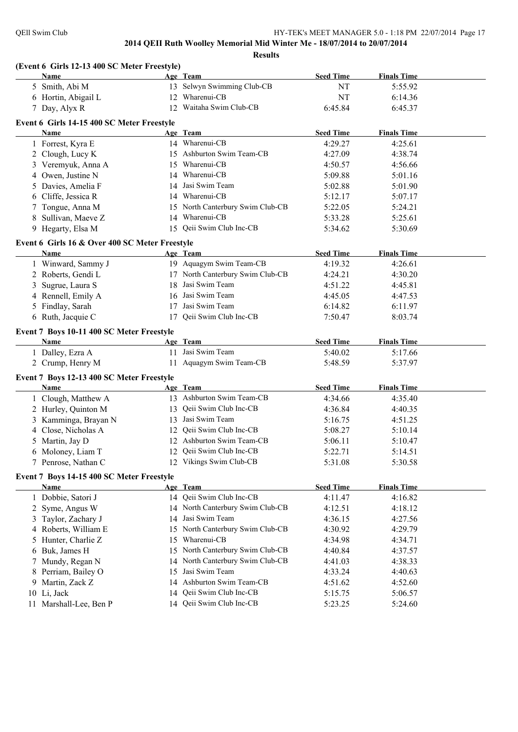|    | (Event 6 Girls 12-13 400 SC Meter Freestyle)   |          |                                  |                  |                    |  |
|----|------------------------------------------------|----------|----------------------------------|------------------|--------------------|--|
|    | Name                                           |          | Age Team                         | <b>Seed Time</b> | <b>Finals Time</b> |  |
|    | 5 Smith, Abi M                                 |          | 13 Selwyn Swimming Club-CB       | NT               | 5:55.92            |  |
|    | 6 Hortin, Abigail L                            | 12       | Wharenui-CB                      | NT               | 6:14.36            |  |
|    | 7 Day, Alyx R                                  |          | 12 Waitaha Swim Club-CB          | 6:45.84          | 6:45.37            |  |
|    | Event 6 Girls 14-15 400 SC Meter Freestyle     |          |                                  |                  |                    |  |
|    | Name                                           |          | Age Team                         | <b>Seed Time</b> | <b>Finals Time</b> |  |
|    | 1 Forrest, Kyra E                              |          | 14 Wharenui-CB                   | 4:29.27          | 4:25.61            |  |
|    | 2 Clough, Lucy K                               |          | 15 Ashburton Swim Team-CB        | 4:27.09          | 4:38.74            |  |
|    | 3 Veremyuk, Anna A                             |          | 15 Wharenui-CB                   | 4:50.57          | 4:56.66            |  |
|    | 4 Owen, Justine N                              |          | 14 Wharenui-CB                   | 5:09.88          | 5:01.16            |  |
|    | 5 Davies, Amelia F                             |          | 14 Jasi Swim Team                | 5:02.88          | 5:01.90            |  |
|    | 6 Cliffe, Jessica R                            |          | 14 Wharenui-CB                   | 5:12.17          | 5:07.17            |  |
|    | 7 Tongue, Anna M                               |          | 15 North Canterbury Swim Club-CB | 5:22.05          | 5:24.21            |  |
|    | 8 Sullivan, Maeve Z                            |          | 14 Wharenui-CB                   | 5:33.28          | 5:25.61            |  |
|    | 9 Hegarty, Elsa M                              |          | 15 Qeii Swim Club Inc-CB         | 5:34.62          | 5:30.69            |  |
|    | Event 6 Girls 16 & Over 400 SC Meter Freestyle |          |                                  |                  |                    |  |
|    | <b>Name</b>                                    |          | Age Team                         | <b>Seed Time</b> | <b>Finals Time</b> |  |
|    | 1 Winward, Sammy J                             |          | 19 Aquagym Swim Team-CB          | 4:19.32          | 4:26.61            |  |
|    | 2 Roberts, Gendi L                             |          | 17 North Canterbury Swim Club-CB | 4:24.21          | 4:30.20            |  |
|    | 3 Sugrue, Laura S                              | 18       | Jasi Swim Team                   | 4:51.22          | 4:45.81            |  |
|    | 4 Rennell, Emily A                             |          | 16 Jasi Swim Team                | 4:45.05          | 4:47.53            |  |
|    | 5 Findlay, Sarah                               |          | 17 Jasi Swim Team                | 6:14.82          | 6:11.97            |  |
|    | 6 Ruth, Jacquie C                              |          | 17 Qeii Swim Club Inc-CB         | 7:50.47          | 8:03.74            |  |
|    | Event 7 Boys 10-11 400 SC Meter Freestyle      |          |                                  |                  |                    |  |
|    | Name                                           |          | Age Team                         | <b>Seed Time</b> | <b>Finals Time</b> |  |
|    | 1 Dalley, Ezra A                               |          | 11 Jasi Swim Team                | 5:40.02          | 5:17.66            |  |
|    | 2 Crump, Henry M                               |          | 11 Aquagym Swim Team-CB          | 5:48.59          | 5:37.97            |  |
|    | Event 7 Boys 12-13 400 SC Meter Freestyle      |          |                                  |                  |                    |  |
|    | Name                                           |          | Age Team                         | <b>Seed Time</b> | <b>Finals Time</b> |  |
|    | 1 Clough, Matthew A                            |          | 13 Ashburton Swim Team-CB        | 4:34.66          | 4:35.40            |  |
|    | 2 Hurley, Quinton M                            |          | 13 Qeii Swim Club Inc-CB         | 4:36.84          | 4:40.35            |  |
|    | 3 Kamminga, Brayan N                           |          | 13 Jasi Swim Team                | 5:16.75          | 4:51.25            |  |
|    | 4 Close, Nicholas A                            |          | 12 Qeii Swim Club Inc-CB         | 5:08.27          | 5:10.14            |  |
|    | 5 Martin, Jay D                                |          | 12 Ashburton Swim Team-CB        | 5:06.11          | 5:10.47            |  |
|    | 6 Moloney, Liam T                              |          | 12 Qeii Swim Club Inc-CB         | 5:22.71          | 5:14.51            |  |
|    | 7 Penrose, Nathan C                            |          | 12 Vikings Swim Club-CB          | 5:31.08          | 5:30.58            |  |
|    | Event 7 Boys 14-15 400 SC Meter Freestyle      |          |                                  |                  |                    |  |
|    | <b>Name</b>                                    |          | Age Team                         | <b>Seed Time</b> | <b>Finals Time</b> |  |
|    | 1 Dobbie, Satori J                             |          | 14 Qeii Swim Club Inc-CB         | 4:11.47          | 4:16.82            |  |
|    | 2 Syme, Angus W                                |          | 14 North Canterbury Swim Club-CB | 4:12.51          | 4:18.12            |  |
|    | 3 Taylor, Zachary J                            |          | 14 Jasi Swim Team                | 4:36.15          | 4:27.56            |  |
|    | 4 Roberts, William E                           | 15       | North Canterbury Swim Club-CB    | 4:30.92          | 4:29.79            |  |
|    | 5 Hunter, Charlie Z                            | 15       | Wharenui-CB                      | 4:34.98          | 4:34.71            |  |
|    | 6 Buk, James H                                 | 15       | North Canterbury Swim Club-CB    | 4:40.84          | 4:37.57            |  |
|    |                                                |          | North Canterbury Swim Club-CB    | 4:41.03          |                    |  |
|    | 7 Mundy, Regan N                               | 14<br>15 | Jasi Swim Team                   |                  | 4:38.33            |  |
|    | 8 Perriam, Bailey O                            |          |                                  | 4:33.24          | 4:40.63            |  |
|    | 9 Martin, Zack Z                               | 14       | Ashburton Swim Team-CB           | 4:51.62          | 4:52.60            |  |
|    | 10 Li, Jack                                    | 14       | Qeii Swim Club Inc-CB            | 5:15.75          | 5:06.57            |  |
| 11 | Marshall-Lee, Ben P                            |          | 14 Qeii Swim Club Inc-CB         | 5:23.25          | 5:24.60            |  |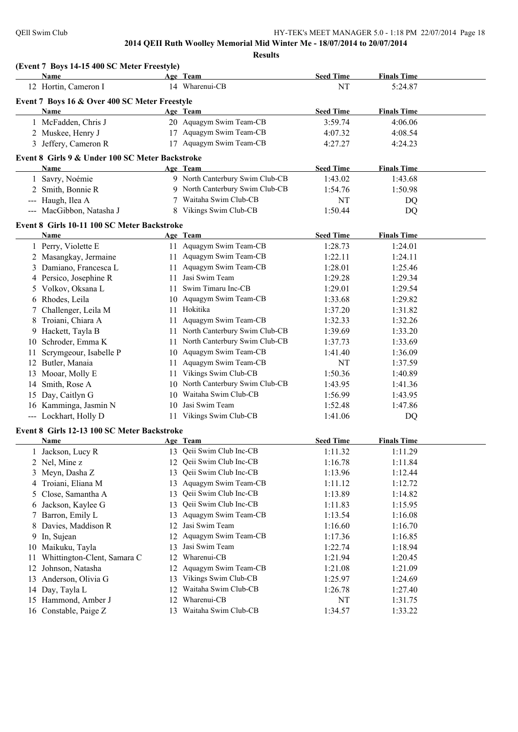**(Event 7 Boys 14-15 400 SC Meter Freestyle) Age Team Seed Time Finals Time** 12 Hortin, Cameron I 14 Wharenui-CB NT 5:24.87 **Event 7 Boys 16 & Over 400 SC Meter Freestyle Age Team Age Team Seed Time Finals Time** 1 McFadden, Chris J 20 Aquagym Swim Team-CB 3:59.74 4:06.06 2 Muskee, Henry J 17 Aquagym Swim Team-CB 4:07.32 4:08.54 3 Jeffery, Cameron R 17 Aquagym Swim Team-CB 4:27.27 4:24.23 **Event 8 Girls 9 & Under 100 SC Meter Backstroke Age Team Seed Time Finals Time** 1 Savry, Noémie 9 North Canterbury Swim Club-CB 1:43.02 1:43.68 2 Smith, Bonnie R 9 North Canterbury Swim Club-CB 1:54.76 1:50.98 --- Haugh, Ilea A 7 Waitaha Swim Club-CB NT DO --- MacGibbon, Natasha J 8 Vikings Swim Club-CB 1:50.44 DQ **Event 8 Girls 10-11 100 SC Meter Backstroke Age Team Seed Time Finals Time** 1 Perry, Violette E 11 Aquagym Swim Team-CB 1:28.73 1:24.01 2 Masangkay, Jermaine 11 Aquagym Swim Team-CB 1:22.11 1:24.11 3 Damiano, Francesca L 11 Aquagym Swim Team-CB 1:28.01 1:25.46 4 Persico, Josephine R 11 Jasi Swim Team 1:29.28 1:29.34 5 Volkov, Oksana L 11 Swim Timaru Inc-CB 1:29.01 1:29.54 6 Rhodes, Leila 10 Aquagym Swim Team-CB 1:33.68 1:29.82 7 Challenger, Leila M 11 Hokitika 1:37.20 1:31.82 8 Troiani, Chiara A 11 Aquagym Swim Team-CB 1:32.33 1:32.26 9 Hackett, Tayla B 11 North Canterbury Swim Club-CB 1:39.69 1:33.20 10 Schroder, Emma K 11 North Canterbury Swim Club-CB 1:37.73 1:33.69 11 Scrymgeour, Isabelle P 10 Aquagym Swim Team-CB 1:41.40 1:36.09 12 Butler, Manaia 11 Aquagym Swim Team-CB NT 1:37.59 13 Mooar, Molly E 11 Vikings Swim Club-CB 1:50.36 1:40.89 14 Smith, Rose A 10 North Canterbury Swim Club-CB 1:43.95 1:41.36 15 Day, Caitlyn G 10 Waitaha Swim Club-CB 1:56.99 1:43.95 16 Kamminga, Jasmin N 10 Jasi Swim Team 1:52.48 1:47.86 --- Lockhart, Holly D 11 Vikings Swim Club-CB 1:41.06 DQ **Event 8 Girls 12-13 100 SC Meter Backstroke Age Team Age Team Seed Time Finals Time** 1 Jackson, Lucy R 13 Qeii Swim Club Inc-CB 1:11.32 1:11.29 2 Nel, Mine z 12 Qeii Swim Club Inc-CB 1:16.78 1:11.84 3 Meyn, Dasha Z 13 Qeii Swim Club Inc-CB 1:13.96 1:12.44 4 Troiani, Eliana M 13 Aquagym Swim Team-CB 1:11.12 1:12.72 5 Close, Samantha A 13 Qeii Swim Club Inc-CB 1:13.89 1:14.82 6 Jackson, Kaylee G 13 Qeii Swim Club Inc-CB 1:11.83 1:15.95 7 Barron, Emily L 13 Aquagym Swim Team-CB 1:13.54 1:16.08 8 Davies, Maddison R 12 Jasi Swim Team 1:16.60 1:16.70 9 In, Sujean 12 Aquagym Swim Team-CB 1:17.36 1:16.85 10 Maikuku, Tayla 13 Jasi Swim Team 1:22.74 1:18.94 11 Whittington-Clent, Samara C 12 Wharenui-CB 1:21.94 1:20.45 12 Johnson, Natasha 12 Aquagym Swim Team-CB 1:21.08 1:21.09 13 Anderson, Olivia G 13 Vikings Swim Club-CB 1:25.97 1:24.69 14 Day, Tayla L 12 Waitaha Swim Club-CB 1:26.78 1:27.40 15 Hammond, Amber J 12 Wharenui-CB NT 1:31.75 16 Constable, Paige Z 13 Waitaha Swim Club-CB 1:34.57 1:33.22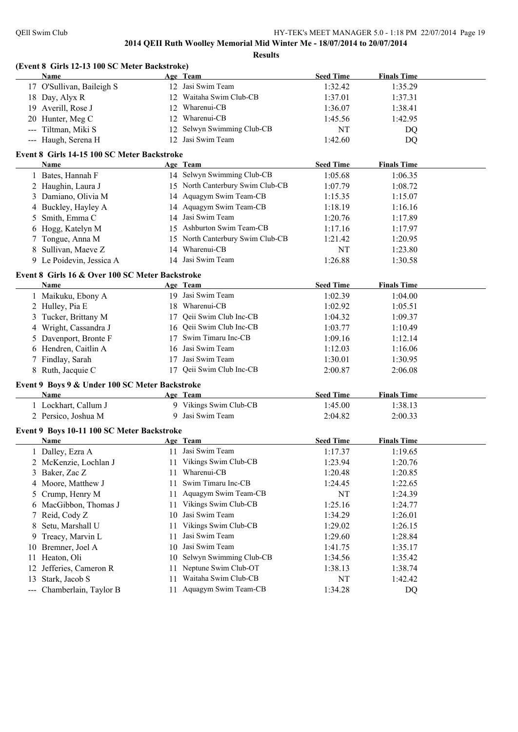|     | (Event 8 Girls 12-13 100 SC Meter Backstroke)   |    |                                  |                  |                    |  |
|-----|-------------------------------------------------|----|----------------------------------|------------------|--------------------|--|
|     | Name                                            |    | Age Team                         | <b>Seed Time</b> | <b>Finals Time</b> |  |
|     | 17 O'Sullivan, Baileigh S                       |    | 12 Jasi Swim Team                | 1:32.42          | 1:35.29            |  |
|     | 18 Day, Alyx R                                  |    | 12 Waitaha Swim Club-CB          | 1:37.01          | 1:37.31            |  |
|     | 19 Averill, Rose J                              |    | 12 Wharenui-CB                   | 1:36.07          | 1:38.41            |  |
|     | 20 Hunter, Meg C                                |    | 12 Wharenui-CB                   | 1:45.56          | 1:42.95            |  |
|     | --- Tiltman, Miki S                             |    | 12 Selwyn Swimming Club-CB       | NT               | DQ                 |  |
|     | --- Haugh, Serena H                             |    | 12 Jasi Swim Team                | 1:42.60          | DQ                 |  |
|     | Event 8 Girls 14-15 100 SC Meter Backstroke     |    |                                  |                  |                    |  |
|     | Name                                            |    | Age Team                         | <b>Seed Time</b> | <b>Finals Time</b> |  |
|     | 1 Bates, Hannah F                               |    | 14 Selwyn Swimming Club-CB       | 1:05.68          | 1:06.35            |  |
|     | 2 Haughin, Laura J                              |    | 15 North Canterbury Swim Club-CB | 1:07.79          | 1:08.72            |  |
|     | 3 Damiano, Olivia M                             |    | 14 Aquagym Swim Team-CB          | 1:15.35          | 1:15.07            |  |
|     | 4 Buckley, Hayley A                             |    | 14 Aquagym Swim Team-CB          | 1:18.19          | 1:16.16            |  |
| 5   | Smith, Emma C                                   |    | 14 Jasi Swim Team                | 1:20.76          | 1:17.89            |  |
| 6   | Hogg, Katelyn M                                 |    | 15 Ashburton Swim Team-CB        | 1:17.16          | 1:17.97            |  |
|     | 7 Tongue, Anna M                                |    | 15 North Canterbury Swim Club-CB | 1:21.42          | 1:20.95            |  |
| 8   | Sullivan, Maeve Z                               |    | 14 Wharenui-CB                   | NT               | 1:23.80            |  |
|     | 9 Le Poidevin, Jessica A                        |    | 14 Jasi Swim Team                | 1:26.88          | 1:30.58            |  |
|     | Event 8 Girls 16 & Over 100 SC Meter Backstroke |    |                                  |                  |                    |  |
|     | Name                                            |    | Age Team                         | <b>Seed Time</b> | <b>Finals Time</b> |  |
|     | 1 Maikuku, Ebony A                              |    | 19 Jasi Swim Team                | 1:02.39          | 1:04.00            |  |
|     | 2 Hulley, Pia E                                 |    | 18 Wharenui-CB                   | 1:02.92          | 1:05.51            |  |
|     | 3 Tucker, Brittany M                            | 17 | Qeii Swim Club Inc-CB            | 1:04.32          | 1:09.37            |  |
|     | 4 Wright, Cassandra J                           |    | 16 Qeii Swim Club Inc-CB         | 1:03.77          | 1:10.49            |  |
|     | 5 Davenport, Bronte F                           |    | 17 Swim Timaru Inc-CB            | 1:09.16          | 1:12.14            |  |
|     | 6 Hendren, Caitlin A                            |    | 16 Jasi Swim Team                | 1:12.03          | 1:16.06            |  |
|     | 7 Findlay, Sarah                                |    | 17 Jasi Swim Team                | 1:30.01          | 1:30.95            |  |
|     | 8 Ruth, Jacquie C                               |    | 17 Qeii Swim Club Inc-CB         | 2:00.87          | 2:06.08            |  |
|     | Event 9 Boys 9 & Under 100 SC Meter Backstroke  |    |                                  |                  |                    |  |
|     | Name                                            |    | Age Team                         | <b>Seed Time</b> | <b>Finals Time</b> |  |
|     | 1 Lockhart, Callum J                            |    | 9 Vikings Swim Club-CB           | 1:45.00          | 1:38.13            |  |
|     | 2 Persico, Joshua M                             |    | 9 Jasi Swim Team                 | 2:04.82          | 2:00.33            |  |
|     | Event 9 Boys 10-11 100 SC Meter Backstroke      |    |                                  |                  |                    |  |
|     | <u>Name</u>                                     |    | Age Team                         | <b>Seed Time</b> | <b>Finals Time</b> |  |
|     | 1 Dalley, Ezra A                                |    | 11 Jasi Swim Team                | 1:17.37          | 1:19.65            |  |
|     | 2 McKenzie, Lochlan J                           | 11 | Vikings Swim Club-CB             | 1:23.94          | 1:20.76            |  |
| 3   | Baker, Zac Z                                    | 11 | Wharenui-CB                      | 1:20.48          | 1:20.85            |  |
| 4   | Moore, Matthew J                                | 11 | Swim Timaru Inc-CB               | 1:24.45          | 1:22.65            |  |
| 5   | Crump, Henry M                                  | 11 | Aquagym Swim Team-CB             | NT               | 1:24.39            |  |
| 6   | MacGibbon, Thomas J                             | 11 | Vikings Swim Club-CB             | 1:25.16          | 1:24.77            |  |
|     | 7 Reid, Cody Z                                  | 10 | Jasi Swim Team                   | 1:34.29          | 1:26.01            |  |
| 8   | Setu, Marshall U                                | 11 | Vikings Swim Club-CB             | 1:29.02          | 1:26.15            |  |
| 9   | Treacy, Marvin L                                | 11 | Jasi Swim Team                   | 1:29.60          | 1:28.84            |  |
| 10  | Bremner, Joel A                                 | 10 | Jasi Swim Team                   | 1:41.75          | 1:35.17            |  |
| 11  | Heaton, Oli                                     | 10 | Selwyn Swimming Club-CB          | 1:34.56          | 1:35.42            |  |
| 12  | Jefferies, Cameron R                            | 11 | Neptune Swim Club-OT             | 1:38.13          | 1:38.74            |  |
| 13  | Stark, Jacob S                                  | 11 | Waitaha Swim Club-CB             | NT               | 1:42.42            |  |
|     |                                                 |    | Aquagym Swim Team-CB             |                  |                    |  |
| --- | Chamberlain, Taylor B                           | 11 |                                  | 1:34.28          | DQ                 |  |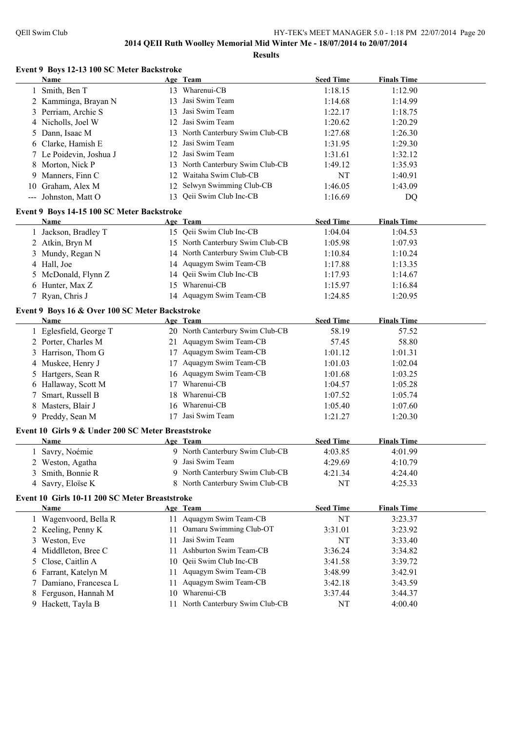**Event 9 Boys 12-13 100 SC Meter Backstroke**

|    | <u>Name</u>                                        |    | Age Team                         | <b>Seed Time</b> | <b>Finals Time</b> |  |
|----|----------------------------------------------------|----|----------------------------------|------------------|--------------------|--|
|    | Smith, Ben T                                       |    | 13 Wharenui-CB                   | 1:18.15          | 1:12.90            |  |
|    | 2 Kamminga, Brayan N                               |    | 13 Jasi Swim Team                | 1:14.68          | 1:14.99            |  |
|    | 3 Perriam, Archie S                                | 13 | Jasi Swim Team                   | 1:22.17          | 1:18.75            |  |
|    | 4 Nicholls, Joel W                                 |    | 12 Jasi Swim Team                | 1:20.62          | 1:20.29            |  |
| 5  | Dann, Isaac M                                      |    | 13 North Canterbury Swim Club-CB | 1:27.68          | 1:26.30            |  |
| 6  | Clarke, Hamish E                                   |    | 12 Jasi Swim Team                | 1:31.95          | 1:29.30            |  |
|    | 7 Le Poidevin, Joshua J                            |    | 12 Jasi Swim Team                | 1:31.61          | 1:32.12            |  |
| 8  | Morton, Nick P                                     |    | 13 North Canterbury Swim Club-CB | 1:49.12          | 1:35.93            |  |
| 9  | Manners, Finn C                                    |    | 12 Waitaha Swim Club-CB          | NT               | 1:40.91            |  |
| 10 | Graham, Alex M                                     |    | 12 Selwyn Swimming Club-CB       | 1:46.05          | 1:43.09            |  |
|    | --- Johnston, Matt O                               |    | 13 Qeii Swim Club Inc-CB         | 1:16.69          | DQ                 |  |
|    | Event 9 Boys 14-15 100 SC Meter Backstroke         |    |                                  |                  |                    |  |
|    | Name                                               |    | Age Team                         | <b>Seed Time</b> | <b>Finals Time</b> |  |
|    | 1 Jackson, Bradley T                               |    | 15 Qeii Swim Club Inc-CB         | 1:04.04          | 1:04.53            |  |
|    | 2 Atkin, Bryn M                                    |    | 15 North Canterbury Swim Club-CB | 1:05.98          | 1:07.93            |  |
| 3  | Mundy, Regan N                                     |    | 14 North Canterbury Swim Club-CB | 1:10.84          | 1:10.24            |  |
|    | 4 Hall, Joe                                        |    | 14 Aquagym Swim Team-CB          | 1:17.88          | 1:13.35            |  |
| 5  | McDonald, Flynn Z                                  |    | 14 Qeii Swim Club Inc-CB         | 1:17.93          | 1:14.67            |  |
| 6  | Hunter, Max Z                                      |    | 15 Wharenui-CB                   | 1:15.97          | 1:16.84            |  |
|    | 7 Ryan, Chris J                                    |    | 14 Aquagym Swim Team-CB          | 1:24.85          | 1:20.95            |  |
|    |                                                    |    |                                  |                  |                    |  |
|    | Event 9 Boys 16 & Over 100 SC Meter Backstroke     |    |                                  |                  |                    |  |
|    | Name                                               |    | Age Team                         | <b>Seed Time</b> | <b>Finals Time</b> |  |
|    | 1 Eglesfield, George T                             |    | 20 North Canterbury Swim Club-CB | 58.19            | 57.52              |  |
|    | 2 Porter, Charles M                                |    | 21 Aquagym Swim Team-CB          | 57.45            | 58.80              |  |
|    | 3 Harrison, Thom G                                 |    | 17 Aquagym Swim Team-CB          | 1:01.12          | 1:01.31            |  |
|    | 4 Muskee, Henry J                                  |    | 17 Aquagym Swim Team-CB          | 1:01.03          | 1:02.04            |  |
|    | 5 Hartgers, Sean R                                 |    | 16 Aquagym Swim Team-CB          | 1:01.68          | 1:03.25            |  |
| 6  | Hallaway, Scott M                                  |    | 17 Wharenui-CB                   | 1:04.57          | 1:05.28            |  |
| 7  | Smart, Russell B                                   |    | 18 Wharenui-CB                   | 1:07.52          | 1:05.74            |  |
| 8  | Masters, Blair J                                   |    | 16 Wharenui-CB                   | 1:05.40          | 1:07.60            |  |
|    | 9 Preddy, Sean M                                   |    | 17 Jasi Swim Team                | 1:21.27          | 1:20.30            |  |
|    | Event 10 Girls 9 & Under 200 SC Meter Breaststroke |    |                                  |                  |                    |  |
|    | Name                                               |    | Age Team                         | <b>Seed Time</b> | <b>Finals Time</b> |  |
|    | 1 Savry, Noémie                                    |    | 9 North Canterbury Swim Club-CB  | 4:03.85          | 4:01.99            |  |
|    | 2 Weston, Agatha                                   |    | 9 Jasi Swim Team                 | 4:29.69          | 4:10.79            |  |
|    | 3 Smith, Bonnie R                                  |    | 9 North Canterbury Swim Club-CB  | 4:21.34          | 4:24.40            |  |
|    | 4 Savry, Eloïse K                                  |    | 8 North Canterbury Swim Club-CB  | NT               | 4:25.33            |  |
|    | Event 10 Girls 10-11 200 SC Meter Breaststroke     |    |                                  |                  |                    |  |
|    | Name                                               |    | Age Team                         | <b>Seed Time</b> | <b>Finals Time</b> |  |
|    | 1 Wagenvoord, Bella R                              |    | 11 Aquagym Swim Team-CB          | NT               | 3:23.37            |  |
|    | 2 Keeling, Penny K                                 |    | 11 Oamaru Swimming Club-OT       | 3:31.01          | 3:23.92            |  |
| 3  | Weston, Eve                                        |    | 11 Jasi Swim Team                | NT               | 3:33.40            |  |
|    | 4 Middlleton, Bree C                               | 11 | Ashburton Swim Team-CB           | 3:36.24          | 3:34.82            |  |
| 5  | Close, Caitlin A                                   |    | 10 Qeii Swim Club Inc-CB         | 3:41.58          | 3:39.72            |  |
| 6  | Farrant, Katelyn M                                 |    | 11 Aquagym Swim Team-CB          | 3:48.99          | 3:42.91            |  |
| 7  | Damiano, Francesca L                               | 11 | Aquagym Swim Team-CB             | 3:42.18          | 3:43.59            |  |
| 8  | Ferguson, Hannah M                                 |    | 10 Wharenui-CB                   | 3:37.44          | 3:44.37            |  |
| 9  | Hackett, Tayla B                                   |    | 11 North Canterbury Swim Club-CB | NT               | 4:00.40            |  |
|    |                                                    |    |                                  |                  |                    |  |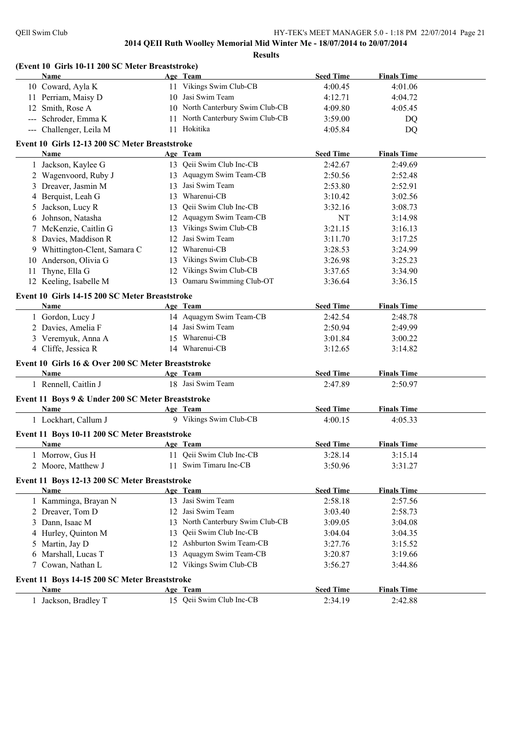|    | (Event 10 Girls 10-11 200 SC Meter Breaststroke)   |    |                                  |                  |                    |  |
|----|----------------------------------------------------|----|----------------------------------|------------------|--------------------|--|
|    | Name                                               |    | Age Team                         | <b>Seed Time</b> | <b>Finals Time</b> |  |
|    | 10 Coward, Ayla K                                  |    | 11 Vikings Swim Club-CB          | 4:00.45          | 4:01.06            |  |
|    | 11 Perriam, Maisy D                                |    | 10 Jasi Swim Team                | 4:12.71          | 4:04.72            |  |
|    | 12 Smith, Rose A                                   |    | 10 North Canterbury Swim Club-CB | 4:09.80          | 4:05.45            |  |
|    | --- Schroder, Emma K                               | 11 | North Canterbury Swim Club-CB    | 3:59.00          | DQ                 |  |
|    | --- Challenger, Leila M                            |    | 11 Hokitika                      | 4:05.84          | DQ                 |  |
|    | Event 10 Girls 12-13 200 SC Meter Breaststroke     |    |                                  |                  |                    |  |
|    | Name                                               |    | Age Team                         | <b>Seed Time</b> | <b>Finals Time</b> |  |
|    | 1 Jackson, Kaylee G                                |    | 13 Qeii Swim Club Inc-CB         | 2:42.67          | 2:49.69            |  |
|    | 2 Wagenvoord, Ruby J                               |    | 13 Aquagym Swim Team-CB          | 2:50.56          | 2:52.48            |  |
|    | 3 Dreaver, Jasmin M                                |    | 13 Jasi Swim Team                | 2:53.80          | 2:52.91            |  |
|    | 4 Berquist, Leah G                                 |    | 13 Wharenui-CB                   | 3:10.42          | 3:02.56            |  |
| 5  | Jackson, Lucy R                                    |    | 13 Qeii Swim Club Inc-CB         | 3:32.16          | 3:08.73            |  |
| 6  | Johnson, Natasha                                   |    | 12 Aquagym Swim Team-CB          | NT               | 3:14.98            |  |
|    | 7 McKenzie, Caitlin G                              |    | 13 Vikings Swim Club-CB          | 3:21.15          | 3:16.13            |  |
|    | 8 Davies, Maddison R                               |    | 12 Jasi Swim Team                | 3:11.70          | 3:17.25            |  |
|    | 9 Whittington-Clent, Samara C                      |    | 12 Wharenui-CB                   | 3:28.53          | 3:24.99            |  |
| 10 | Anderson, Olivia G                                 |    | 13 Vikings Swim Club-CB          | 3:26.98          | 3:25.23            |  |
| 11 | Thyne, Ella G                                      |    | 12 Vikings Swim Club-CB          | 3:37.65          | 3:34.90            |  |
|    | 12 Keeling, Isabelle M                             |    | 13 Oamaru Swimming Club-OT       | 3:36.64          | 3:36.15            |  |
|    | Event 10 Girls 14-15 200 SC Meter Breaststroke     |    |                                  |                  |                    |  |
|    | Name                                               |    | Age Team                         | <b>Seed Time</b> | <b>Finals Time</b> |  |
|    | 1 Gordon, Lucy J                                   |    | 14 Aquagym Swim Team-CB          | 2:42.54          | 2:48.78            |  |
|    | 2 Davies, Amelia F                                 |    | 14 Jasi Swim Team                | 2:50.94          | 2:49.99            |  |
|    | 3 Veremyuk, Anna A                                 |    | 15 Wharenui-CB                   | 3:01.84          | 3:00.22            |  |
|    | 4 Cliffe, Jessica R                                |    | 14 Wharenui-CB                   | 3:12.65          | 3:14.82            |  |
|    |                                                    |    |                                  |                  |                    |  |
|    | Event 10 Girls 16 & Over 200 SC Meter Breaststroke |    |                                  |                  |                    |  |
|    | Name                                               |    | Age Team                         | <b>Seed Time</b> | <b>Finals Time</b> |  |
|    | 1 Rennell, Caitlin J                               |    | 18 Jasi Swim Team                | 2:47.89          | 2:50.97            |  |
|    | Event 11 Boys 9 & Under 200 SC Meter Breaststroke  |    |                                  |                  |                    |  |
|    | Name                                               |    | Age Team                         | <b>Seed Time</b> | <b>Finals Time</b> |  |
|    | 1 Lockhart, Callum J                               |    | 9 Vikings Swim Club-CB           | 4:00.15          | 4:05.33            |  |
|    | Event 11 Boys 10-11 200 SC Meter Breaststroke      |    |                                  |                  |                    |  |
|    | Name                                               |    | Age Team                         | <b>Seed Time</b> | <b>Finals Time</b> |  |
|    | 1 Morrow, Gus H                                    | 11 | Qeii Swim Club Inc-CB            | 3:28.14          | 3:15.14            |  |
|    | 2 Moore, Matthew J                                 | 11 | Swim Timaru Inc-CB               | 3:50.96          | 3:31.27            |  |
|    | Event 11 Boys 12-13 200 SC Meter Breaststroke      |    |                                  |                  |                    |  |
|    | <b>Name</b>                                        |    | Age Team                         | <b>Seed Time</b> | <b>Finals Time</b> |  |
|    | 1 Kamminga, Brayan N                               |    | 13 Jasi Swim Team                | 2:58.18          | 2:57.56            |  |
|    | 2 Dreaver, Tom D                                   |    | 12 Jasi Swim Team                | 3:03.40          | 2:58.73            |  |
|    |                                                    |    | 13 North Canterbury Swim Club-CB |                  |                    |  |
| 3  | Dann, Isaac M                                      |    | Qeii Swim Club Inc-CB            | 3:09.05          | 3:04.08            |  |
|    | 4 Hurley, Quinton M                                | 13 | 12 Ashburton Swim Team-CB        | 3:04.04          | 3:04.35            |  |
| 5  | Martin, Jay D                                      |    |                                  | 3:27.76          | 3:15.52            |  |
|    | 6 Marshall, Lucas T                                |    | 13 Aquagym Swim Team-CB          | 3:20.87          | 3:19.66            |  |
| 7  | Cowan, Nathan L                                    |    | 12 Vikings Swim Club-CB          | 3:56.27          | 3:44.86            |  |
|    | Event 11 Boys 14-15 200 SC Meter Breaststroke      |    |                                  |                  |                    |  |
|    | <b>Name</b>                                        |    | Age Team                         | <b>Seed Time</b> | <b>Finals Time</b> |  |
|    | 1 Jackson, Bradley T                               |    | 15 Qeii Swim Club Inc-CB         | 2:34.19          | 2:42.88            |  |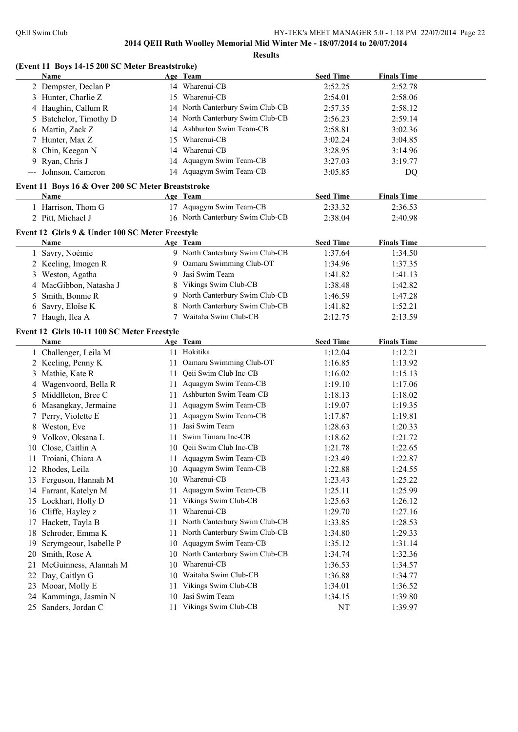**(Event 11 Boys 14-15 200 SC Meter Breaststroke)**

**2014 QEII Ruth Woolley Memorial Mid Winter Me - 18/07/2014 to 20/07/2014**

**Results**

|    | Name                                              |    | Age Team                         | <b>Seed Time</b> | <b>Finals Time</b> |  |
|----|---------------------------------------------------|----|----------------------------------|------------------|--------------------|--|
|    | 2 Dempster, Declan P                              |    | 14 Wharenui-CB                   | 2:52.25          | 2:52.78            |  |
|    | 3 Hunter, Charlie Z                               |    | 15 Wharenui-CB                   | 2:54.01          | 2:58.06            |  |
| 4  | Haughin, Callum R                                 |    | 14 North Canterbury Swim Club-CB | 2:57.35          | 2:58.12            |  |
| 5  | Batchelor, Timothy D                              |    | 14 North Canterbury Swim Club-CB | 2:56.23          | 2:59.14            |  |
| 6  | Martin, Zack Z                                    |    | 14 Ashburton Swim Team-CB        | 2:58.81          | 3:02.36            |  |
|    | Hunter, Max Z                                     |    | 15 Wharenui-CB                   | 3:02.24          | 3:04.85            |  |
| 8  | Chin, Keegan N                                    |    | 14 Wharenui-CB                   | 3:28.95          | 3:14.96            |  |
| 9  | Ryan, Chris J                                     |    | 14 Aquagym Swim Team-CB          | 3:27.03          | 3:19.77            |  |
|    | --- Johnson, Cameron                              |    | 14 Aquagym Swim Team-CB          | 3:05.85          | DQ                 |  |
|    |                                                   |    |                                  |                  |                    |  |
|    | Event 11 Boys 16 & Over 200 SC Meter Breaststroke |    |                                  |                  |                    |  |
|    | Name                                              |    | Age Team                         | <b>Seed Time</b> | <b>Finals Time</b> |  |
|    | 1 Harrison, Thom G                                |    | 17 Aquagym Swim Team-CB          | 2:33.32          | 2:36.53            |  |
|    | 2 Pitt, Michael J                                 |    | 16 North Canterbury Swim Club-CB | 2:38.04          | 2:40.98            |  |
|    | Event 12 Girls 9 & Under 100 SC Meter Freestyle   |    |                                  |                  |                    |  |
|    | Name                                              |    | Age Team                         | <b>Seed Time</b> | <b>Finals Time</b> |  |
|    | 1 Savry, Noémie                                   |    | 9 North Canterbury Swim Club-CB  | 1:37.64          | 1:34.50            |  |
|    | 2 Keeling, Imogen R                               |    | 9 Oamaru Swimming Club-OT        | 1:34.96          | 1:37.35            |  |
| 3  | Weston, Agatha                                    | 9  | Jasi Swim Team                   | 1:41.82          | 1:41.13            |  |
|    |                                                   | 8  | Vikings Swim Club-CB             | 1:38.48          |                    |  |
| 4  | MacGibbon, Natasha J                              |    | 9 North Canterbury Swim Club-CB  |                  | 1:42.82            |  |
| 5  | Smith, Bonnie R                                   |    |                                  | 1:46.59          | 1:47.28            |  |
| 6  | Savry, Eloïse K                                   | 8  | North Canterbury Swim Club-CB    | 1:41.82          | 1:52.21            |  |
|    | 7 Haugh, Ilea A                                   |    | 7 Waitaha Swim Club-CB           | 2:12.75          | 2:13.59            |  |
|    | Event 12 Girls 10-11 100 SC Meter Freestyle       |    |                                  |                  |                    |  |
|    | Name                                              |    | Age Team                         | <b>Seed Time</b> | <b>Finals Time</b> |  |
|    | 1 Challenger, Leila M                             |    | 11 Hokitika                      | 1:12.04          | 1:12.21            |  |
|    | 2 Keeling, Penny K                                |    | 11 Oamaru Swimming Club-OT       | 1:16.85          | 1:13.92            |  |
|    | 3 Mathie, Kate R                                  |    | 11 Qeii Swim Club Inc-CB         | 1:16.02          | 1:15.13            |  |
| 4  | Wagenvoord, Bella R                               |    | 11 Aquagym Swim Team-CB          | 1:19.10          | 1:17.06            |  |
| 5  | Middlleton, Bree C                                |    | 11 Ashburton Swim Team-CB        | 1:18.13          | 1:18.02            |  |
| 6  | Masangkay, Jermaine                               |    | 11 Aquagym Swim Team-CB          | 1:19.07          | 1:19.35            |  |
|    | Perry, Violette E                                 |    | 11 Aquagym Swim Team-CB          | 1:17.87          | 1:19.81            |  |
| 8  | Weston, Eve                                       | 11 | Jasi Swim Team                   | 1:28.63          | 1:20.33            |  |
| 9  | Volkov, Oksana L                                  | 11 | Swim Timaru Inc-CB               | 1:18.62          | 1:21.72            |  |
|    | 10 Close, Caitlin A                               |    | 10 Qeii Swim Club Inc-CB         | 1:21.78          | 1:22.65            |  |
| 11 | Troiani, Chiara A                                 |    | 11 Aquagym Swim Team-CB          | 1:23.49          | 1:22.87            |  |
|    | 12 Rhodes, Leila                                  |    | 10 Aquagym Swim Team-CB          |                  |                    |  |
|    |                                                   |    | 10 Wharenui-CB                   | 1:22.88          | 1:24.55            |  |
| 13 | Ferguson, Hannah M                                |    |                                  | 1:23.43          | 1:25.22            |  |
| 14 | Farrant, Katelyn M                                | 11 | Aquagym Swim Team-CB             | 1:25.11          | 1:25.99            |  |
| 15 | Lockhart, Holly D                                 | 11 | Vikings Swim Club-CB             | 1:25.63          | 1:26.12            |  |
| 16 | Cliffe, Hayley z                                  | 11 | Wharenui-CB                      | 1:29.70          | 1:27.16            |  |
| 17 | Hackett, Tayla B                                  | 11 | North Canterbury Swim Club-CB    | 1:33.85          | 1:28.53            |  |
| 18 | Schroder, Emma K                                  | 11 | North Canterbury Swim Club-CB    | 1:34.80          | 1:29.33            |  |
| 19 | Scrymgeour, Isabelle P                            | 10 | Aquagym Swim Team-CB             | 1:35.12          | 1:31.14            |  |
| 20 | Smith, Rose A                                     | 10 | North Canterbury Swim Club-CB    | 1:34.74          | 1:32.36            |  |
| 21 | McGuinness, Alannah M                             | 10 | Wharenui-CB                      | 1:36.53          | 1:34.57            |  |
| 22 | Day, Caitlyn G                                    | 10 | Waitaha Swim Club-CB             | 1:36.88          | 1:34.77            |  |
| 23 | Mooar, Molly E                                    | 11 | Vikings Swim Club-CB             | 1:34.01          | 1:36.52            |  |
| 24 | Kamminga, Jasmin N                                | 10 | Jasi Swim Team                   | 1:34.15          | 1:39.80            |  |
| 25 | Sanders, Jordan C                                 |    | 11 Vikings Swim Club-CB          | NT               | 1:39.97            |  |
|    |                                                   |    |                                  |                  |                    |  |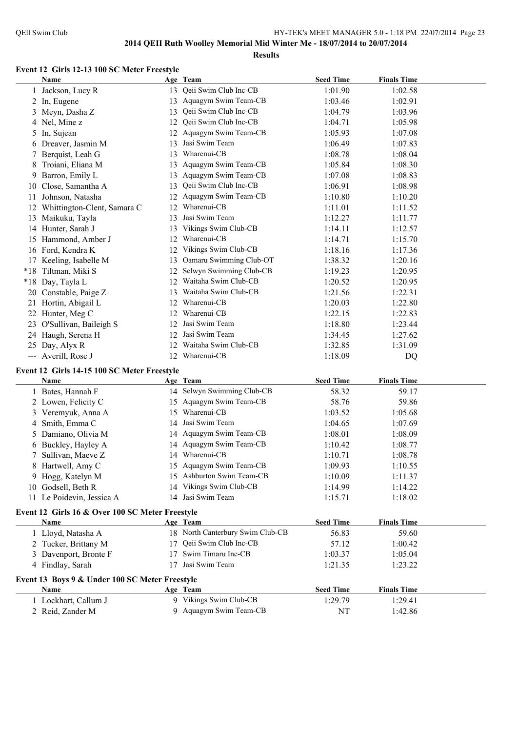#### **Event 12 Girls 12-13 100 SC Meter Freestyle**

|    | Name                                            |    | Age Team                         | <b>Seed Time</b> | <b>Finals Time</b> |  |
|----|-------------------------------------------------|----|----------------------------------|------------------|--------------------|--|
|    | 1 Jackson, Lucy R                               |    | 13 Qeii Swim Club Inc-CB         | 1:01.90          | 1:02.58            |  |
|    | 2 In, Eugene                                    |    | 13 Aquagym Swim Team-CB          | 1:03.46          | 1:02.91            |  |
|    | 3 Meyn, Dasha Z                                 | 13 | Qeii Swim Club Inc-CB            | 1:04.79          | 1:03.96            |  |
|    | 4 Nel, Mine z                                   | 12 | Qeii Swim Club Inc-CB            | 1:04.71          | 1:05.98            |  |
|    | 5 In, Sujean                                    |    | 12 Aquagym Swim Team-CB          | 1:05.93          | 1:07.08            |  |
|    | 6 Dreaver, Jasmin M                             | 13 | Jasi Swim Team                   | 1:06.49          | 1:07.83            |  |
|    | 7 Berquist, Leah G                              |    | 13 Wharenui-CB                   | 1:08.78          | 1:08.04            |  |
|    | 8 Troiani, Eliana M                             |    | 13 Aquagym Swim Team-CB          | 1:05.84          | 1:08.30            |  |
| 9  | Barron, Emily L                                 |    | 13 Aquagym Swim Team-CB          | 1:07.08          | 1:08.83            |  |
| 10 | Close, Samantha A                               | 13 | Qeii Swim Club Inc-CB            | 1:06.91          | 1:08.98            |  |
|    | 11 Johnson, Natasha                             |    | 12 Aquagym Swim Team-CB          | 1:10.80          | 1:10.20            |  |
|    | 12 Whittington-Clent, Samara C                  |    | 12 Wharenui-CB                   | 1:11.01          | 1:11.52            |  |
|    | 13 Maikuku, Tayla                               |    | 13 Jasi Swim Team                | 1:12.27          | 1:11.77            |  |
|    | 14 Hunter, Sarah J                              |    | 13 Vikings Swim Club-CB          | 1:14.11          | 1:12.57            |  |
|    | 15 Hammond, Amber J                             |    | 12 Wharenui-CB                   | 1:14.71          | 1:15.70            |  |
|    | 16 Ford, Kendra K                               |    | 12 Vikings Swim Club-CB          | 1:18.16          | 1:17.36            |  |
|    | 17 Keeling, Isabelle M                          |    | 13 Oamaru Swimming Club-OT       | 1:38.32          | 1:20.16            |  |
|    | *18 Tiltman, Miki S                             |    | 12 Selwyn Swimming Club-CB       | 1:19.23          | 1:20.95            |  |
|    | *18 Day, Tayla L                                |    | 12 Waitaha Swim Club-CB          | 1:20.52          | 1:20.95            |  |
|    | 20 Constable, Paige Z                           |    | 13 Waitaha Swim Club-CB          | 1:21.56          | 1:22.31            |  |
|    | 21 Hortin, Abigail L                            |    | 12 Wharenui-CB                   | 1:20.03          | 1:22.80            |  |
|    | 22 Hunter, Meg C                                |    | 12 Wharenui-CB                   | 1:22.15          | 1:22.83            |  |
|    | 23 O'Sullivan, Baileigh S                       |    | 12 Jasi Swim Team                | 1:18.80          | 1:23.44            |  |
|    | 24 Haugh, Serena H                              |    | 12 Jasi Swim Team                | 1:34.45          | 1:27.62            |  |
|    | 25 Day, Alyx R                                  |    | 12 Waitaha Swim Club-CB          | 1:32.85          | 1:31.09            |  |
|    | --- Averill, Rose J                             |    | 12 Wharenui-CB                   | 1:18.09          | DQ                 |  |
|    |                                                 |    |                                  |                  |                    |  |
|    | Event 12 Girls 14-15 100 SC Meter Freestyle     |    |                                  |                  |                    |  |
|    | Name                                            |    | Age Team                         | <b>Seed Time</b> | <b>Finals Time</b> |  |
|    | 1 Bates, Hannah F                               |    | 14 Selwyn Swimming Club-CB       | 58.32            | 59.17              |  |
|    | 2 Lowen, Felicity C                             |    | 15 Aquagym Swim Team-CB          | 58.76            | 59.86              |  |
|    | 3 Veremyuk, Anna A                              |    | 15 Wharenui-CB                   | 1:03.52          | 1:05.68            |  |
|    | 4 Smith, Emma C                                 |    | 14 Jasi Swim Team                | 1:04.65          | 1:07.69            |  |
|    | 5 Damiano, Olivia M                             |    | 14 Aquagym Swim Team-CB          | 1:08.01          | 1:08.09            |  |
|    | 6 Buckley, Hayley A                             |    | 14 Aquagym Swim Team-CB          | 1:10.42          | 1:08.77            |  |
|    | 7 Sullivan, Maeve Z                             |    | 14 Wharenui-CB                   | 1:10.71          | 1:08.78            |  |
|    | 8 Hartwell, Amy C                               |    | 15 Aquagym Swim Team-CB          | 1:09.93          | 1:10.55            |  |
|    | 9 Hogg, Katelyn M                               |    | 15 Ashburton Swim Team-CB        | 1:10.09          | 1:11.37            |  |
|    | 10 Godsell, Beth R                              |    | 14 Vikings Swim Club-CB          | 1:14.99          | 1:14.22            |  |
|    | 11 Le Poidevin, Jessica A                       |    | 14 Jasi Swim Team                | 1:15.71          | 1:18.02            |  |
|    | Event 12 Girls 16 & Over 100 SC Meter Freestyle |    |                                  |                  |                    |  |
|    | Name                                            |    | Age Team                         | <b>Seed Time</b> | <b>Finals Time</b> |  |
|    | 1 Lloyd, Natasha A                              |    | 18 North Canterbury Swim Club-CB | 56.83            | 59.60              |  |
|    | 2 Tucker, Brittany M                            | 17 | Qeii Swim Club Inc-CB            | 57.12            | 1:00.42            |  |
|    | 3 Davenport, Bronte F                           | 17 | Swim Timaru Inc-CB               | 1:03.37          | 1:05.04            |  |
|    | 4 Findlay, Sarah                                |    | 17 Jasi Swim Team                | 1:21.35          | 1:23.22            |  |
|    | Event 13 Boys 9 & Under 100 SC Meter Freestyle  |    |                                  |                  |                    |  |

| <b>Name</b>        | Age Team               | <b>Seed Time</b> | <b>Finals Time</b> |  |
|--------------------|------------------------|------------------|--------------------|--|
| Lockhart, Callum J | 9 Vikings Swim Club-CB | 1:29.79          | 1:29.41            |  |
| 2 Reid, Zander M   | 9 Aquagym Swim Team-CB |                  | 1:42.86            |  |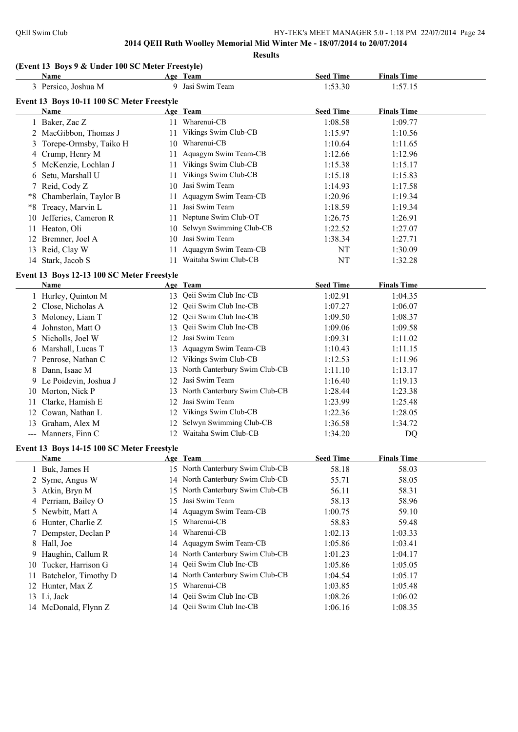**Results**

#### **(Event 13 Boys 9 & Under 100 SC Meter Freestyle)**

|    | Name                                       |    | Age Team                         | <b>Seed Time</b> | <b>Finals Time</b> |  |
|----|--------------------------------------------|----|----------------------------------|------------------|--------------------|--|
|    | 3 Persico, Joshua M                        |    | 9 Jasi Swim Team                 | 1:53.30          | 1:57.15            |  |
|    | Event 13 Boys 10-11 100 SC Meter Freestyle |    |                                  |                  |                    |  |
|    | Name                                       |    | Age Team                         | <b>Seed Time</b> | <b>Finals Time</b> |  |
|    | 1 Baker, Zac Z                             |    | 11 Wharenui-CB                   | 1:08.58          | 1:09.77            |  |
|    | 2 MacGibbon, Thomas J                      |    | 11 Vikings Swim Club-CB          | 1:15.97          | 1:10.56            |  |
| 3  | Torepe-Ormsby, Taiko H                     |    | 10 Wharenui-CB                   | 1:10.64          | 1:11.65            |  |
|    | 4 Crump, Henry M                           | 11 | Aquagym Swim Team-CB             | 1:12.66          | 1:12.96            |  |
| 5  | McKenzie, Lochlan J                        |    | 11 Vikings Swim Club-CB          | 1:15.38          | 1:15.17            |  |
| 6  | Setu, Marshall U                           | 11 | Vikings Swim Club-CB             | 1:15.18          | 1:15.83            |  |
|    | 7 Reid, Cody Z                             |    | 10 Jasi Swim Team                | 1:14.93          | 1:17.58            |  |
| *8 | Chamberlain, Taylor B                      | 11 | Aquagym Swim Team-CB             | 1:20.96          | 1:19.34            |  |
|    | *8 Treacy, Marvin L                        | 11 | Jasi Swim Team                   | 1:18.59          | 1:19.34            |  |
|    | 10 Jefferies, Cameron R                    | 11 | Neptune Swim Club-OT             | 1:26.75          | 1:26.91            |  |
|    | 11 Heaton, Oli                             | 10 | Selwyn Swimming Club-CB          | 1:22.52          | 1:27.07            |  |
|    | 12 Bremner, Joel A                         | 10 | Jasi Swim Team                   | 1:38.34          | 1:27.71            |  |
|    | 13 Reid, Clay W                            | 11 | Aquagym Swim Team-CB             | NT               | 1:30.09            |  |
|    | 14 Stark, Jacob S                          | 11 | Waitaha Swim Club-CB             | NT               | 1:32.28            |  |
|    | Event 13 Boys 12-13 100 SC Meter Freestyle |    |                                  |                  |                    |  |
|    | Name                                       |    | Age Team                         | <b>Seed Time</b> | <b>Finals Time</b> |  |
|    | 1 Hurley, Quinton M                        |    | 13 Qeii Swim Club Inc-CB         | 1:02.91          | 1:04.35            |  |
|    | 2 Close, Nicholas A                        | 12 | Qeii Swim Club Inc-CB            | 1:07.27          | 1:06.07            |  |
| 3  | Moloney, Liam T                            | 12 | Qeii Swim Club Inc-CB            | 1:09.50          | 1:08.37            |  |
| 4  | Johnston, Matt O                           | 13 | Qeii Swim Club Inc-CB            | 1:09.06          | 1:09.58            |  |
|    | 5 Nicholls, Joel W                         | 12 | Jasi Swim Team                   | 1:09.31          | 1:11.02            |  |
|    | 6 Marshall, Lucas T                        | 13 | Aquagym Swim Team-CB             | 1:10.43          | 1:11.15            |  |
|    | 7 Penrose, Nathan C                        |    | 12 Vikings Swim Club-CB          | 1:12.53          | 1:11.96            |  |
|    | 8 Dann, Isaac M                            | 13 | North Canterbury Swim Club-CB    | 1:11.10          | 1:13.17            |  |
|    | 9 Le Poidevin, Joshua J                    | 12 | Jasi Swim Team                   | 1:16.40          | 1:19.13            |  |
|    | 10 Morton, Nick P                          | 13 | North Canterbury Swim Club-CB    | 1:28.44          | 1:23.38            |  |
| 11 | Clarke, Hamish E                           | 12 | Jasi Swim Team                   | 1:23.99          | 1:25.48            |  |
| 12 | Cowan, Nathan L                            |    | 12 Vikings Swim Club-CB          | 1:22.36          | 1:28.05            |  |
| 13 | Graham, Alex M                             | 12 | Selwyn Swimming Club-CB          | 1:36.58          | 1:34.72            |  |
|    | --- Manners, Finn C                        |    | 12 Waitaha Swim Club-CB          | 1:34.20          | <b>DQ</b>          |  |
|    | Event 13 Boys 14-15 100 SC Meter Freestyle |    |                                  |                  |                    |  |
|    | Name                                       |    | Age Team                         | <b>Seed Time</b> | <b>Finals Time</b> |  |
|    | Buk, James H                               |    | 15 North Canterbury Swim Club-CB | 58.18            | 58.03              |  |
| 2  | Syme, Angus W                              | 14 | North Canterbury Swim Club-CB    | 55.71            | 58.05              |  |
|    | 3 Atkin, Bryn M                            | 15 | North Canterbury Swim Club-CB    | 56.11            | 58.31              |  |
|    | 4 Perriam, Bailey O                        | 15 | Jasi Swim Team                   | 58.13            | 58.96              |  |
|    | 5 Newbitt, Matt A                          | 14 | Aquagym Swim Team-CB             | 1:00.75          | 59.10              |  |
|    | 6 Hunter, Charlie Z                        | 15 | Wharenui-CB                      | 58.83            | 59.48              |  |
|    | 7 Dempster, Declan P                       | 14 | Wharenui-CB                      | 1:02.13          | 1:03.33            |  |
| 8  | Hall, Joe                                  | 14 | Aquagym Swim Team-CB             | 1:05.86          | 1:03.41            |  |
|    | 9 Haughin, Callum R                        | 14 | North Canterbury Swim Club-CB    | 1:01.23          | 1:04.17            |  |
|    | 10 Tucker, Harrison G                      | 14 | Qeii Swim Club Inc-CB            | 1:05.86          | 1:05.05            |  |
| 11 | Batchelor, Timothy D                       | 14 | North Canterbury Swim Club-CB    | 1:04.54          | 1:05.17            |  |
|    | 12 Hunter, Max Z                           | 15 | Wharenui-CB                      | 1:03.85          | 1:05.48            |  |
|    | 13 Li, Jack                                | 14 | Qeii Swim Club Inc-CB            | 1:08.26          | 1:06.02            |  |
|    | 14 McDonald, Flynn Z                       | 14 | Qeii Swim Club Inc-CB            | 1:06.16          | 1:08.35            |  |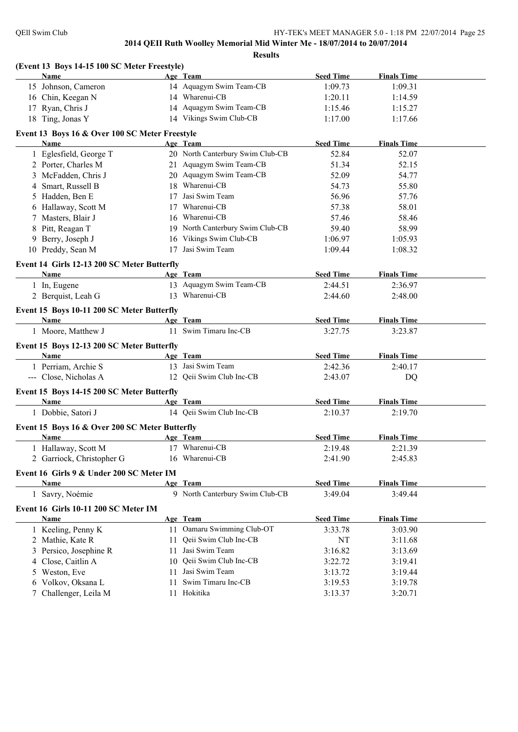|    | (Event 13 Boys 14-15 100 SC Meter Freestyle)   |    |                                  |                  |                    |  |
|----|------------------------------------------------|----|----------------------------------|------------------|--------------------|--|
|    | <b>Name</b>                                    |    | Age Team                         | <b>Seed Time</b> | <b>Finals Time</b> |  |
|    | 15 Johnson, Cameron                            |    | 14 Aquagym Swim Team-CB          | 1:09.73          | 1:09.31            |  |
|    | 16 Chin, Keegan N                              |    | 14 Wharenui-CB                   | 1:20.11          | 1:14.59            |  |
|    | 17 Ryan, Chris J                               |    | 14 Aquagym Swim Team-CB          | 1:15.46          | 1:15.27            |  |
|    | 18 Ting, Jonas Y                               |    | 14 Vikings Swim Club-CB          | 1:17.00          | 1:17.66            |  |
|    | Event 13 Boys 16 & Over 100 SC Meter Freestyle |    |                                  |                  |                    |  |
|    | Name                                           |    | Age Team                         | <b>Seed Time</b> | <b>Finals Time</b> |  |
|    | 1 Eglesfield, George T                         |    | 20 North Canterbury Swim Club-CB | 52.84            | 52.07              |  |
|    | 2 Porter, Charles M                            |    | 21 Aquagym Swim Team-CB          | 51.34            | 52.15              |  |
|    | 3 McFadden, Chris J                            |    | 20 Aquagym Swim Team-CB          | 52.09            | 54.77              |  |
| 4  | Smart, Russell B                               |    | 18 Wharenui-CB                   | 54.73            | 55.80              |  |
| 5. | Hadden, Ben E                                  | 17 | Jasi Swim Team                   | 56.96            | 57.76              |  |
|    | 6 Hallaway, Scott M                            | 17 | Wharenui-CB                      | 57.38            | 58.01              |  |
|    | 7 Masters, Blair J                             | 16 | Wharenui-CB                      | 57.46            | 58.46              |  |
| 8  | Pitt, Reagan T                                 |    | 19 North Canterbury Swim Club-CB | 59.40            | 58.99              |  |
|    | 9 Berry, Joseph J                              |    | 16 Vikings Swim Club-CB          | 1:06.97          | 1:05.93            |  |
|    | 10 Preddy, Sean M                              |    | 17 Jasi Swim Team                | 1:09.44          | 1:08.32            |  |
|    | Event 14 Girls 12-13 200 SC Meter Butterfly    |    |                                  |                  |                    |  |
|    | Name                                           |    | Age Team                         | <b>Seed Time</b> | <b>Finals Time</b> |  |
|    | 1 In, Eugene                                   |    | 13 Aquagym Swim Team-CB          | 2:44.51          | 2:36.97            |  |
|    | 2 Berquist, Leah G                             |    | 13 Wharenui-CB                   | 2:44.60          | 2:48.00            |  |
|    | Event 15 Boys 10-11 200 SC Meter Butterfly     |    |                                  |                  |                    |  |
|    | Name                                           |    | Age Team                         | <b>Seed Time</b> | <b>Finals Time</b> |  |
|    | 1 Moore, Matthew J                             |    | 11 Swim Timaru Inc-CB            | 3:27.75          | 3:23.87            |  |
|    | Event 15 Boys 12-13 200 SC Meter Butterfly     |    |                                  |                  |                    |  |
|    | Name                                           |    | Age Team                         | <b>Seed Time</b> | <b>Finals Time</b> |  |
|    | 1 Perriam, Archie S                            |    | 13 Jasi Swim Team                | 2:42.36          | 2:40.17            |  |
|    | --- Close, Nicholas A                          |    | 12 Qeii Swim Club Inc-CB         | 2:43.07          | DQ                 |  |
|    | Event 15 Boys 14-15 200 SC Meter Butterfly     |    |                                  |                  |                    |  |
|    | Name                                           |    | Age Team                         | <b>Seed Time</b> | <b>Finals Time</b> |  |
|    | 1 Dobbie, Satori J                             |    | 14 Qeii Swim Club Inc-CB         | 2:10.37          | 2:19.70            |  |
|    | Event 15 Boys 16 & Over 200 SC Meter Butterfly |    |                                  |                  |                    |  |
|    | Name                                           |    | Age Team                         | <b>Seed Time</b> | <b>Finals Time</b> |  |
|    | Hallaway, Scott M                              |    | 17 Wharenui-CB                   | 2:19.48          | 2:21.39            |  |
|    | 2 Garriock, Christopher G                      |    | 16 Wharenui-CB                   | 2:41.90          | 2:45.83            |  |
|    |                                                |    |                                  |                  |                    |  |
|    | Event 16 Girls 9 & Under 200 SC Meter IM       |    |                                  |                  |                    |  |
|    | Name                                           |    | Age Team                         | <b>Seed Time</b> | <b>Finals Time</b> |  |
|    | 1 Savry, Noémie                                |    | 9 North Canterbury Swim Club-CB  | 3:49.04          | 3:49.44            |  |
|    | Event 16 Girls 10-11 200 SC Meter IM           |    |                                  |                  |                    |  |
|    | <b>Name</b>                                    |    | Age Team                         | <b>Seed Time</b> | <b>Finals Time</b> |  |
|    | 1 Keeling, Penny K                             |    | 11 Oamaru Swimming Club-OT       | 3:33.78          | 3:03.90            |  |
|    | 2 Mathie, Kate R                               | 11 | Qeii Swim Club Inc-CB            | <b>NT</b>        | 3:11.68            |  |
| 3  | Persico, Josephine R                           | 11 | Jasi Swim Team                   | 3:16.82          | 3:13.69            |  |
| 4  | Close, Caitlin A                               | 10 | Qeii Swim Club Inc-CB            | 3:22.72          | 3:19.41            |  |
| 5  | Weston, Eve                                    | 11 | Jasi Swim Team                   | 3:13.72          | 3:19.44            |  |
| 6  | Volkov, Oksana L                               | 11 | Swim Timaru Inc-CB               | 3:19.53          | 3:19.78            |  |
|    | 7 Challenger, Leila M                          |    | 11 Hokitika                      | 3:13.37          | 3:20.71            |  |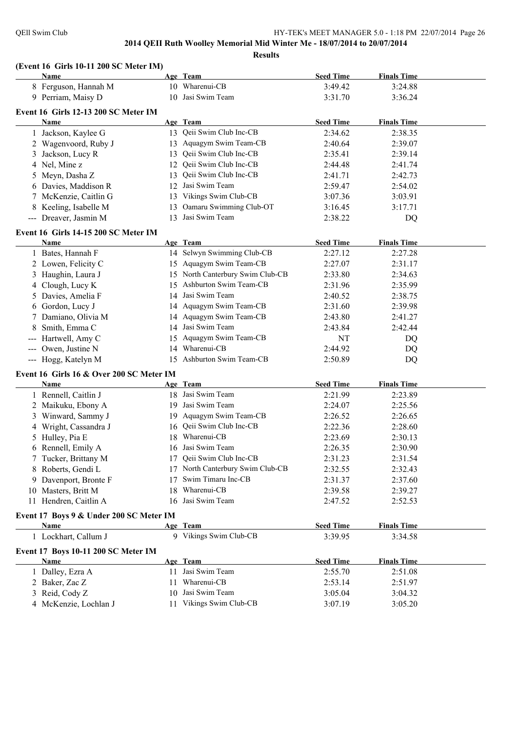**Results**

|   | (Event 16 Girls 10-11 200 SC Meter IM)<br>Name |    | Age Team                         | <b>Seed Time</b> | <b>Finals Time</b> |  |
|---|------------------------------------------------|----|----------------------------------|------------------|--------------------|--|
|   | 8 Ferguson, Hannah M                           |    | 10 Wharenui-CB                   | 3:49.42          | 3:24.88            |  |
|   | 9 Perriam, Maisy D                             |    | 10 Jasi Swim Team                | 3:31.70          | 3:36.24            |  |
|   | Event 16 Girls 12-13 200 SC Meter IM           |    |                                  |                  |                    |  |
|   | Name                                           |    | Age Team                         | <b>Seed Time</b> | <b>Finals Time</b> |  |
|   | 1 Jackson, Kaylee G                            |    | 13 Qeii Swim Club Inc-CB         | 2:34.62          | 2:38.35            |  |
|   | 2 Wagenvoord, Ruby J                           |    | 13 Aquagym Swim Team-CB          | 2:40.64          | 2:39.07            |  |
|   | 3 Jackson, Lucy R                              |    | 13 Qeii Swim Club Inc-CB         | 2:35.41          | 2:39.14            |  |
|   | 4 Nel, Mine z                                  |    | 12 Qeii Swim Club Inc-CB         | 2:44.48          | 2:41.74            |  |
|   | 5 Meyn, Dasha Z                                | 13 | Qeii Swim Club Inc-CB            | 2:41.71          | 2:42.73            |  |
|   | 6 Davies, Maddison R                           |    | 12 Jasi Swim Team                | 2:59.47          | 2:54.02            |  |
|   | 7 McKenzie, Caitlin G                          |    | 13 Vikings Swim Club-CB          | 3:07.36          | 3:03.91            |  |
|   | 8 Keeling, Isabelle M                          | 13 | Oamaru Swimming Club-OT          | 3:16.45          | 3:17.71            |  |
|   | --- Dreaver, Jasmin M                          |    | 13 Jasi Swim Team                | 2:38.22          |                    |  |
|   |                                                |    |                                  |                  | DQ                 |  |
|   | Event 16 Girls 14-15 200 SC Meter IM           |    |                                  |                  |                    |  |
|   | Name                                           |    | Age Team                         | <b>Seed Time</b> | <b>Finals Time</b> |  |
|   | 1 Bates, Hannah F                              |    | 14 Selwyn Swimming Club-CB       | 2:27.12          | 2:27.28            |  |
|   | 2 Lowen, Felicity C                            |    | 15 Aquagym Swim Team-CB          | 2:27.07          | 2:31.17            |  |
|   | 3 Haughin, Laura J                             |    | 15 North Canterbury Swim Club-CB | 2:33.80          | 2:34.63            |  |
|   | 4 Clough, Lucy K                               | 15 | Ashburton Swim Team-CB           | 2:31.96          | 2:35.99            |  |
|   | 5 Davies, Amelia F                             |    | 14 Jasi Swim Team                | 2:40.52          | 2:38.75            |  |
|   | 6 Gordon, Lucy J                               |    | 14 Aquagym Swim Team-CB          | 2:31.60          | 2:39.98            |  |
|   | 7 Damiano, Olivia M                            |    | 14 Aquagym Swim Team-CB          | 2:43.80          | 2:41.27            |  |
| 8 | Smith, Emma C                                  |    | 14 Jasi Swim Team                | 2:43.84          | 2:42.44            |  |
|   | --- Hartwell, Amy C                            | 15 | Aquagym Swim Team-CB             | NT               | DQ                 |  |
|   | --- Owen, Justine N                            |    | 14 Wharenui-CB                   | 2:44.92          | DQ                 |  |
|   | --- Hogg, Katelyn M                            |    | 15 Ashburton Swim Team-CB        | 2:50.89          | DQ                 |  |
|   | Event 16 Girls 16 & Over 200 SC Meter IM       |    |                                  |                  |                    |  |
|   | Name                                           |    | Age Team                         | <b>Seed Time</b> | <b>Finals Time</b> |  |
|   | 1 Rennell, Caitlin J                           |    | 18 Jasi Swim Team                | 2:21.99          | 2:23.89            |  |
|   | 2 Maikuku, Ebony A                             |    | 19 Jasi Swim Team                | 2:24.07          | 2:25.56            |  |
|   | 3 Winward, Sammy J                             |    | 19 Aquagym Swim Team-CB          | 2:26.52          | 2:26.65            |  |
|   | 4 Wright, Cassandra J                          |    | 16 Qeii Swim Club Inc-CB         | 2:22.36          | 2:28.60            |  |
|   | 5 Hulley, Pia E                                | 18 | Wharenui-CB                      | 2:23.69          | 2:30.13            |  |
|   | 6 Rennell, Emily A                             |    | 16 Jasi Swim Team                | 2:26.35          | 2:30.90            |  |
|   | 7 Tucker, Brittany M                           |    | 17 Qeii Swim Club Inc-CB         | 2:31.23          | 2:31.54            |  |
|   | 8 Roberts, Gendi L                             | 17 | North Canterbury Swim Club-CB    | 2:32.55          | 2:32.43            |  |
|   | 9 Davenport, Bronte F                          | 17 | Swim Timaru Inc-CB               | 2:31.37          | 2:37.60            |  |
|   | 10 Masters, Britt M                            | 18 | Wharenui-CB                      | 2:39.58          | 2:39.27            |  |
|   | 11 Hendren, Caitlin A                          |    | 16 Jasi Swim Team                | 2:47.52          | 2:52.53            |  |
|   | Event 17 Boys 9 & Under 200 SC Meter IM        |    |                                  |                  |                    |  |
|   | <b>Name</b>                                    |    | Age Team                         | <b>Seed Time</b> | <b>Finals Time</b> |  |
|   | 1 Lockhart, Callum J                           |    | 9 Vikings Swim Club-CB           | 3:39.95          | 3:34.58            |  |
|   | Event 17 Boys 10-11 200 SC Meter IM            |    |                                  |                  |                    |  |
|   | <b>Name</b>                                    |    | Age Team                         | <b>Seed Time</b> | <b>Finals Time</b> |  |
|   | 1 Dalley, Ezra A                               |    | 11 Jasi Swim Team                | 2:55.70          | 2:51.08            |  |
|   | 2 Baker, Zac Z                                 |    | 11 Wharenui-CB                   | 2:53.14          | 2:51.97            |  |
|   | 3 Reid, Cody Z                                 |    | 10 Jasi Swim Team                | 3:05.04          | 3:04.32            |  |
|   | 4 McKenzie, Lochlan J                          |    | 11 Vikings Swim Club-CB          | 3:07.19          | 3:05.20            |  |
|   |                                                |    |                                  |                  |                    |  |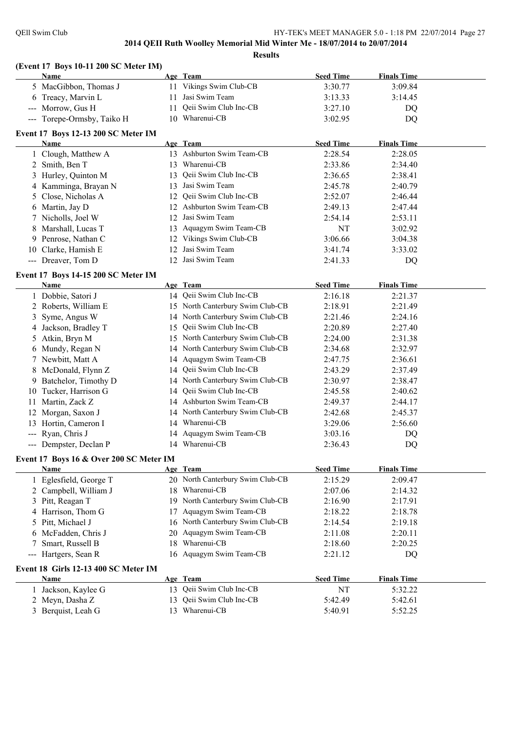#### **(Event 17 Boys 10-11 200 SC Meter IM)**

|                                          | $($ EVCHt 17 DOYS 10-11 200 5C MICIGI 1 $M$<br>Name |    | Age Team                              | <b>Seed Time</b>            | <b>Finals Time</b>            |  |
|------------------------------------------|-----------------------------------------------------|----|---------------------------------------|-----------------------------|-------------------------------|--|
|                                          | 5 MacGibbon, Thomas J                               |    | 11 Vikings Swim Club-CB               | 3:30.77                     | 3:09.84                       |  |
|                                          | 6 Treacy, Marvin L                                  |    | 11 Jasi Swim Team                     | 3:13.33                     | 3:14.45                       |  |
|                                          | --- Morrow, Gus H                                   |    | 11 Qeii Swim Club Inc-CB              | 3:27.10                     | DQ                            |  |
|                                          | --- Torepe-Ormsby, Taiko H                          |    | 10 Wharenui-CB                        | 3:02.95                     | DQ                            |  |
|                                          |                                                     |    |                                       |                             |                               |  |
|                                          | Event 17 Boys 12-13 200 SC Meter IM                 |    |                                       |                             |                               |  |
|                                          | Name                                                |    | Age Team<br>13 Ashburton Swim Team-CB | <b>Seed Time</b><br>2:28.54 | <b>Finals Time</b><br>2:28.05 |  |
|                                          | 1 Clough, Matthew A                                 |    | 13 Wharenui-CB                        |                             |                               |  |
|                                          | 2 Smith, Ben T                                      |    | Qeii Swim Club Inc-CB                 | 2:33.86                     | 2:34.40                       |  |
| 3                                        | Hurley, Quinton M                                   | 13 |                                       | 2:36.65                     | 2:38.41                       |  |
|                                          | 4 Kamminga, Brayan N                                |    | 13 Jasi Swim Team                     | 2:45.78                     | 2:40.79                       |  |
| 5                                        | Close, Nicholas A                                   |    | 12 Qeii Swim Club Inc-CB              | 2:52.07                     | 2:46.44                       |  |
|                                          | 6 Martin, Jay D                                     |    | 12 Ashburton Swim Team-CB             | 2:49.13                     | 2:47.44                       |  |
|                                          | 7 Nicholls, Joel W                                  | 12 | Jasi Swim Team                        | 2:54.14                     | 2:53.11                       |  |
| 8                                        | Marshall, Lucas T                                   | 13 | Aquagym Swim Team-CB                  | NT                          | 3:02.92                       |  |
|                                          | 9 Penrose, Nathan C                                 |    | 12 Vikings Swim Club-CB               | 3:06.66                     | 3:04.38                       |  |
|                                          | 10 Clarke, Hamish E                                 | 12 | Jasi Swim Team                        | 3:41.74                     | 3:33.02                       |  |
|                                          | --- Dreaver, Tom D                                  |    | 12 Jasi Swim Team                     | 2:41.33                     | <b>DQ</b>                     |  |
|                                          | Event 17 Boys 14-15 200 SC Meter IM                 |    |                                       |                             |                               |  |
|                                          | Name                                                |    | Age Team                              | <b>Seed Time</b>            | <b>Finals Time</b>            |  |
|                                          | 1 Dobbie, Satori J                                  |    | 14 Qeii Swim Club Inc-CB              | 2:16.18                     | 2:21.37                       |  |
|                                          | 2 Roberts, William E                                |    | 15 North Canterbury Swim Club-CB      | 2:18.91                     | 2:21.49                       |  |
| 3                                        | Syme, Angus W                                       |    | 14 North Canterbury Swim Club-CB      | 2:21.46                     | 2:24.16                       |  |
| 4                                        | Jackson, Bradley T                                  |    | 15 Qeii Swim Club Inc-CB              | 2:20.89                     | 2:27.40                       |  |
|                                          | 5 Atkin, Bryn M                                     |    | 15 North Canterbury Swim Club-CB      | 2:24.00                     | 2:31.38                       |  |
|                                          | 6 Mundy, Regan N                                    |    | 14 North Canterbury Swim Club-CB      | 2:34.68                     | 2:32.97                       |  |
|                                          | 7 Newbitt, Matt A                                   |    | 14 Aquagym Swim Team-CB               | 2:47.75                     | 2:36.61                       |  |
|                                          | 8 McDonald, Flynn Z                                 |    | 14 Qeii Swim Club Inc-CB              | 2:43.29                     | 2:37.49                       |  |
| 9.                                       | Batchelor, Timothy D                                |    | 14 North Canterbury Swim Club-CB      | 2:30.97                     | 2:38.47                       |  |
|                                          | 10 Tucker, Harrison G                               |    | 14 Qeii Swim Club Inc-CB              | 2:45.58                     | 2:40.62                       |  |
| 11                                       | Martin, Zack Z                                      |    | 14 Ashburton Swim Team-CB             | 2:49.37                     | 2:44.17                       |  |
|                                          | 12 Morgan, Saxon J                                  |    | 14 North Canterbury Swim Club-CB      | 2:42.68                     | 2:45.37                       |  |
|                                          | 13 Hortin, Cameron I                                |    | 14 Wharenui-CB                        | 3:29.06                     | 2:56.60                       |  |
|                                          | --- Ryan, Chris J                                   |    | 14 Aquagym Swim Team-CB               | 3:03.16                     | DQ                            |  |
|                                          | --- Dempster, Declan P                              |    | 14 Wharenui-CB                        | 2:36.43                     | DQ                            |  |
|                                          | Event 17 Boys 16 & Over 200 SC Meter IM             |    |                                       |                             |                               |  |
|                                          | Name                                                |    | Age Team                              | <b>Seed Time</b>            | <b>Finals Time</b>            |  |
|                                          | 1 Eglesfield, George T                              |    | 20 North Canterbury Swim Club-CB      | 2:15.29                     | 2:09.47                       |  |
|                                          | 2 Campbell, William J                               |    | 18 Wharenui-CB                        | 2:07.06                     | 2:14.32                       |  |
|                                          | 3 Pitt, Reagan T                                    | 19 | North Canterbury Swim Club-CB         | 2:16.90                     | 2:17.91                       |  |
|                                          | 4 Harrison, Thom G                                  | 17 | Aquagym Swim Team-CB                  | 2:18.22                     | 2:18.78                       |  |
| 5                                        | Pitt, Michael J                                     |    | 16 North Canterbury Swim Club-CB      | 2:14.54                     | 2:19.18                       |  |
| 6                                        | McFadden, Chris J                                   | 20 | Aquagym Swim Team-CB                  | 2:11.08                     | 2:20.11                       |  |
| 7                                        | Smart, Russell B                                    | 18 | Wharenui-CB                           | 2:18.60                     | 2:20.25                       |  |
| $\hspace{0.05cm} \ldots \hspace{0.05cm}$ | Hartgers, Sean R                                    |    | 16 Aquagym Swim Team-CB               | 2:21.12                     | DQ                            |  |
|                                          |                                                     |    |                                       |                             |                               |  |
|                                          | Event 18 Girls 12-13 400 SC Meter IM                |    |                                       |                             |                               |  |
|                                          | Name                                                |    | Age Team                              | <b>Seed Time</b>            | <b>Finals Time</b>            |  |
|                                          | 1 Jackson, Kaylee G                                 |    | 13 Qeii Swim Club Inc-CB              | NT                          | 5:32.22                       |  |
|                                          | 2 Meyn, Dasha Z                                     | 13 | Qeii Swim Club Inc-CB                 | 5:42.49                     | 5:42.61                       |  |
|                                          | 3 Berquist, Leah G                                  |    | 13 Wharenui-CB                        | 5:40.91                     | 5:52.25                       |  |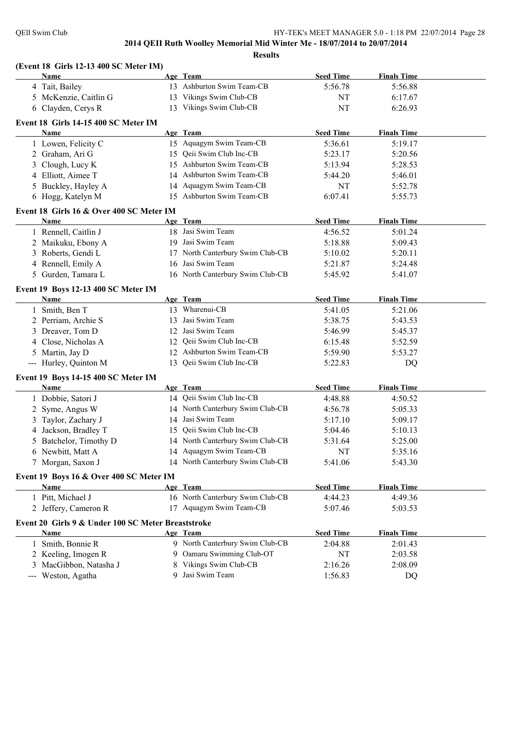#### **(Event 18 Girls 12-13 400 SC Meter IM) Age Team Seed Time Finals Time** 4 Tait, Bailey 13 Ashburton Swim Team-CB 5:56.78 5:56.88 5 McKenzie, Caitlin G 13 Vikings Swim Club-CB NT 6:17.67 6 Clayden, Cerys R 13 Vikings Swim Club-CB NT 6:26.93 **Event 18 Girls 14-15 400 SC Meter IM Age Team Seed Time Finals Time** 1 Lowen, Felicity C 15 Aquagym Swim Team-CB 5:36.61 5:19.17 2 Graham, Ari G 15 Qeii Swim Club Inc-CB 5:23.17 5:20.56 3 Clough, Lucy K 15 Ashburton Swim Team-CB 5:13.94 5:28.53 4 Elliott, Aimee T 14 Ashburton Swim Team-CB 5:44.20 5:46.01 5 Buckley, Hayley A 14 Aquagym Swim Team-CB NT 5:52.78 6 Hogg, Katelyn M 15 Ashburton Swim Team-CB 6:07.41 5:55.73 **Event 18 Girls 16 & Over 400 SC Meter IM Age Team Seed Time Finals Time** 1 Rennell, Caitlin J 18 Jasi Swim Team 4:56.52 5:01.24 2 Maikuku, Ebony A 19 Jasi Swim Team 5:18.88 5:09.43 3 Roberts, Gendi L 17 North Canterbury Swim Club-CB 5:10.02 5:20.11 4 Rennell, Emily A 16 Jasi Swim Team 5:21.87 5:24.48 5 Gurden, Tamara L 16 North Canterbury Swim Club-CB 5:45.92 5:41.07 **Event 19 Boys 12-13 400 SC Meter IM Age Team Seed Time Finals Time** 1 Smith, Ben T 13 Wharenui-CB 5:41.05 5:21.06 2 Perriam, Archie S 13 Jasi Swim Team 5:38.75 5:43.53 3 Dreaver, Tom D 12 Jasi Swim Team 5:46.99 5:45.37 4 Close, Nicholas A 12 Qeii Swim Club Inc-CB 6:15.48 5:52.59 5 Martin, Jay D 12 Ashburton Swim Team-CB 5:59.90 5:53.27 --- Hurley, Quinton M 13 Qeii Swim Club Inc-CB 5:22.83 DQ **Event 19 Boys 14-15 400 SC Meter IM Age Team Seed Time Finals Time** 1 Dobbie, Satori J 14 Qeii Swim Club Inc-CB 4:48.88 4:50.52 2 Syme, Angus W 14 North Canterbury Swim Club-CB 4:56.78 5:05.33 3 Taylor, Zachary J 14 Jasi Swim Team 5:17.10 5:09.17 4 Jackson, Bradley T 15 Qeii Swim Club Inc-CB 5:04.46 5:10.13 5 Batchelor, Timothy D 14 North Canterbury Swim Club-CB 5:31.64 5:25.00 6 Newbitt, Matt A 14 Aquagym Swim Team-CB NT 5:35.16 7 Morgan, Saxon J 14 North Canterbury Swim Club-CB 5:41.06 5:43.30 **Event 19 Boys 16 & Over 400 SC Meter IM Age Team Seed Time Finals Time** 1 Pitt, Michael J 16 North Canterbury Swim Club-CB 4:44.23 4:49.36 2 Jeffery, Cameron R 17 Aquagym Swim Team-CB 5:07.46 5:03.53 **Event 20 Girls 9 & Under 100 SC Meter Breaststroke Age Team Seed Time Finals Time** 1 Smith, Bonnie R 9 North Canterbury Swim Club-CB 2:04.88 2:01.43 2 Keeling, Imogen R 9 Oamaru Swimming Club-OT NT 2:03.58 3 MacGibbon, Natasha J 8 Vikings Swim Club-CB 2:16.26 2:08.09 --- Weston, Agatha 9 Jasi Swim Team 1:56.83 DQ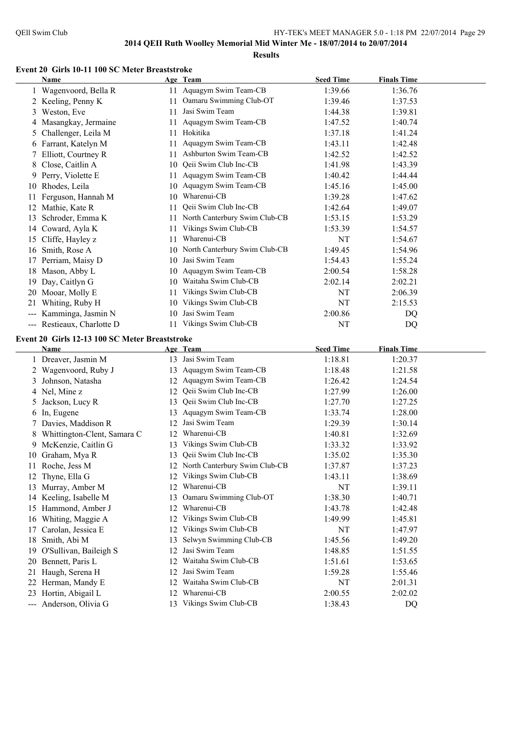#### **Event 20 Girls 10-11 100 SC Meter Breaststroke**

|                     | Name                                                                        |    | Age Team                      | <b>Seed Time</b> | <b>Finals Time</b> |  |
|---------------------|-----------------------------------------------------------------------------|----|-------------------------------|------------------|--------------------|--|
|                     | Wagenvoord, Bella R                                                         | 11 | Aquagym Swim Team-CB          | 1:39.66          | 1:36.76            |  |
|                     | 2 Keeling, Penny K                                                          | 11 | Oamaru Swimming Club-OT       | 1:39.46          | 1:37.53            |  |
| 3                   | Weston, Eve                                                                 | 11 | Jasi Swim Team                | 1:44.38          | 1:39.81            |  |
|                     | 4 Masangkay, Jermaine                                                       | 11 | Aquagym Swim Team-CB          | 1:47.52          | 1:40.74            |  |
| 5                   | Challenger, Leila M                                                         | 11 | Hokitika                      | 1:37.18          | 1:41.24            |  |
|                     | 6 Farrant, Katelyn M                                                        | 11 | Aquagym Swim Team-CB          | 1:43.11          | 1:42.48            |  |
|                     | Elliott, Courtney R                                                         | 11 | Ashburton Swim Team-CB        | 1:42.52          | 1:42.52            |  |
| 8                   | Close, Caitlin A                                                            | 10 | Qeii Swim Club Inc-CB         | 1:41.98          | 1:43.39            |  |
| 9                   | Perry, Violette E                                                           | 11 | Aquagym Swim Team-CB          | 1:40.42          | 1:44.44            |  |
| 10                  | Rhodes, Leila                                                               |    | 10 Aquagym Swim Team-CB       | 1:45.16          | 1:45.00            |  |
|                     | Ferguson, Hannah M                                                          | 10 | Wharenui-CB                   | 1:39.28          | 1:47.62            |  |
| 12                  | Mathie, Kate R                                                              | 11 | Qeii Swim Club Inc-CB         | 1:42.64          | 1:49.07            |  |
| 13                  | Schroder, Emma K                                                            | 11 | North Canterbury Swim Club-CB | 1:53.15          | 1:53.29            |  |
|                     | 14 Coward, Ayla K                                                           | 11 | Vikings Swim Club-CB          | 1:53.39          | 1:54.57            |  |
| 15                  | Cliffe, Hayley z                                                            | 11 | Wharenui-CB                   | NT               | 1:54.67            |  |
| 16                  | Smith, Rose A                                                               | 10 | North Canterbury Swim Club-CB | 1:49.45          | 1:54.96            |  |
| 17                  | Perriam, Maisy D                                                            | 10 | Jasi Swim Team                | 1:54.43          | 1:55.24            |  |
| 18                  | Mason, Abby L                                                               | 10 | Aquagym Swim Team-CB          | 2:00.54          | 1:58.28            |  |
| 19                  | Day, Caitlyn G                                                              | 10 | Waitaha Swim Club-CB          | 2:02.14          | 2:02.21            |  |
|                     | 20 Mooar, Molly E                                                           | 11 | Vikings Swim Club-CB          | NT               | 2:06.39            |  |
| 21                  | Whiting, Ruby H                                                             | 10 | Vikings Swim Club-CB          | NT               | 2:15.53            |  |
|                     | Kamminga, Jasmin N                                                          | 10 | Jasi Swim Team                | 2:00.86          | DQ                 |  |
| $\qquad \qquad - -$ | Restieaux, Charlotte D                                                      | 11 | Vikings Swim Club-CB          | NT               | DQ                 |  |
|                     | $E_{\text{scatt}}$ 20. $C_{\text{inle}}$ 12.12.100 $SC$ Motor Dreaststrake. |    |                               |                  |                    |  |

#### **Event 20 Girls 12-13 100 SC Meter Breaststroke**

|    | Name                        |    | Age Team                      | <b>Seed Time</b> | <b>Finals Time</b> |  |
|----|-----------------------------|----|-------------------------------|------------------|--------------------|--|
|    | Dreaver, Jasmin M           | 13 | Jasi Swim Team                | 1:18.81          | 1:20.37            |  |
|    | Wagenvoord, Ruby J          | 13 | Aquagym Swim Team-CB          | 1:18.48          | 1:21.58            |  |
| 3  | Johnson, Natasha            | 12 | Aquagym Swim Team-CB          | 1:26.42          | 1:24.54            |  |
| 4  | Nel, Mine z                 | 12 | Qeii Swim Club Inc-CB         | 1:27.99          | 1:26.00            |  |
| 5  | Jackson, Lucy R             | 13 | Qeii Swim Club Inc-CB         | 1:27.70          | 1:27.25            |  |
| 6  | In, Eugene                  | 13 | Aquagym Swim Team-CB          | 1:33.74          | 1:28.00            |  |
|    | Davies, Maddison R          | 12 | Jasi Swim Team                | 1:29.39          | 1:30.14            |  |
| 8  | Whittington-Clent, Samara C | 12 | Wharenui-CB                   | 1:40.81          | 1:32.69            |  |
| 9  | McKenzie, Caitlin G         | 13 | Vikings Swim Club-CB          | 1:33.32          | 1:33.92            |  |
| 10 | Graham, Mya R               | 13 | Qeii Swim Club Inc-CB         | 1:35.02          | 1:35.30            |  |
| 11 | Roche, Jess M               | 12 | North Canterbury Swim Club-CB | 1:37.87          | 1:37.23            |  |
| 12 | Thyne, Ella G               | 12 | Vikings Swim Club-CB          | 1:43.11          | 1:38.69            |  |
| 13 | Murray, Amber M             | 12 | Wharenui-CB                   | NT               | 1:39.11            |  |
| 14 | Keeling, Isabelle M         | 13 | Oamaru Swimming Club-OT       | 1:38.30          | 1:40.71            |  |
| 15 | Hammond, Amber J            | 12 | Wharenui-CB                   | 1:43.78          | 1:42.48            |  |
| 16 | Whiting, Maggie A           | 12 | Vikings Swim Club-CB          | 1:49.99          | 1:45.81            |  |
| 17 | Carolan, Jessica E          | 12 | Vikings Swim Club-CB          | NT               | 1:47.97            |  |
| 18 | Smith, Abi M                | 13 | Selwyn Swimming Club-CB       | 1:45.56          | 1:49.20            |  |
| 19 | O'Sullivan, Baileigh S      | 12 | Jasi Swim Team                | 1:48.85          | 1:51.55            |  |
| 20 | Bennett, Paris L            | 12 | Waitaha Swim Club-CB          | 1:51.61          | 1:53.65            |  |
| 21 | Haugh, Serena H             | 12 | Jasi Swim Team                | 1:59.28          | 1:55.46            |  |
| 22 | Herman, Mandy E             | 12 | Waitaha Swim Club-CB          | NT               | 2:01.31            |  |
| 23 | Hortin, Abigail L           | 12 | Wharenui-CB                   | 2:00.55          | 2:02.02            |  |
|    | Anderson, Olivia G          | 13 | Vikings Swim Club-CB          | 1:38.43          | DQ                 |  |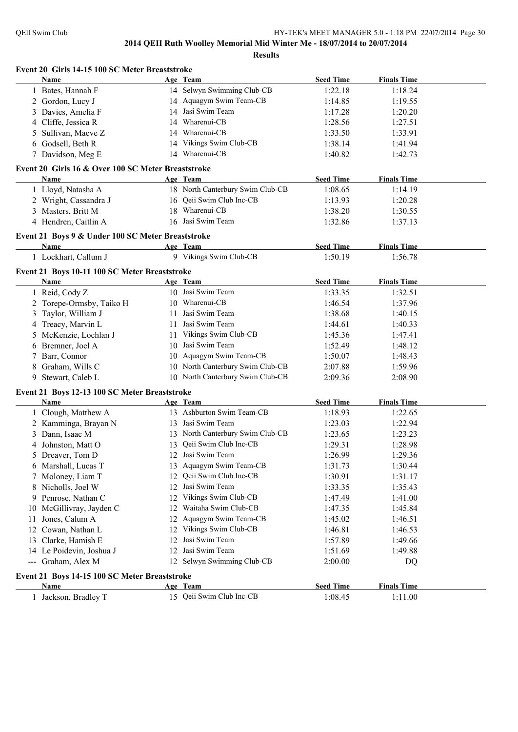| Event 20 Girls 14-15 100 SC Meter Breaststroke     |    |                                        | <b>Seed Time</b> |                    |
|----------------------------------------------------|----|----------------------------------------|------------------|--------------------|
| Name                                               |    | Age Team<br>14 Selwyn Swimming Club-CB | 1:22.18          | <b>Finals Time</b> |
| 1 Bates, Hannah F                                  |    |                                        |                  | 1:18.24            |
| 2 Gordon, Lucy J                                   |    | 14 Aquagym Swim Team-CB                | 1:14.85          | 1:19.55            |
| 3 Davies, Amelia F                                 |    | 14 Jasi Swim Team                      | 1:17.28          | 1:20.20            |
| 4 Cliffe, Jessica R                                |    | 14 Wharenui-CB                         | 1:28.56          | 1:27.51            |
| Sullivan, Maeve Z<br>5                             |    | 14 Wharenui-CB                         | 1:33.50          | 1:33.91            |
| 6 Godsell, Beth R                                  |    | 14 Vikings Swim Club-CB                | 1:38.14          | 1:41.94            |
| 7 Davidson, Meg E                                  |    | 14 Wharenui-CB                         | 1:40.82          | 1:42.73            |
| Event 20 Girls 16 & Over 100 SC Meter Breaststroke |    |                                        |                  |                    |
| Name                                               |    | Age Team                               | <b>Seed Time</b> | <b>Finals Time</b> |
| 1 Lloyd, Natasha A                                 |    | 18 North Canterbury Swim Club-CB       | 1:08.65          | 1:14.19            |
| 2 Wright, Cassandra J                              |    | 16 Qeii Swim Club Inc-CB               | 1:13.93          | 1:20.28            |
| 3 Masters, Britt M                                 |    | 18 Wharenui-CB                         | 1:38.20          | 1:30.55            |
| 4 Hendren, Caitlin A                               |    | 16 Jasi Swim Team                      | 1:32.86          | 1:37.13            |
| Event 21 Boys 9 & Under 100 SC Meter Breaststroke  |    |                                        |                  |                    |
| Name                                               |    | Age Team                               | <b>Seed Time</b> | <b>Finals Time</b> |
| 1 Lockhart, Callum J                               |    | 9 Vikings Swim Club-CB                 | 1:50.19          | 1:56.78            |
| Event 21 Boys 10-11 100 SC Meter Breaststroke      |    |                                        |                  |                    |
| Name                                               |    | Age Team                               | <b>Seed Time</b> | <b>Finals Time</b> |
| 1 Reid, Cody Z                                     |    | 10 Jasi Swim Team                      | 1:33.35          | 1:32.51            |
| 2 Torepe-Ormsby, Taiko H                           |    | 10 Wharenui-CB                         | 1:46.54          | 1:37.96            |
| Taylor, William J<br>3                             |    | 11 Jasi Swim Team                      | 1:38.68          | 1:40.15            |
| Treacy, Marvin L<br>4                              | 11 | Jasi Swim Team                         | 1:44.61          | 1:40.33            |
| McKenzie, Lochlan J                                |    | 11 Vikings Swim Club-CB                | 1:45.36          | 1:47.41            |
| Bremner, Joel A<br>6                               |    | 10 Jasi Swim Team                      | 1:52.49          | 1:48.12            |
| Barr, Connor                                       |    | 10 Aquagym Swim Team-CB                | 1:50.07          | 1:48.43            |
| Graham, Wills C<br>8                               |    | 10 North Canterbury Swim Club-CB       | 2:07.88          | 1:59.96            |
| Stewart, Caleb L<br>9                              |    | 10 North Canterbury Swim Club-CB       | 2:09.36          | 2:08.90            |
| Event 21 Boys 12-13 100 SC Meter Breaststroke      |    |                                        |                  |                    |
| Name                                               |    | Age Team                               | <b>Seed Time</b> | <b>Finals Time</b> |
| 1 Clough, Matthew A                                |    | 13 Ashburton Swim Team-CB              | 1:18.93          | 1:22.65            |
| 2 Kamminga, Brayan N                               |    | 13 Jasi Swim Team                      | 1:23.03          | 1:22.94            |
| Dann, Isaac M                                      |    | 13 North Canterbury Swim Club-CB       | 1:23.65          | 1:23.23            |
| 4 Johnston, Matt O                                 |    | 13 Qeii Swim Club Inc-CB               | 1:29.31          | 1:28.98            |
| 5 Dreaver, Tom D                                   |    | 12 Jasi Swim Team                      | 1:26.99          | 1:29.36            |
| 6 Marshall, Lucas T                                |    | 13 Aquagym Swim Team-CB                | 1:31.73          | 1:30.44            |
| 7 Moloney, Liam T                                  | 12 | Qeii Swim Club Inc-CB                  | 1:30.91          | 1:31.17            |
| Nicholls, Joel W<br>8                              |    | 12 Jasi Swim Team                      | 1:33.35          | 1:35.43            |
| Penrose, Nathan C<br>9                             |    | 12 Vikings Swim Club-CB                | 1:47.49          | 1:41.00            |
| McGillivray, Jayden C<br>10                        |    | 12 Waitaha Swim Club-CB                | 1:47.35          | 1:45.84            |
| Jones, Calum A<br>11                               |    | 12 Aquagym Swim Team-CB                | 1:45.02          | 1:46.51            |
|                                                    |    | 12 Vikings Swim Club-CB                |                  |                    |
| Cowan, Nathan L<br>12                              |    |                                        | 1:46.81          | 1:46.53            |
| Clarke, Hamish E<br>13                             | 12 | Jasi Swim Team                         | 1:57.89          | 1:49.66            |
| 14 Le Poidevin, Joshua J                           | 12 | Jasi Swim Team                         | 1:51.69          | 1:49.88            |
| --- Graham, Alex M                                 |    | 12 Selwyn Swimming Club-CB             | 2:00.00          | DQ                 |
| Event 21 Boys 14-15 100 SC Meter Breaststroke      |    |                                        |                  |                    |
| Name                                               |    | Age Team                               | <b>Seed Time</b> | <b>Finals Time</b> |
| 1 Jackson, Bradley T                               |    | 15 Qeii Swim Club Inc-CB               | 1:08.45          | 1:11.00            |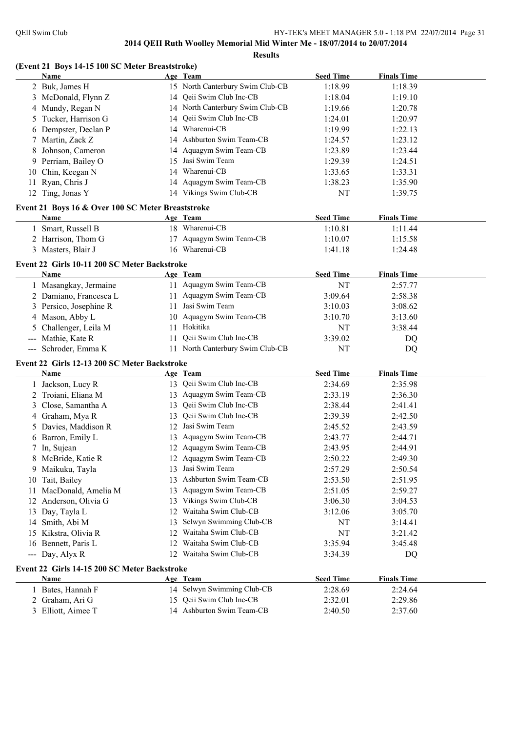#### **(Event 21 Boys 14-15 100 SC Meter Breaststroke)**

|    | Name                                              |    | Age Team                         | <b>Seed Time</b> | <b>Finals Time</b> |  |
|----|---------------------------------------------------|----|----------------------------------|------------------|--------------------|--|
|    | 2 Buk, James H                                    |    | 15 North Canterbury Swim Club-CB | 1:18.99          | 1:18.39            |  |
|    | 3 McDonald, Flynn Z                               | 14 | Qeii Swim Club Inc-CB            | 1:18.04          | 1:19.10            |  |
|    | 4 Mundy, Regan N                                  |    | 14 North Canterbury Swim Club-CB | 1:19.66          | 1:20.78            |  |
|    | 5 Tucker, Harrison G                              | 14 | Qeii Swim Club Inc-CB            | 1:24.01          | 1:20.97            |  |
|    | 6 Dempster, Declan P                              | 14 | Wharenui-CB                      | 1:19.99          | 1:22.13            |  |
|    | 7 Martin, Zack Z                                  | 14 | Ashburton Swim Team-CB           | 1:24.57          | 1:23.12            |  |
|    | 8 Johnson, Cameron                                | 14 | Aquagym Swim Team-CB             | 1:23.89          | 1:23.44            |  |
|    | 9 Perriam, Bailey O                               | 15 | Jasi Swim Team                   | 1:29.39          | 1:24.51            |  |
| 10 | Chin, Keegan N                                    | 14 | Wharenui-CB                      | 1:33.65          | 1:33.31            |  |
| 11 | Ryan, Chris J                                     | 14 | Aquagym Swim Team-CB             | 1:38.23          | 1:35.90            |  |
|    | 12 Ting, Jonas Y                                  |    | 14 Vikings Swim Club-CB          | NT               | 1:39.75            |  |
|    |                                                   |    |                                  |                  |                    |  |
|    | Event 21 Boys 16 & Over 100 SC Meter Breaststroke |    |                                  |                  |                    |  |
|    | Name                                              |    | Age Team                         | <b>Seed Time</b> | <b>Finals Time</b> |  |
|    | 1 Smart, Russell B                                |    | 18 Wharenui-CB                   | 1:10.81          | 1:11.44            |  |
|    | 2 Harrison, Thom G                                |    | 17 Aquagym Swim Team-CB          | 1:10.07          | 1:15.58            |  |
|    | 3 Masters, Blair J                                |    | 16 Wharenui-CB                   | 1:41.18          | 1:24.48            |  |
|    | Event 22 Girls 10-11 200 SC Meter Backstroke      |    |                                  |                  |                    |  |
|    | Name                                              |    | Age Team                         | <b>Seed Time</b> | <b>Finals Time</b> |  |
|    | 1 Masangkay, Jermaine                             |    | 11 Aquagym Swim Team-CB          | NT               | 2:57.77            |  |
|    | 2 Damiano, Francesca L                            |    | 11 Aquagym Swim Team-CB          | 3:09.64          | 2:58.38            |  |
|    | 3 Persico, Josephine R                            | 11 | Jasi Swim Team                   | 3:10.03          | 3:08.62            |  |
|    | 4 Mason, Abby L                                   | 10 | Aquagym Swim Team-CB             | 3:10.70          | 3:13.60            |  |
|    | 5 Challenger, Leila M                             | 11 | Hokitika                         | NT               | 3:38.44            |  |
|    | --- Mathie, Kate R                                | 11 | Qeii Swim Club Inc-CB            | 3:39.02          | DQ                 |  |
|    | --- Schroder, Emma K                              |    | 11 North Canterbury Swim Club-CB | NT               | DQ                 |  |
|    | Event 22 Girls 12-13 200 SC Meter Backstroke      |    |                                  |                  |                    |  |
|    | <b>Name</b>                                       |    | Age Team                         | <b>Seed Time</b> | <b>Finals Time</b> |  |
|    |                                                   |    | 13 Qeii Swim Club Inc-CB         | 2:34.69          | 2:35.98            |  |
|    | 1 Jackson, Lucy R                                 |    | 13 Aquagym Swim Team-CB          |                  |                    |  |
|    | 2 Troiani, Eliana M                               |    | 13 Qeii Swim Club Inc-CB         | 2:33.19          | 2:36.30            |  |
|    | 3 Close, Samantha A                               |    |                                  | 2:38.44          | 2:41.41            |  |
|    | 4 Graham, Mya R                                   | 13 | Qeii Swim Club Inc-CB            | 2:39.39          | 2:42.50            |  |
|    | 5 Davies, Maddison R                              | 12 | Jasi Swim Team                   | 2:45.52          | 2:43.59            |  |
|    | 6 Barron, Emily L                                 | 13 | Aquagym Swim Team-CB             | 2:43.77          | 2:44.71            |  |
|    | 7 In, Sujean                                      |    | 12 Aquagym Swim Team-CB          | 2:43.95          | 2:44.91            |  |
|    | 8 McBride, Katie R                                |    | 12 Aquagym Swim Team-CB          | 2:50.22          | 2:49.30            |  |
|    | 9 Maikuku, Tayla                                  | 13 | Jasi Swim Team                   | 2:57.29          | 2:50.54            |  |
|    | 10 Tait, Bailey                                   | 13 | Ashburton Swim Team-CB           | 2:53.50          | 2:51.95            |  |
| 11 | MacDonald, Amelia M                               | 13 | Aquagym Swim Team-CB             | 2:51.05          | 2:59.27            |  |
| 12 | Anderson, Olivia G                                | 13 | Vikings Swim Club-CB             | 3:06.30          | 3:04.53            |  |
| 13 | Day, Tayla L                                      | 12 | Waitaha Swim Club-CB             | 3:12.06          | 3:05.70            |  |
| 14 | Smith, Abi M                                      | 13 | Selwyn Swimming Club-CB          | NT               | 3:14.41            |  |
| 15 | Kikstra, Olivia R                                 | 12 | Waitaha Swim Club-CB             | NT               | 3:21.42            |  |
|    | 16 Bennett, Paris L                               | 12 | Waitaha Swim Club-CB             | 3:35.94          | 3:45.48            |  |
|    | --- Day, Alyx R                                   |    | 12 Waitaha Swim Club-CB          | 3:34.39          | DQ                 |  |
|    | Event 22 Girls 14-15 200 SC Meter Backstroke      |    |                                  |                  |                    |  |
|    | Name                                              |    | Age Team                         | <b>Seed Time</b> | <b>Finals Time</b> |  |
|    | 1 Bates, Hannah F                                 |    | 14 Selwyn Swimming Club-CB       | 2:28.69          | 2:24.64            |  |
|    | 2 Graham, Ari G                                   |    | 15 Qeii Swim Club Inc-CB         | 2:32.01          | 2:29.86            |  |
|    | 3 Elliott, Aimee T                                |    | 14 Ashburton Swim Team-CB        | 2:40.50          | 2:37.60            |  |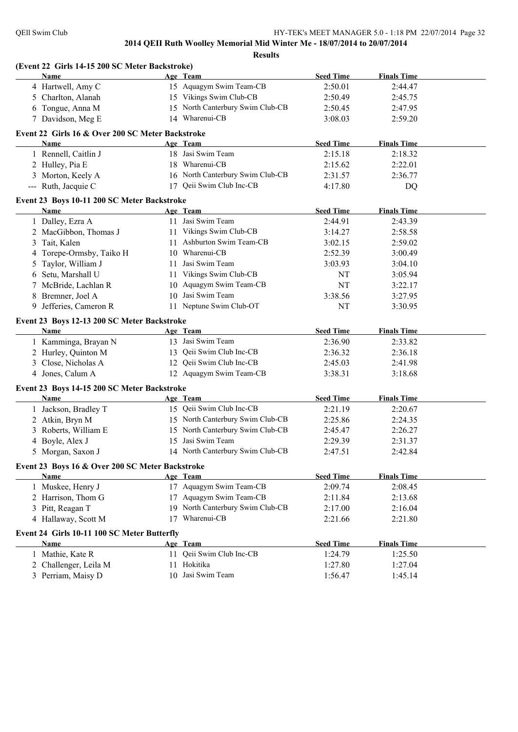| (Event 22 Girls 14-15 200 SC Meter Backstroke)                                                                 |                                                                          |                               |                               |  |
|----------------------------------------------------------------------------------------------------------------|--------------------------------------------------------------------------|-------------------------------|-------------------------------|--|
| Name                                                                                                           | Age Team<br>15 Aquagym Swim Team-CB                                      | <b>Seed Time</b><br>2:50.01   | <b>Finals Time</b><br>2:44.47 |  |
| 4 Hartwell, Amy C                                                                                              | 15 Vikings Swim Club-CB                                                  |                               |                               |  |
| 5 Charlton, Alanah                                                                                             | 15 North Canterbury Swim Club-CB                                         | 2:50.49                       | 2:45.75                       |  |
| 6 Tongue, Anna M                                                                                               | 14 Wharenui-CB                                                           | 2:50.45                       | 2:47.95                       |  |
| 7 Davidson, Meg E                                                                                              |                                                                          | 3:08.03                       | 2:59.20                       |  |
| Event 22 Girls 16 & Over 200 SC Meter Backstroke                                                               |                                                                          |                               |                               |  |
| Name                                                                                                           | Age Team                                                                 | <b>Seed Time</b>              | <b>Finals Time</b>            |  |
| 1 Rennell, Caitlin J                                                                                           | 18 Jasi Swim Team                                                        | 2:15.18                       | 2:18.32                       |  |
| 2 Hulley, Pia E                                                                                                | 18 Wharenui-CB                                                           | 2:15.62                       | 2:22.01                       |  |
| 3 Morton, Keely A                                                                                              | 16 North Canterbury Swim Club-CB                                         | 2:31.57                       | 2:36.77                       |  |
| --- Ruth, Jacquie C                                                                                            | 17 Qeii Swim Club Inc-CB                                                 | 4:17.80                       | DQ                            |  |
| Event 23 Boys 10-11 200 SC Meter Backstroke                                                                    |                                                                          |                               |                               |  |
| <b>Name</b>                                                                                                    | Age Team                                                                 | <b>Seed Time</b>              | <b>Finals Time</b>            |  |
| 1 Dalley, Ezra A                                                                                               | 11 Jasi Swim Team                                                        | 2:44.91                       | 2:43.39                       |  |
| 2 MacGibbon, Thomas J                                                                                          | 11 Vikings Swim Club-CB                                                  | 3:14.27                       | 2:58.58                       |  |
| Tait, Kalen<br>3                                                                                               | 11 Ashburton Swim Team-CB                                                | 3:02.15                       | 2:59.02                       |  |
| Torepe-Ormsby, Taiko H<br>4                                                                                    | 10 Wharenui-CB                                                           | 2:52.39                       | 3:00.49                       |  |
| Taylor, William J<br>5                                                                                         | 11 Jasi Swim Team                                                        | 3:03.93                       | 3:04.10                       |  |
| Setu, Marshall U<br>6                                                                                          | 11 Vikings Swim Club-CB                                                  | NT                            | 3:05.94                       |  |
| McBride, Lachlan R                                                                                             | 10 Aquagym Swim Team-CB                                                  | NT                            | 3:22.17                       |  |
| Bremner, Joel A<br>8                                                                                           | 10 Jasi Swim Team                                                        | 3:38.56                       | 3:27.95                       |  |
| Jefferies, Cameron R<br>9.                                                                                     | 11 Neptune Swim Club-OT                                                  | NT                            | 3:30.95                       |  |
|                                                                                                                |                                                                          |                               |                               |  |
| Event 23 Boys 12-13 200 SC Meter Backstroke<br>Name                                                            | Age Team                                                                 | <b>Seed Time</b>              | <b>Finals Time</b>            |  |
| 1 Kamminga, Brayan N                                                                                           | 13 Jasi Swim Team                                                        | 2:36.90                       | 2:33.82                       |  |
| 2 Hurley, Quinton M                                                                                            | 13 Qeii Swim Club Inc-CB                                                 | 2:36.32                       | 2:36.18                       |  |
| Close, Nicholas A<br>3                                                                                         | 12 Qeii Swim Club Inc-CB                                                 | 2:45.03                       | 2:41.98                       |  |
| 4 Jones, Calum A                                                                                               | 12 Aquagym Swim Team-CB                                                  | 3:38.31                       | 3:18.68                       |  |
|                                                                                                                |                                                                          |                               |                               |  |
| Event 23 Boys 14-15 200 SC Meter Backstroke                                                                    |                                                                          |                               |                               |  |
| Name                                                                                                           | Age Team                                                                 | <b>Seed Time</b>              | <b>Finals Time</b>            |  |
| 1 Jackson, Bradley T                                                                                           | 15 Qeii Swim Club Inc-CB                                                 | 2:21.19                       | 2:20.67                       |  |
| 2 Atkin, Bryn M                                                                                                | 15 North Canterbury Swim Club-CB                                         | 2:25.86                       | 2:24.35                       |  |
| Roberts, William E<br>3                                                                                        | 15 North Canterbury Swim Club-CB                                         | 2:45.47                       | 2:26.27                       |  |
| 4 Boyle, Alex J                                                                                                | 15 Jasi Swim Team                                                        | 2:29.39                       | 2:31.37                       |  |
| 5 Morgan, Saxon J                                                                                              | 14 North Canterbury Swim Club-CB                                         | 2:47.51                       | 2:42.84                       |  |
| Event 23 Boys 16 & Over 200 SC Meter Backstroke                                                                |                                                                          |                               |                               |  |
| <b>Name</b>                                                                                                    | Age Team                                                                 | <b>Seed Time</b>              | <b>Finals Time</b>            |  |
| Muskee, Henry J                                                                                                | 17 Aquagym Swim Team-CB                                                  | 2:09.74                       | 2:08.45                       |  |
| Harrison, Thom G<br>2                                                                                          | 17 Aquagym Swim Team-CB                                                  | 2:11.84                       | 2:13.68                       |  |
| Pitt, Reagan T<br>3                                                                                            | 19 North Canterbury Swim Club-CB                                         | 2:17.00                       | 2:16.04                       |  |
| 4 Hallaway, Scott M                                                                                            | 17 Wharenui-CB                                                           | 2:21.66                       | 2:21.80                       |  |
|                                                                                                                |                                                                          |                               |                               |  |
| Name                                                                                                           |                                                                          | <b>Seed Time</b>              | <b>Finals Time</b>            |  |
|                                                                                                                |                                                                          |                               |                               |  |
|                                                                                                                |                                                                          |                               |                               |  |
|                                                                                                                |                                                                          |                               |                               |  |
| Event 24 Girls 10-11 100 SC Meter Butterfly<br>1 Mathie, Kate R<br>2 Challenger, Leila M<br>3 Perriam, Maisy D | Age Team<br>11 Qeii Swim Club Inc-CB<br>11 Hokitika<br>10 Jasi Swim Team | 1:24.79<br>1:27.80<br>1:56.47 | 1:25.50<br>1:27.04<br>1:45.14 |  |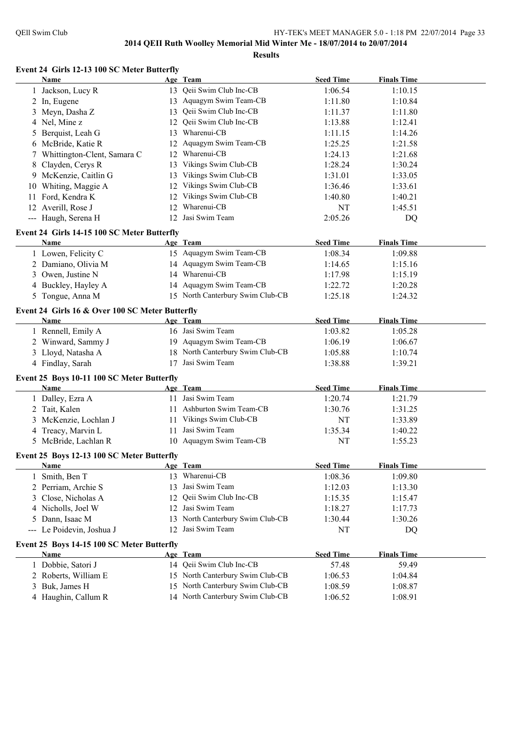**Event 24 Girls 12-13 100 SC Meter Butterfly**

|   | Name                                                |    | Age Team                                                    | <b>Seed Time</b> | <b>Finals Time</b> |  |
|---|-----------------------------------------------------|----|-------------------------------------------------------------|------------------|--------------------|--|
|   | 1 Jackson, Lucy R                                   |    | 13 Qeii Swim Club Inc-CB                                    | 1:06.54          | 1:10.15            |  |
|   | 2 In, Eugene                                        |    | 13 Aquagym Swim Team-CB                                     | 1:11.80          | 1:10.84            |  |
| 3 | Meyn, Dasha Z                                       |    | 13 Qeii Swim Club Inc-CB                                    | 1:11.37          | 1:11.80            |  |
|   | 4 Nel, Mine z                                       |    | 12 Qeii Swim Club Inc-CB                                    | 1:13.88          | 1:12.41            |  |
| 5 | Berquist, Leah G                                    | 13 | Wharenui-CB                                                 | 1:11.15          | 1:14.26            |  |
|   | 6 McBride, Katie R                                  | 12 | Aquagym Swim Team-CB                                        | 1:25.25          | 1:21.58            |  |
| 7 | Whittington-Clent, Samara C                         | 12 | Wharenui-CB                                                 | 1:24.13          | 1:21.68            |  |
|   | 8 Clayden, Cerys R                                  |    | 13 Vikings Swim Club-CB                                     | 1:28.24          | 1:30.24            |  |
|   | 9 McKenzie, Caitlin G                               |    | 13 Vikings Swim Club-CB                                     | 1:31.01          | 1:33.05            |  |
|   | 10 Whiting, Maggie A                                |    | 12 Vikings Swim Club-CB                                     | 1:36.46          | 1:33.61            |  |
|   | 11 Ford, Kendra K                                   |    | 12 Vikings Swim Club-CB                                     | 1:40.80          | 1:40.21            |  |
|   | 12 Averill, Rose J                                  |    | 12 Wharenui-CB                                              | NT               | 1:45.51            |  |
|   | --- Haugh, Serena H                                 |    | 12 Jasi Swim Team                                           | 2:05.26          | DQ                 |  |
|   |                                                     |    |                                                             |                  |                    |  |
|   | Event 24 Girls 14-15 100 SC Meter Butterfly<br>Name |    | Age Team                                                    | <b>Seed Time</b> | <b>Finals Time</b> |  |
|   |                                                     |    | 15 Aquagym Swim Team-CB                                     | 1:08.34          | 1:09.88            |  |
|   | 1 Lowen, Felicity C                                 |    | 14 Aquagym Swim Team-CB                                     |                  |                    |  |
|   | 2 Damiano, Olivia M                                 |    | 14 Wharenui-CB                                              | 1:14.65          | 1:15.16            |  |
|   | 3 Owen, Justine N                                   |    |                                                             | 1:17.98          | 1:15.19            |  |
|   | 4 Buckley, Hayley A                                 |    | 14 Aquagym Swim Team-CB<br>15 North Canterbury Swim Club-CB | 1:22.72          | 1:20.28            |  |
|   | 5 Tongue, Anna M                                    |    |                                                             | 1:25.18          | 1:24.32            |  |
|   | Event 24 Girls 16 & Over 100 SC Meter Butterfly     |    |                                                             |                  |                    |  |
|   | Name                                                |    | Age Team                                                    | <b>Seed Time</b> | <b>Finals Time</b> |  |
|   | 1 Rennell, Emily A                                  |    | 16 Jasi Swim Team                                           | 1:03.82          | 1:05.28            |  |
|   | 2 Winward, Sammy J                                  |    | 19 Aquagym Swim Team-CB                                     | 1:06.19          | 1:06.67            |  |
|   | 3 Lloyd, Natasha A                                  |    | 18 North Canterbury Swim Club-CB                            | 1:05.88          | 1:10.74            |  |
|   | 4 Findlay, Sarah                                    |    | 17 Jasi Swim Team                                           | 1:38.88          | 1:39.21            |  |
|   | Event 25 Boys 10-11 100 SC Meter Butterfly          |    |                                                             |                  |                    |  |
|   | <b>Name</b>                                         |    | Age Team                                                    | <b>Seed Time</b> | <b>Finals Time</b> |  |
|   | 1 Dalley, Ezra A                                    |    | 11 Jasi Swim Team                                           | 1:20.74          | 1:21.79            |  |
|   | 2 Tait, Kalen                                       |    | 11 Ashburton Swim Team-CB                                   | 1:30.76          | 1:31.25            |  |
|   | McKenzie, Lochlan J                                 |    | 11 Vikings Swim Club-CB                                     | NT               | 1:33.89            |  |
|   | 4 Treacy, Marvin L                                  |    | 11 Jasi Swim Team                                           | 1:35.34          | 1:40.22            |  |
|   | 5 McBride, Lachlan R                                |    | 10 Aquagym Swim Team-CB                                     | NT               | 1:55.23            |  |
|   |                                                     |    |                                                             |                  |                    |  |
|   | Event 25 Boys 12-13 100 SC Meter Butterfly          |    |                                                             |                  |                    |  |
|   | Name Age Team                                       |    |                                                             | <b>Seed Time</b> | <b>Finals Time</b> |  |
|   | 1 Smith, Ben T                                      |    | 13 Wharenui-CB                                              | 1:08.36          | 1:09.80            |  |
|   | 2 Perriam, Archie S                                 | 13 | Jasi Swim Team                                              | 1:12.03          | 1:13.30            |  |
|   | 3 Close, Nicholas A                                 | 12 | Qeii Swim Club Inc-CB                                       | 1:15.35          | 1:15.47            |  |
|   | 4 Nicholls, Joel W                                  | 12 | Jasi Swim Team                                              | 1:18.27          | 1:17.73            |  |
|   | 5 Dann, Isaac M                                     |    | 13 North Canterbury Swim Club-CB                            | 1:30.44          | 1:30.26            |  |
|   | --- Le Poidevin, Joshua J                           | 12 | Jasi Swim Team                                              | NT               | DQ                 |  |
|   | Event 25 Boys 14-15 100 SC Meter Butterfly          |    |                                                             |                  |                    |  |
|   | <b>Name</b>                                         |    | Age Team                                                    | <b>Seed Time</b> | <b>Finals Time</b> |  |
|   | 1 Dobbie, Satori J                                  |    | 14 Qeii Swim Club Inc-CB                                    | 57.48            | 59.49              |  |
|   | 2 Roberts, William E                                |    | 15 North Canterbury Swim Club-CB                            | 1:06.53          | 1:04.84            |  |
|   | 3 Buk, James H                                      |    | 15 North Canterbury Swim Club-CB                            | 1:08.59          | 1:08.87            |  |
|   | 4 Haughin, Callum R                                 |    | 14 North Canterbury Swim Club-CB                            | 1:06.52          | 1:08.91            |  |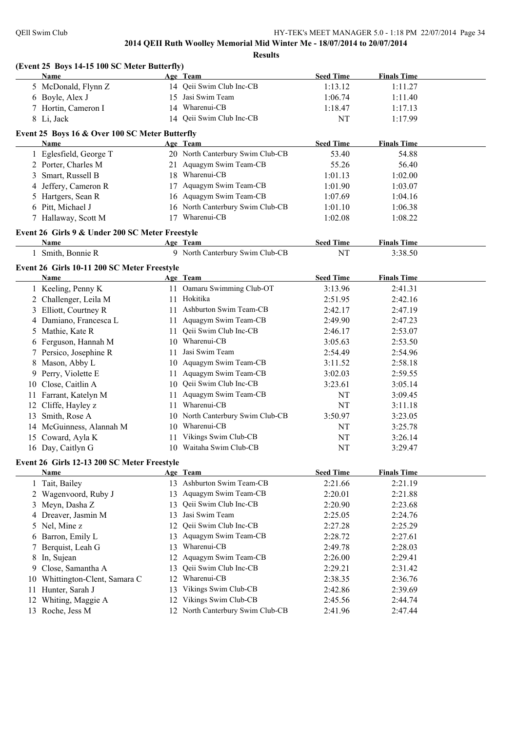|     | (Event 25 Boys 14-15 100 SC Meter Butterfly)    |    |                                  |                  |                    |  |
|-----|-------------------------------------------------|----|----------------------------------|------------------|--------------------|--|
|     | Name                                            |    | Age Team                         | <b>Seed Time</b> | <b>Finals Time</b> |  |
|     | 5 McDonald, Flynn Z                             |    | 14 Qeii Swim Club Inc-CB         | 1:13.12          | 1:11.27            |  |
|     | 6 Boyle, Alex J                                 |    | 15 Jasi Swim Team                | 1:06.74          | 1:11.40            |  |
|     | 7 Hortin, Cameron I                             |    | 14 Wharenui-CB                   | 1:18.47          | 1:17.13            |  |
|     | 8 Li, Jack                                      |    | 14 Qeii Swim Club Inc-CB         | NT               | 1:17.99            |  |
|     | Event 25 Boys 16 & Over 100 SC Meter Butterfly  |    |                                  |                  |                    |  |
|     | Name                                            |    | Age Team                         | <b>Seed Time</b> | <b>Finals Time</b> |  |
|     | 1 Eglesfield, George T                          |    | 20 North Canterbury Swim Club-CB | 53.40            | 54.88              |  |
|     | 2 Porter, Charles M                             |    | 21 Aquagym Swim Team-CB          | 55.26            | 56.40              |  |
|     | 3 Smart, Russell B                              |    | 18 Wharenui-CB                   | 1:01.13          | 1:02.00            |  |
|     | 4 Jeffery, Cameron R                            |    | 17 Aquagym Swim Team-CB          | 1:01.90          | 1:03.07            |  |
|     | 5 Hartgers, Sean R                              |    | 16 Aquagym Swim Team-CB          | 1:07.69          | 1:04.16            |  |
|     | 6 Pitt, Michael J                               |    | 16 North Canterbury Swim Club-CB | 1:01.10          | 1:06.38            |  |
|     | 7 Hallaway, Scott M                             |    | 17 Wharenui-CB                   | 1:02.08          | 1:08.22            |  |
|     | Event 26 Girls 9 & Under 200 SC Meter Freestyle |    |                                  |                  |                    |  |
|     | Name                                            |    | Age Team                         | <b>Seed Time</b> | <b>Finals Time</b> |  |
|     | 1 Smith, Bonnie R                               |    | 9 North Canterbury Swim Club-CB  | NT               | 3:38.50            |  |
|     |                                                 |    |                                  |                  |                    |  |
|     | Event 26 Girls 10-11 200 SC Meter Freestyle     |    |                                  |                  |                    |  |
|     | Name                                            |    | Age Team                         | <b>Seed Time</b> | <b>Finals Time</b> |  |
|     | 1 Keeling, Penny K                              |    | 11 Oamaru Swimming Club-OT       | 3:13.96          | 2:41.31            |  |
|     | 2 Challenger, Leila M                           |    | 11 Hokitika                      | 2:51.95          | 2:42.16            |  |
|     | 3 Elliott, Courtney R                           |    | 11 Ashburton Swim Team-CB        | 2:42.17          | 2:47.19            |  |
|     | 4 Damiano, Francesca L                          |    | 11 Aquagym Swim Team-CB          | 2:49.90          | 2:47.23            |  |
|     | 5 Mathie, Kate R                                |    | 11 Qeii Swim Club Inc-CB         | 2:46.17          | 2:53.07            |  |
|     | 6 Ferguson, Hannah M                            |    | 10 Wharenui-CB                   | 3:05.63          | 2:53.50            |  |
|     | 7 Persico, Josephine R                          | 11 | Jasi Swim Team                   | 2:54.49          | 2:54.96            |  |
|     | 8 Mason, Abby L                                 |    | 10 Aquagym Swim Team-CB          | 3:11.52          | 2:58.18            |  |
|     | 9 Perry, Violette E                             |    | 11 Aquagym Swim Team-CB          | 3:02.03          | 2:59.55            |  |
|     | 10 Close, Caitlin A                             |    | 10 Qeii Swim Club Inc-CB         | 3:23.61          | 3:05.14            |  |
|     | 11 Farrant, Katelyn M                           | 11 | Aquagym Swim Team-CB             | NT               | 3:09.45            |  |
|     | 12 Cliffe, Hayley z                             | 11 | Wharenui-CB                      | NT               | 3:11.18            |  |
| 13  | Smith, Rose A                                   |    | 10 North Canterbury Swim Club-CB | 3:50.97          | 3:23.05            |  |
|     | 14 McGuinness, Alannah M                        | 10 | Wharenui-CB                      | NT               | 3:25.78            |  |
|     | 15 Coward, Ayla K                               |    | 11 Vikings Swim Club-CB          | NT               | 3:26.14            |  |
|     | 16 Day, Caitlyn G                               |    | 10 Waitaha Swim Club-CB          | NT               | 3:29.47            |  |
|     | Event 26 Girls 12-13 200 SC Meter Freestyle     |    |                                  |                  |                    |  |
|     | Name                                            |    | Age Team                         | <b>Seed Time</b> | <b>Finals Time</b> |  |
|     | 1 Tait, Bailey                                  |    | 13 Ashburton Swim Team-CB        | 2:21.66          | 2:21.19            |  |
|     | 2 Wagenvoord, Ruby J                            | 13 | Aquagym Swim Team-CB             | 2:20.01          | 2:21.88            |  |
|     | 3 Meyn, Dasha Z                                 | 13 | Qeii Swim Club Inc-CB            | 2:20.90          | 2:23.68            |  |
|     | 4 Dreaver, Jasmin M                             | 13 | Jasi Swim Team                   | 2:25.05          | 2:24.76            |  |
|     | 5 Nel, Mine z                                   | 12 | Qeii Swim Club Inc-CB            | 2:27.28          | 2:25.29            |  |
|     | 6 Barron, Emily L                               | 13 | Aquagym Swim Team-CB             | 2:28.72          | 2:27.61            |  |
| 7   | Berquist, Leah G                                | 13 | Wharenui-CB                      | 2:49.78          | 2:28.03            |  |
| 8   | In, Sujean                                      | 12 | Aquagym Swim Team-CB             | 2:26.00          | 2:29.41            |  |
| 9   | Close, Samantha A                               | 13 | Qeii Swim Club Inc-CB            | 2:29.21          | 2:31.42            |  |
|     | 10 Whittington-Clent, Samara C                  | 12 | Wharenui-CB                      | 2:38.35          | 2:36.76            |  |
| 11. | Hunter, Sarah J                                 | 13 | Vikings Swim Club-CB             | 2:42.86          | 2:39.69            |  |
| 12  | Whiting, Maggie A                               | 12 | Vikings Swim Club-CB             | 2:45.56          | 2:44.74            |  |
|     | 13 Roche, Jess M                                |    | 12 North Canterbury Swim Club-CB | 2:41.96          | 2:47.44            |  |
|     |                                                 |    |                                  |                  |                    |  |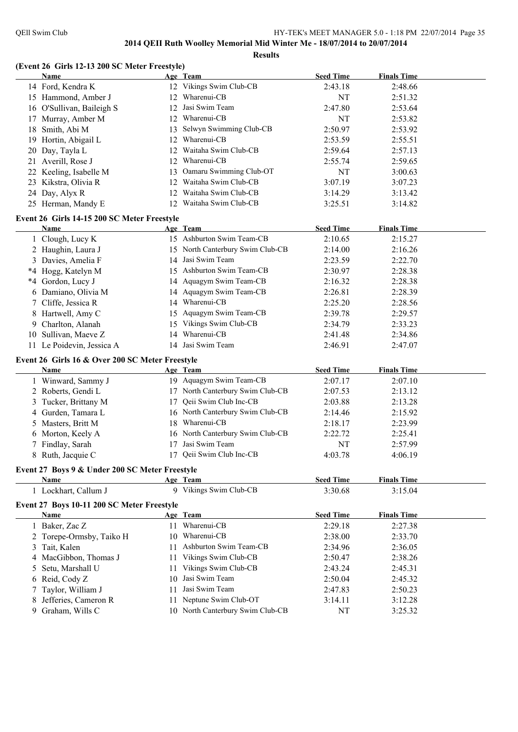**Results**

### **(Event 26 Girls 12-13 200 SC Meter Freestyle)**

|    | <b>Name</b>                                     |    | Age Team                         | <b>Seed Time</b> | <b>Finals Time</b> |  |
|----|-------------------------------------------------|----|----------------------------------|------------------|--------------------|--|
|    | 14 Ford, Kendra K                               |    | 12 Vikings Swim Club-CB          | 2:43.18          | 2:48.66            |  |
|    | 15 Hammond, Amber J                             |    | 12 Wharenui-CB                   | NT               | 2:51.32            |  |
|    | 16 O'Sullivan, Baileigh S                       | 12 | Jasi Swim Team                   | 2:47.80          | 2:53.64            |  |
|    | 17 Murray, Amber M                              | 12 | Wharenui-CB                      | <b>NT</b>        | 2:53.82            |  |
| 18 | Smith, Abi M                                    | 13 | Selwyn Swimming Club-CB          | 2:50.97          | 2:53.92            |  |
| 19 | Hortin, Abigail L                               | 12 | Wharenui-CB                      | 2:53.59          | 2:55.51            |  |
| 20 | Day, Tayla L                                    | 12 | Waitaha Swim Club-CB             | 2:59.64          | 2:57.13            |  |
| 21 | Averill, Rose J                                 | 12 | Wharenui-CB                      | 2:55.74          | 2:59.65            |  |
| 22 | Keeling, Isabelle M                             | 13 | Oamaru Swimming Club-OT          | <b>NT</b>        | 3:00.63            |  |
| 23 | Kikstra, Olivia R                               | 12 | Waitaha Swim Club-CB             | 3:07.19          | 3:07.23            |  |
| 24 | Day, Alyx R                                     | 12 | Waitaha Swim Club-CB             | 3:14.29          | 3:13.42            |  |
|    | 25 Herman, Mandy E                              |    | 12 Waitaha Swim Club-CB          | 3:25.51          | 3:14.82            |  |
|    | Event 26 Girls 14-15 200 SC Meter Freestyle     |    |                                  |                  |                    |  |
|    | Name                                            |    | Age Team                         | <b>Seed Time</b> | <b>Finals Time</b> |  |
|    | 1 Clough, Lucy K                                |    | 15 Ashburton Swim Team-CB        | 2:10.65          | 2:15.27            |  |
|    | 2 Haughin, Laura J                              |    | 15 North Canterbury Swim Club-CB | 2:14.00          | 2:16.26            |  |
|    | 3 Davies, Amelia F                              |    | 14 Jasi Swim Team                | 2:23.59          | 2:22.70            |  |
|    | *4 Hogg, Katelyn M                              |    | 15 Ashburton Swim Team-CB        | 2:30.97          | 2:28.38            |  |
| *4 | Gordon, Lucy J                                  |    | 14 Aquagym Swim Team-CB          | 2:16.32          | 2:28.38            |  |
| 6  | Damiano, Olivia M                               |    | 14 Aquagym Swim Team-CB          | 2:26.81          | 2:28.39            |  |
| 7  | Cliffe, Jessica R                               |    | 14 Wharenui-CB                   | 2:25.20          | 2:28.56            |  |
|    | 8 Hartwell, Amy C                               |    | 15 Aquagym Swim Team-CB          | 2:39.78          | 2:29.57            |  |
| 9. | Charlton, Alanah                                |    | 15 Vikings Swim Club-CB          | 2:34.79          | 2:33.23            |  |
| 10 | Sullivan, Maeve Z                               |    | 14 Wharenui-CB                   | 2:41.48          | 2:34.86            |  |
|    | 11 Le Poidevin, Jessica A                       |    | 14 Jasi Swim Team                | 2:46.91          | 2:47.07            |  |
|    |                                                 |    |                                  |                  |                    |  |
|    | Event 26 Girls 16 & Over 200 SC Meter Freestyle |    |                                  |                  |                    |  |
|    | Name                                            |    | Age Team                         | <b>Seed Time</b> | <b>Finals Time</b> |  |
|    | 1 Winward, Sammy J                              |    | 19 Aquagym Swim Team-CB          | 2:07.17          | 2:07.10            |  |
|    | 2 Roberts, Gendi L                              |    | 17 North Canterbury Swim Club-CB | 2:07.53          | 2:13.12            |  |
|    | 3 Tucker, Brittany M                            | 17 | Qeii Swim Club Inc-CB            | 2:03.88          | 2:13.28            |  |
|    | 4 Gurden, Tamara L                              |    | 16 North Canterbury Swim Club-CB | 2:14.46          | 2:15.92            |  |
|    | 5 Masters, Britt M                              | 18 | Wharenui-CB                      | 2:18.17          | 2:23.99            |  |
|    | 6 Morton, Keely A                               |    | 16 North Canterbury Swim Club-CB | 2:22.72          | 2:25.41            |  |
|    | 7 Findlay, Sarah                                | 17 | Jasi Swim Team                   | NT               | 2:57.99            |  |
|    | 8 Ruth, Jacquie C                               | 17 | Qeii Swim Club Inc-CB            | 4:03.78          | 4:06.19            |  |
|    | Event 27 Boys 9 & Under 200 SC Meter Freestyle  |    |                                  |                  |                    |  |
|    | Name                                            |    | Age Team                         | <b>Seed Time</b> | <b>Finals Time</b> |  |
|    | 1 Lockhart, Callum J                            |    | 9 Vikings Swim Club-CB           | 3:30.68          | 3:15.04            |  |
|    | Event 27 Boys 10-11 200 SC Meter Freestyle      |    |                                  |                  |                    |  |
|    | <b>Name</b>                                     |    | Age Team                         | <b>Seed Time</b> | <b>Finals Time</b> |  |
|    | 1 Baker, Zac Z                                  |    | 11 Wharenui-CB                   | 2:29.18          | 2:27.38            |  |
|    | 2 Torepe-Ormsby, Taiko H                        |    | 10 Wharenui-CB                   | 2:38.00          | 2:33.70            |  |
|    | 3 Tait, Kalen                                   |    | 11 Ashburton Swim Team-CB        | 2:34.96          | 2:36.05            |  |
|    | 4 MacGibbon, Thomas J                           | 11 | Vikings Swim Club-CB             | 2:50.47          | 2:38.26            |  |
| 5  | Setu, Marshall U                                | 11 | Vikings Swim Club-CB             | 2:43.24          | 2:45.31            |  |
| 6  | Reid, Cody Z                                    | 10 | Jasi Swim Team                   | 2:50.04          | 2:45.32            |  |
|    | Taylor, William J                               | 11 | Jasi Swim Team                   | 2:47.83          | 2:50.23            |  |
|    | Jefferies, Cameron R                            | 11 | Neptune Swim Club-OT             | 3:14.11          | 3:12.28            |  |
| 9  | Graham, Wills C                                 |    | 10 North Canterbury Swim Club-CB | <b>NT</b>        | 3:25.32            |  |
|    |                                                 |    |                                  |                  |                    |  |